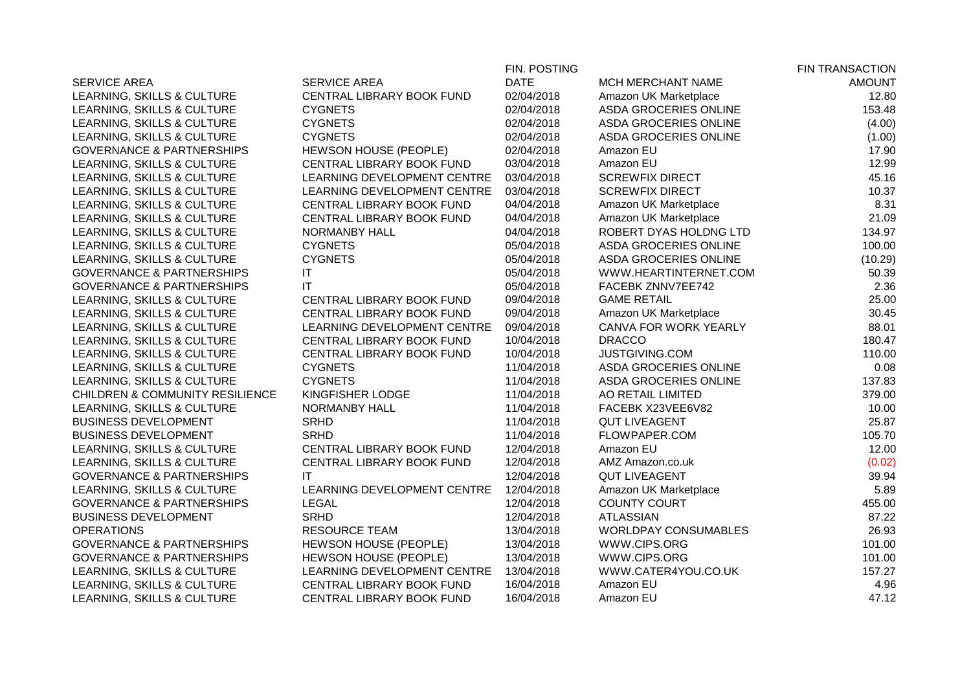|                                            |                                  | FIN. POSTING |                             | <b>FIN TRANSACTION</b> |
|--------------------------------------------|----------------------------------|--------------|-----------------------------|------------------------|
| <b>SERVICE AREA</b>                        | <b>SERVICE AREA</b>              | <b>DATE</b>  | MCH MERCHANT NAME           | <b>AMOUNT</b>          |
| LEARNING, SKILLS & CULTURE                 | CENTRAL LIBRARY BOOK FUND        | 02/04/2018   | Amazon UK Marketplace       | 12.80                  |
| LEARNING, SKILLS & CULTURE                 | <b>CYGNETS</b>                   | 02/04/2018   | ASDA GROCERIES ONLINE       | 153.48                 |
| LEARNING, SKILLS & CULTURE                 | <b>CYGNETS</b>                   | 02/04/2018   | ASDA GROCERIES ONLINE       | (4.00)                 |
| LEARNING, SKILLS & CULTURE                 | <b>CYGNETS</b>                   | 02/04/2018   | ASDA GROCERIES ONLINE       | (1.00)                 |
| <b>GOVERNANCE &amp; PARTNERSHIPS</b>       | HEWSON HOUSE (PEOPLE)            | 02/04/2018   | Amazon EU                   | 17.90                  |
| LEARNING, SKILLS & CULTURE                 | <b>CENTRAL LIBRARY BOOK FUND</b> | 03/04/2018   | Amazon EU                   | 12.99                  |
| LEARNING, SKILLS & CULTURE                 | LEARNING DEVELOPMENT CENTRE      | 03/04/2018   | <b>SCREWFIX DIRECT</b>      | 45.16                  |
| LEARNING, SKILLS & CULTURE                 | LEARNING DEVELOPMENT CENTRE      | 03/04/2018   | <b>SCREWFIX DIRECT</b>      | 10.37                  |
| LEARNING, SKILLS & CULTURE                 | CENTRAL LIBRARY BOOK FUND        | 04/04/2018   | Amazon UK Marketplace       | 8.31                   |
| LEARNING, SKILLS & CULTURE                 | CENTRAL LIBRARY BOOK FUND        | 04/04/2018   | Amazon UK Marketplace       | 21.09                  |
| LEARNING, SKILLS & CULTURE                 | NORMANBY HALL                    | 04/04/2018   | ROBERT DYAS HOLDNG LTD      | 134.97                 |
| LEARNING, SKILLS & CULTURE                 | <b>CYGNETS</b>                   | 05/04/2018   | ASDA GROCERIES ONLINE       | 100.00                 |
| LEARNING, SKILLS & CULTURE                 | <b>CYGNETS</b>                   | 05/04/2018   | ASDA GROCERIES ONLINE       | (10.29)                |
| <b>GOVERNANCE &amp; PARTNERSHIPS</b>       | IT                               | 05/04/2018   | WWW.HEARTINTERNET.COM       | 50.39                  |
| <b>GOVERNANCE &amp; PARTNERSHIPS</b>       | IT                               | 05/04/2018   | FACEBK ZNNV7EE742           | 2.36                   |
| LEARNING, SKILLS & CULTURE                 | CENTRAL LIBRARY BOOK FUND        | 09/04/2018   | <b>GAME RETAIL</b>          | 25.00                  |
| LEARNING, SKILLS & CULTURE                 | CENTRAL LIBRARY BOOK FUND        | 09/04/2018   | Amazon UK Marketplace       | 30.45                  |
| LEARNING, SKILLS & CULTURE                 | LEARNING DEVELOPMENT CENTRE      | 09/04/2018   | CANVA FOR WORK YEARLY       | 88.01                  |
| LEARNING, SKILLS & CULTURE                 | CENTRAL LIBRARY BOOK FUND        | 10/04/2018   | <b>DRACCO</b>               | 180.47                 |
| LEARNING, SKILLS & CULTURE                 | CENTRAL LIBRARY BOOK FUND        | 10/04/2018   | JUSTGIVING.COM              | 110.00                 |
| LEARNING, SKILLS & CULTURE                 | <b>CYGNETS</b>                   | 11/04/2018   | ASDA GROCERIES ONLINE       | 0.08                   |
| LEARNING, SKILLS & CULTURE                 | <b>CYGNETS</b>                   | 11/04/2018   | ASDA GROCERIES ONLINE       | 137.83                 |
| <b>CHILDREN &amp; COMMUNITY RESILIENCE</b> | KINGFISHER LODGE                 | 11/04/2018   | AO RETAIL LIMITED           | 379.00                 |
| LEARNING, SKILLS & CULTURE                 | NORMANBY HALL                    | 11/04/2018   | FACEBK X23VEE6V82           | 10.00                  |
| <b>BUSINESS DEVELOPMENT</b>                | <b>SRHD</b>                      | 11/04/2018   | <b>QUT LIVEAGENT</b>        | 25.87                  |
| <b>BUSINESS DEVELOPMENT</b>                | <b>SRHD</b>                      | 11/04/2018   | FLOWPAPER.COM               | 105.70                 |
| LEARNING, SKILLS & CULTURE                 | CENTRAL LIBRARY BOOK FUND        | 12/04/2018   | Amazon EU                   | 12.00                  |
| LEARNING, SKILLS & CULTURE                 | CENTRAL LIBRARY BOOK FUND        | 12/04/2018   | AMZ Amazon.co.uk            | (0.02)                 |
| <b>GOVERNANCE &amp; PARTNERSHIPS</b>       | IT                               | 12/04/2018   | <b>QUT LIVEAGENT</b>        | 39.94                  |
| LEARNING, SKILLS & CULTURE                 | LEARNING DEVELOPMENT CENTRE      | 12/04/2018   | Amazon UK Marketplace       | 5.89                   |
| <b>GOVERNANCE &amp; PARTNERSHIPS</b>       | <b>LEGAL</b>                     | 12/04/2018   | <b>COUNTY COURT</b>         | 455.00                 |
| <b>BUSINESS DEVELOPMENT</b>                | <b>SRHD</b>                      | 12/04/2018   | <b>ATLASSIAN</b>            | 87.22                  |
| <b>OPERATIONS</b>                          | <b>RESOURCE TEAM</b>             | 13/04/2018   | <b>WORLDPAY CONSUMABLES</b> | 26.93                  |
| <b>GOVERNANCE &amp; PARTNERSHIPS</b>       | HEWSON HOUSE (PEOPLE)            | 13/04/2018   | WWW.CIPS.ORG                | 101.00                 |
| <b>GOVERNANCE &amp; PARTNERSHIPS</b>       | HEWSON HOUSE (PEOPLE)            | 13/04/2018   | WWW.CIPS.ORG                | 101.00                 |
| LEARNING, SKILLS & CULTURE                 | LEARNING DEVELOPMENT CENTRE      | 13/04/2018   | WWW.CATER4YOU.CO.UK         | 157.27                 |
| LEARNING, SKILLS & CULTURE                 | CENTRAL LIBRARY BOOK FUND        | 16/04/2018   | Amazon EU                   | 4.96                   |
| LEARNING, SKILLS & CULTURE                 | CENTRAL LIBRARY BOOK FUND        | 16/04/2018   | Amazon EU                   | 47.12                  |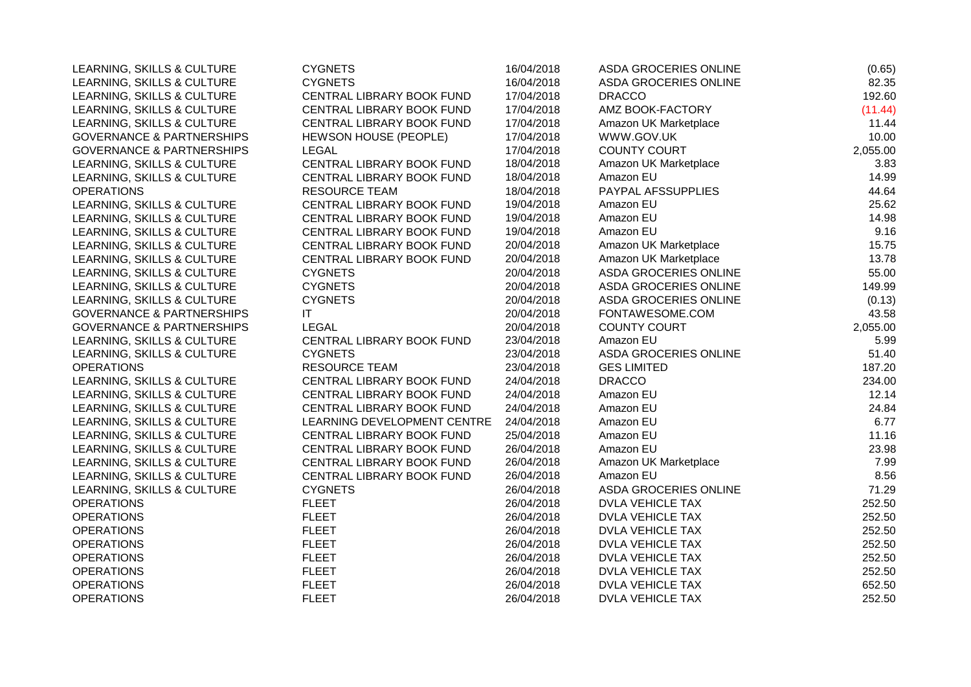| LEARNING, SKILLS & CULTURE           | <b>CYGNETS</b>              | 16/04/2018 | <b>ASDA GROCERIES ONLINE</b> | (0.65)   |
|--------------------------------------|-----------------------------|------------|------------------------------|----------|
| LEARNING, SKILLS & CULTURE           | <b>CYGNETS</b>              | 16/04/2018 | ASDA GROCERIES ONLINE        | 82.35    |
| LEARNING, SKILLS & CULTURE           | CENTRAL LIBRARY BOOK FUND   | 17/04/2018 | <b>DRACCO</b>                | 192.60   |
| LEARNING, SKILLS & CULTURE           | CENTRAL LIBRARY BOOK FUND   | 17/04/2018 | AMZ BOOK-FACTORY             | (11.44)  |
| LEARNING, SKILLS & CULTURE           | CENTRAL LIBRARY BOOK FUND   | 17/04/2018 | Amazon UK Marketplace        | 11.44    |
| <b>GOVERNANCE &amp; PARTNERSHIPS</b> | HEWSON HOUSE (PEOPLE)       | 17/04/2018 | WWW.GOV.UK                   | 10.00    |
| <b>GOVERNANCE &amp; PARTNERSHIPS</b> | <b>LEGAL</b>                | 17/04/2018 | <b>COUNTY COURT</b>          | 2,055.00 |
| LEARNING, SKILLS & CULTURE           | CENTRAL LIBRARY BOOK FUND   | 18/04/2018 | Amazon UK Marketplace        | 3.83     |
| LEARNING, SKILLS & CULTURE           | CENTRAL LIBRARY BOOK FUND   | 18/04/2018 | Amazon EU                    | 14.99    |
| <b>OPERATIONS</b>                    | <b>RESOURCE TEAM</b>        | 18/04/2018 | PAYPAL AFSSUPPLIES           | 44.64    |
| LEARNING, SKILLS & CULTURE           | CENTRAL LIBRARY BOOK FUND   | 19/04/2018 | Amazon EU                    | 25.62    |
| LEARNING, SKILLS & CULTURE           | CENTRAL LIBRARY BOOK FUND   | 19/04/2018 | Amazon EU                    | 14.98    |
| LEARNING, SKILLS & CULTURE           | CENTRAL LIBRARY BOOK FUND   | 19/04/2018 | Amazon EU                    | 9.16     |
| LEARNING, SKILLS & CULTURE           | CENTRAL LIBRARY BOOK FUND   | 20/04/2018 | Amazon UK Marketplace        | 15.75    |
| LEARNING, SKILLS & CULTURE           | CENTRAL LIBRARY BOOK FUND   | 20/04/2018 | Amazon UK Marketplace        | 13.78    |
| LEARNING, SKILLS & CULTURE           | <b>CYGNETS</b>              | 20/04/2018 | <b>ASDA GROCERIES ONLINE</b> | 55.00    |
| LEARNING, SKILLS & CULTURE           | <b>CYGNETS</b>              | 20/04/2018 | ASDA GROCERIES ONLINE        | 149.99   |
| LEARNING, SKILLS & CULTURE           | <b>CYGNETS</b>              | 20/04/2018 | ASDA GROCERIES ONLINE        | (0.13)   |
| <b>GOVERNANCE &amp; PARTNERSHIPS</b> | IT                          | 20/04/2018 | FONTAWESOME.COM              | 43.58    |
| <b>GOVERNANCE &amp; PARTNERSHIPS</b> | <b>LEGAL</b>                | 20/04/2018 | <b>COUNTY COURT</b>          | 2,055.00 |
| LEARNING, SKILLS & CULTURE           | CENTRAL LIBRARY BOOK FUND   | 23/04/2018 | Amazon EU                    | 5.99     |
| LEARNING, SKILLS & CULTURE           | <b>CYGNETS</b>              | 23/04/2018 | ASDA GROCERIES ONLINE        | 51.40    |
| <b>OPERATIONS</b>                    | <b>RESOURCE TEAM</b>        | 23/04/2018 | <b>GES LIMITED</b>           | 187.20   |
| LEARNING, SKILLS & CULTURE           | CENTRAL LIBRARY BOOK FUND   | 24/04/2018 | <b>DRACCO</b>                | 234.00   |
| LEARNING, SKILLS & CULTURE           | CENTRAL LIBRARY BOOK FUND   | 24/04/2018 | Amazon EU                    | 12.14    |
| LEARNING, SKILLS & CULTURE           | CENTRAL LIBRARY BOOK FUND   | 24/04/2018 | Amazon EU                    | 24.84    |
| LEARNING, SKILLS & CULTURE           | LEARNING DEVELOPMENT CENTRE | 24/04/2018 | Amazon EU                    | 6.77     |
| LEARNING, SKILLS & CULTURE           | CENTRAL LIBRARY BOOK FUND   | 25/04/2018 | Amazon EU                    | 11.16    |
| LEARNING, SKILLS & CULTURE           | CENTRAL LIBRARY BOOK FUND   | 26/04/2018 | Amazon EU                    | 23.98    |
| LEARNING, SKILLS & CULTURE           | CENTRAL LIBRARY BOOK FUND   | 26/04/2018 | Amazon UK Marketplace        | 7.99     |
| LEARNING, SKILLS & CULTURE           | CENTRAL LIBRARY BOOK FUND   | 26/04/2018 | Amazon EU                    | 8.56     |
| LEARNING, SKILLS & CULTURE           | <b>CYGNETS</b>              | 26/04/2018 | <b>ASDA GROCERIES ONLINE</b> | 71.29    |
| <b>OPERATIONS</b>                    | <b>FLEET</b>                | 26/04/2018 | <b>DVLA VEHICLE TAX</b>      | 252.50   |
| <b>OPERATIONS</b>                    | <b>FLEET</b>                | 26/04/2018 | <b>DVLA VEHICLE TAX</b>      | 252.50   |
| <b>OPERATIONS</b>                    | <b>FLEET</b>                | 26/04/2018 | <b>DVLA VEHICLE TAX</b>      | 252.50   |
| <b>OPERATIONS</b>                    | <b>FLEET</b>                | 26/04/2018 | DVLA VEHICLE TAX             | 252.50   |
| <b>OPERATIONS</b>                    | <b>FLEET</b>                | 26/04/2018 | <b>DVLA VEHICLE TAX</b>      | 252.50   |
| <b>OPERATIONS</b>                    | <b>FLEET</b>                | 26/04/2018 | DVLA VEHICLE TAX             | 252.50   |
| <b>OPERATIONS</b>                    | <b>FLEET</b>                | 26/04/2018 | <b>DVLA VEHICLE TAX</b>      | 652.50   |
| <b>OPERATIONS</b>                    | <b>FLEET</b>                | 26/04/2018 | <b>DVLA VEHICLE TAX</b>      | 252.50   |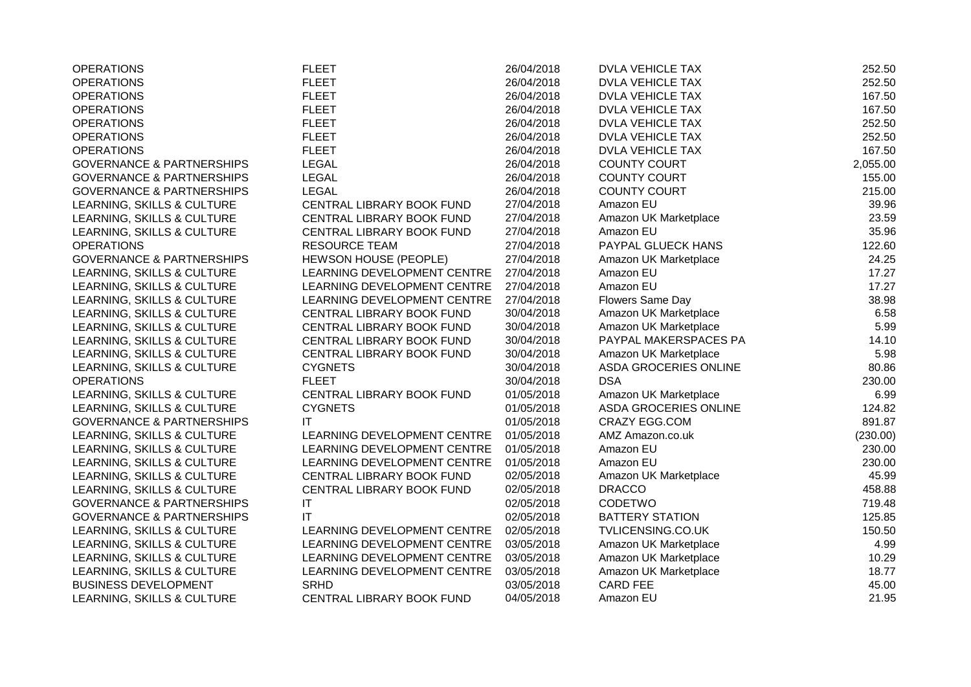| <b>OPERATIONS</b>                    | <b>FLEET</b>                 | 26/04/2018 | <b>DVLA VEHICLE TAX</b> | 252.50   |
|--------------------------------------|------------------------------|------------|-------------------------|----------|
| <b>OPERATIONS</b>                    | <b>FLEET</b>                 | 26/04/2018 | <b>DVLA VEHICLE TAX</b> | 252.50   |
| <b>OPERATIONS</b>                    | <b>FLEET</b>                 | 26/04/2018 | <b>DVLA VEHICLE TAX</b> | 167.50   |
| <b>OPERATIONS</b>                    | <b>FLEET</b>                 | 26/04/2018 | <b>DVLA VEHICLE TAX</b> | 167.50   |
| <b>OPERATIONS</b>                    | <b>FLEET</b>                 | 26/04/2018 | <b>DVLA VEHICLE TAX</b> | 252.50   |
| <b>OPERATIONS</b>                    | <b>FLEET</b>                 | 26/04/2018 | <b>DVLA VEHICLE TAX</b> | 252.50   |
| <b>OPERATIONS</b>                    | <b>FLEET</b>                 | 26/04/2018 | <b>DVLA VEHICLE TAX</b> | 167.50   |
| <b>GOVERNANCE &amp; PARTNERSHIPS</b> | <b>LEGAL</b>                 | 26/04/2018 | <b>COUNTY COURT</b>     | 2,055.00 |
| <b>GOVERNANCE &amp; PARTNERSHIPS</b> | <b>LEGAL</b>                 | 26/04/2018 | <b>COUNTY COURT</b>     | 155.00   |
| <b>GOVERNANCE &amp; PARTNERSHIPS</b> | <b>LEGAL</b>                 | 26/04/2018 | <b>COUNTY COURT</b>     | 215.00   |
| LEARNING, SKILLS & CULTURE           | CENTRAL LIBRARY BOOK FUND    | 27/04/2018 | Amazon EU               | 39.96    |
| LEARNING, SKILLS & CULTURE           | CENTRAL LIBRARY BOOK FUND    | 27/04/2018 | Amazon UK Marketplace   | 23.59    |
| LEARNING, SKILLS & CULTURE           | CENTRAL LIBRARY BOOK FUND    | 27/04/2018 | Amazon EU               | 35.96    |
| <b>OPERATIONS</b>                    | <b>RESOURCE TEAM</b>         | 27/04/2018 | PAYPAL GLUECK HANS      | 122.60   |
| <b>GOVERNANCE &amp; PARTNERSHIPS</b> | <b>HEWSON HOUSE (PEOPLE)</b> | 27/04/2018 | Amazon UK Marketplace   | 24.25    |
| LEARNING, SKILLS & CULTURE           | LEARNING DEVELOPMENT CENTRE  | 27/04/2018 | Amazon EU               | 17.27    |
| LEARNING, SKILLS & CULTURE           | LEARNING DEVELOPMENT CENTRE  | 27/04/2018 | Amazon EU               | 17.27    |
| LEARNING, SKILLS & CULTURE           | LEARNING DEVELOPMENT CENTRE  | 27/04/2018 | Flowers Same Day        | 38.98    |
| LEARNING, SKILLS & CULTURE           | CENTRAL LIBRARY BOOK FUND    | 30/04/2018 | Amazon UK Marketplace   | 6.58     |
| LEARNING, SKILLS & CULTURE           | CENTRAL LIBRARY BOOK FUND    | 30/04/2018 | Amazon UK Marketplace   | 5.99     |
| LEARNING, SKILLS & CULTURE           | CENTRAL LIBRARY BOOK FUND    | 30/04/2018 | PAYPAL MAKERSPACES PA   | 14.10    |
| LEARNING, SKILLS & CULTURE           | CENTRAL LIBRARY BOOK FUND    | 30/04/2018 | Amazon UK Marketplace   | 5.98     |
| LEARNING, SKILLS & CULTURE           | <b>CYGNETS</b>               | 30/04/2018 | ASDA GROCERIES ONLINE   | 80.86    |
| <b>OPERATIONS</b>                    | <b>FLEET</b>                 | 30/04/2018 | <b>DSA</b>              | 230.00   |
| LEARNING, SKILLS & CULTURE           | CENTRAL LIBRARY BOOK FUND    | 01/05/2018 | Amazon UK Marketplace   | 6.99     |
| LEARNING, SKILLS & CULTURE           | <b>CYGNETS</b>               | 01/05/2018 | ASDA GROCERIES ONLINE   | 124.82   |
| <b>GOVERNANCE &amp; PARTNERSHIPS</b> | IT                           | 01/05/2018 | <b>CRAZY EGG.COM</b>    | 891.87   |
| LEARNING, SKILLS & CULTURE           | LEARNING DEVELOPMENT CENTRE  | 01/05/2018 | AMZ Amazon.co.uk        | (230.00) |
| LEARNING, SKILLS & CULTURE           | LEARNING DEVELOPMENT CENTRE  | 01/05/2018 | Amazon EU               | 230.00   |
| LEARNING, SKILLS & CULTURE           | LEARNING DEVELOPMENT CENTRE  | 01/05/2018 | Amazon EU               | 230.00   |
| LEARNING, SKILLS & CULTURE           | CENTRAL LIBRARY BOOK FUND    | 02/05/2018 | Amazon UK Marketplace   | 45.99    |
| LEARNING, SKILLS & CULTURE           | CENTRAL LIBRARY BOOK FUND    | 02/05/2018 | <b>DRACCO</b>           | 458.88   |
| <b>GOVERNANCE &amp; PARTNERSHIPS</b> | $\mathsf{I}\mathsf{T}$       | 02/05/2018 | CODETWO                 | 719.48   |
| <b>GOVERNANCE &amp; PARTNERSHIPS</b> | IT                           | 02/05/2018 | <b>BATTERY STATION</b>  | 125.85   |
| LEARNING, SKILLS & CULTURE           | LEARNING DEVELOPMENT CENTRE  | 02/05/2018 | TVLICENSING.CO.UK       | 150.50   |
| LEARNING, SKILLS & CULTURE           | LEARNING DEVELOPMENT CENTRE  | 03/05/2018 | Amazon UK Marketplace   | 4.99     |
| LEARNING, SKILLS & CULTURE           | LEARNING DEVELOPMENT CENTRE  | 03/05/2018 | Amazon UK Marketplace   | 10.29    |
| LEARNING, SKILLS & CULTURE           | LEARNING DEVELOPMENT CENTRE  | 03/05/2018 | Amazon UK Marketplace   | 18.77    |
| <b>BUSINESS DEVELOPMENT</b>          | <b>SRHD</b>                  | 03/05/2018 | <b>CARD FEE</b>         | 45.00    |
| LEARNING, SKILLS & CULTURE           | CENTRAL LIBRARY BOOK FUND    | 04/05/2018 | Amazon EU               | 21.95    |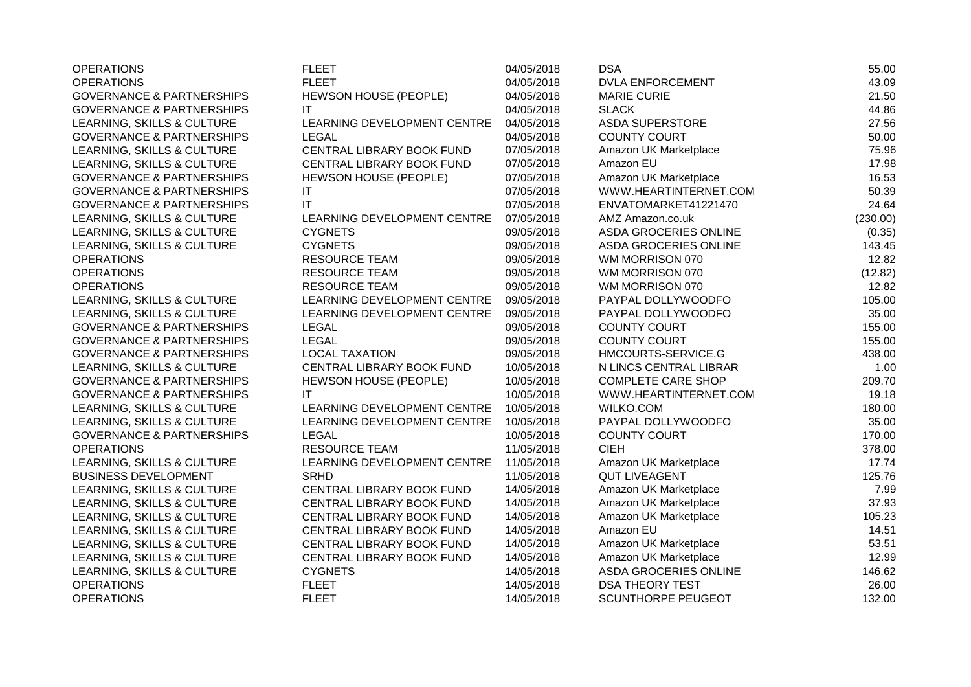| <b>OPERATIONS</b>                    | <b>FLEET</b>                | 04/05/2018 | <b>DSA</b>                | 55.00    |
|--------------------------------------|-----------------------------|------------|---------------------------|----------|
| <b>OPERATIONS</b>                    | <b>FLEET</b>                | 04/05/2018 | <b>DVLA ENFORCEMENT</b>   | 43.09    |
| <b>GOVERNANCE &amp; PARTNERSHIPS</b> | HEWSON HOUSE (PEOPLE)       | 04/05/2018 | <b>MARIE CURIE</b>        | 21.50    |
| <b>GOVERNANCE &amp; PARTNERSHIPS</b> | IT                          | 04/05/2018 | <b>SLACK</b>              | 44.86    |
| LEARNING, SKILLS & CULTURE           | LEARNING DEVELOPMENT CENTRE | 04/05/2018 | <b>ASDA SUPERSTORE</b>    | 27.56    |
| <b>GOVERNANCE &amp; PARTNERSHIPS</b> | LEGAL                       | 04/05/2018 | <b>COUNTY COURT</b>       | 50.00    |
| LEARNING, SKILLS & CULTURE           | CENTRAL LIBRARY BOOK FUND   | 07/05/2018 | Amazon UK Marketplace     | 75.96    |
| LEARNING, SKILLS & CULTURE           | CENTRAL LIBRARY BOOK FUND   | 07/05/2018 | Amazon EU                 | 17.98    |
| <b>GOVERNANCE &amp; PARTNERSHIPS</b> | HEWSON HOUSE (PEOPLE)       | 07/05/2018 | Amazon UK Marketplace     | 16.53    |
| <b>GOVERNANCE &amp; PARTNERSHIPS</b> | IT                          | 07/05/2018 | WWW.HEARTINTERNET.COM     | 50.39    |
| <b>GOVERNANCE &amp; PARTNERSHIPS</b> | IT                          | 07/05/2018 | ENVATOMARKET41221470      | 24.64    |
| LEARNING, SKILLS & CULTURE           | LEARNING DEVELOPMENT CENTRE | 07/05/2018 | AMZ Amazon.co.uk          | (230.00) |
| LEARNING, SKILLS & CULTURE           | <b>CYGNETS</b>              | 09/05/2018 | ASDA GROCERIES ONLINE     | (0.35)   |
| LEARNING, SKILLS & CULTURE           | <b>CYGNETS</b>              | 09/05/2018 | ASDA GROCERIES ONLINE     | 143.45   |
| <b>OPERATIONS</b>                    | <b>RESOURCE TEAM</b>        | 09/05/2018 | WM MORRISON 070           | 12.82    |
| <b>OPERATIONS</b>                    | <b>RESOURCE TEAM</b>        | 09/05/2018 | WM MORRISON 070           | (12.82)  |
| <b>OPERATIONS</b>                    | <b>RESOURCE TEAM</b>        | 09/05/2018 | WM MORRISON 070           | 12.82    |
| LEARNING, SKILLS & CULTURE           | LEARNING DEVELOPMENT CENTRE | 09/05/2018 | PAYPAL DOLLYWOODFO        | 105.00   |
| LEARNING, SKILLS & CULTURE           | LEARNING DEVELOPMENT CENTRE | 09/05/2018 | PAYPAL DOLLYWOODFO        | 35.00    |
| <b>GOVERNANCE &amp; PARTNERSHIPS</b> | <b>LEGAL</b>                | 09/05/2018 | <b>COUNTY COURT</b>       | 155.00   |
| <b>GOVERNANCE &amp; PARTNERSHIPS</b> | <b>LEGAL</b>                | 09/05/2018 | <b>COUNTY COURT</b>       | 155.00   |
| <b>GOVERNANCE &amp; PARTNERSHIPS</b> | <b>LOCAL TAXATION</b>       | 09/05/2018 | HMCOURTS-SERVICE.G        | 438.00   |
| LEARNING, SKILLS & CULTURE           | CENTRAL LIBRARY BOOK FUND   | 10/05/2018 | N LINCS CENTRAL LIBRAR    | 1.00     |
| <b>GOVERNANCE &amp; PARTNERSHIPS</b> | HEWSON HOUSE (PEOPLE)       | 10/05/2018 | <b>COMPLETE CARE SHOP</b> | 209.70   |
| <b>GOVERNANCE &amp; PARTNERSHIPS</b> | IT                          | 10/05/2018 | WWW.HEARTINTERNET.COM     | 19.18    |
| LEARNING, SKILLS & CULTURE           | LEARNING DEVELOPMENT CENTRE | 10/05/2018 | <b>WILKO.COM</b>          | 180.00   |
| LEARNING, SKILLS & CULTURE           | LEARNING DEVELOPMENT CENTRE | 10/05/2018 | PAYPAL DOLLYWOODFO        | 35.00    |
| <b>GOVERNANCE &amp; PARTNERSHIPS</b> | <b>LEGAL</b>                | 10/05/2018 | <b>COUNTY COURT</b>       | 170.00   |
| <b>OPERATIONS</b>                    | <b>RESOURCE TEAM</b>        | 11/05/2018 | <b>CIEH</b>               | 378.00   |
| LEARNING, SKILLS & CULTURE           | LEARNING DEVELOPMENT CENTRE | 11/05/2018 | Amazon UK Marketplace     | 17.74    |
| <b>BUSINESS DEVELOPMENT</b>          | <b>SRHD</b>                 | 11/05/2018 | <b>QUT LIVEAGENT</b>      | 125.76   |
| LEARNING, SKILLS & CULTURE           | CENTRAL LIBRARY BOOK FUND   | 14/05/2018 | Amazon UK Marketplace     | 7.99     |
| LEARNING, SKILLS & CULTURE           | CENTRAL LIBRARY BOOK FUND   | 14/05/2018 | Amazon UK Marketplace     | 37.93    |
| LEARNING, SKILLS & CULTURE           | CENTRAL LIBRARY BOOK FUND   | 14/05/2018 | Amazon UK Marketplace     | 105.23   |
| LEARNING, SKILLS & CULTURE           | CENTRAL LIBRARY BOOK FUND   | 14/05/2018 | Amazon EU                 | 14.51    |
| LEARNING, SKILLS & CULTURE           | CENTRAL LIBRARY BOOK FUND   | 14/05/2018 | Amazon UK Marketplace     | 53.51    |
| LEARNING, SKILLS & CULTURE           | CENTRAL LIBRARY BOOK FUND   | 14/05/2018 | Amazon UK Marketplace     | 12.99    |
| LEARNING, SKILLS & CULTURE           | <b>CYGNETS</b>              | 14/05/2018 | ASDA GROCERIES ONLINE     | 146.62   |
| <b>OPERATIONS</b>                    | <b>FLEET</b>                | 14/05/2018 | <b>DSA THEORY TEST</b>    | 26.00    |
| <b>OPERATIONS</b>                    | <b>FLEET</b>                | 14/05/2018 | <b>SCUNTHORPE PEUGEOT</b> | 132.00   |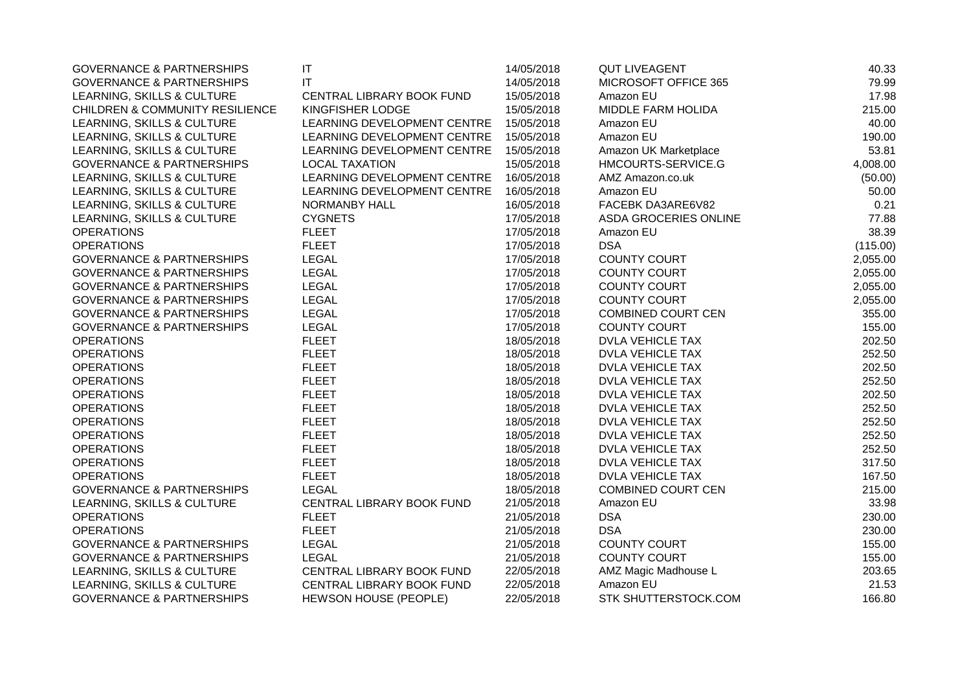| <b>GOVERNANCE &amp; PARTNERSHIPS</b>       | $\mathsf{I}\mathsf{T}$       | 14/05/2018 | <b>QUT LIVEAGENT</b>      | 40.33    |
|--------------------------------------------|------------------------------|------------|---------------------------|----------|
| <b>GOVERNANCE &amp; PARTNERSHIPS</b>       | IT                           | 14/05/2018 | MICROSOFT OFFICE 365      | 79.99    |
| LEARNING, SKILLS & CULTURE                 | CENTRAL LIBRARY BOOK FUND    | 15/05/2018 | Amazon EU                 | 17.98    |
| <b>CHILDREN &amp; COMMUNITY RESILIENCE</b> | KINGFISHER LODGE             | 15/05/2018 | MIDDLE FARM HOLIDA        | 215.00   |
| LEARNING, SKILLS & CULTURE                 | LEARNING DEVELOPMENT CENTRE  | 15/05/2018 | Amazon EU                 | 40.00    |
| LEARNING, SKILLS & CULTURE                 | LEARNING DEVELOPMENT CENTRE  | 15/05/2018 | Amazon EU                 | 190.00   |
| LEARNING, SKILLS & CULTURE                 | LEARNING DEVELOPMENT CENTRE  | 15/05/2018 | Amazon UK Marketplace     | 53.81    |
| <b>GOVERNANCE &amp; PARTNERSHIPS</b>       | <b>LOCAL TAXATION</b>        | 15/05/2018 | HMCOURTS-SERVICE.G        | 4,008.00 |
| LEARNING, SKILLS & CULTURE                 | LEARNING DEVELOPMENT CENTRE  | 16/05/2018 | AMZ Amazon.co.uk          | (50.00)  |
| LEARNING, SKILLS & CULTURE                 | LEARNING DEVELOPMENT CENTRE  | 16/05/2018 | Amazon EU                 | 50.00    |
| LEARNING, SKILLS & CULTURE                 | NORMANBY HALL                | 16/05/2018 | FACEBK DA3ARE6V82         | 0.21     |
| LEARNING, SKILLS & CULTURE                 | <b>CYGNETS</b>               | 17/05/2018 | ASDA GROCERIES ONLINE     | 77.88    |
| <b>OPERATIONS</b>                          | <b>FLEET</b>                 | 17/05/2018 | Amazon EU                 | 38.39    |
| <b>OPERATIONS</b>                          | <b>FLEET</b>                 | 17/05/2018 | <b>DSA</b>                | (115.00) |
| <b>GOVERNANCE &amp; PARTNERSHIPS</b>       | <b>LEGAL</b>                 | 17/05/2018 | <b>COUNTY COURT</b>       | 2,055.00 |
| <b>GOVERNANCE &amp; PARTNERSHIPS</b>       | <b>LEGAL</b>                 | 17/05/2018 | <b>COUNTY COURT</b>       | 2,055.00 |
| <b>GOVERNANCE &amp; PARTNERSHIPS</b>       | <b>LEGAL</b>                 | 17/05/2018 | <b>COUNTY COURT</b>       | 2,055.00 |
| <b>GOVERNANCE &amp; PARTNERSHIPS</b>       | <b>LEGAL</b>                 | 17/05/2018 | <b>COUNTY COURT</b>       | 2,055.00 |
| <b>GOVERNANCE &amp; PARTNERSHIPS</b>       | <b>LEGAL</b>                 | 17/05/2018 | <b>COMBINED COURT CEN</b> | 355.00   |
| <b>GOVERNANCE &amp; PARTNERSHIPS</b>       | <b>LEGAL</b>                 | 17/05/2018 | <b>COUNTY COURT</b>       | 155.00   |
| <b>OPERATIONS</b>                          | <b>FLEET</b>                 | 18/05/2018 | <b>DVLA VEHICLE TAX</b>   | 202.50   |
| <b>OPERATIONS</b>                          | <b>FLEET</b>                 | 18/05/2018 | <b>DVLA VEHICLE TAX</b>   | 252.50   |
| <b>OPERATIONS</b>                          | <b>FLEET</b>                 | 18/05/2018 | <b>DVLA VEHICLE TAX</b>   | 202.50   |
| <b>OPERATIONS</b>                          | <b>FLEET</b>                 | 18/05/2018 | <b>DVLA VEHICLE TAX</b>   | 252.50   |
| <b>OPERATIONS</b>                          | <b>FLEET</b>                 | 18/05/2018 | <b>DVLA VEHICLE TAX</b>   | 202.50   |
| <b>OPERATIONS</b>                          | <b>FLEET</b>                 | 18/05/2018 | DVLA VEHICLE TAX          | 252.50   |
| <b>OPERATIONS</b>                          | <b>FLEET</b>                 | 18/05/2018 | <b>DVLA VEHICLE TAX</b>   | 252.50   |
| <b>OPERATIONS</b>                          | <b>FLEET</b>                 | 18/05/2018 | <b>DVLA VEHICLE TAX</b>   | 252.50   |
| <b>OPERATIONS</b>                          | <b>FLEET</b>                 | 18/05/2018 | <b>DVLA VEHICLE TAX</b>   | 252.50   |
| <b>OPERATIONS</b>                          | <b>FLEET</b>                 | 18/05/2018 | <b>DVLA VEHICLE TAX</b>   | 317.50   |
| <b>OPERATIONS</b>                          | <b>FLEET</b>                 | 18/05/2018 | <b>DVLA VEHICLE TAX</b>   | 167.50   |
| <b>GOVERNANCE &amp; PARTNERSHIPS</b>       | <b>LEGAL</b>                 | 18/05/2018 | <b>COMBINED COURT CEN</b> | 215.00   |
| LEARNING, SKILLS & CULTURE                 | CENTRAL LIBRARY BOOK FUND    | 21/05/2018 | Amazon EU                 | 33.98    |
| <b>OPERATIONS</b>                          | <b>FLEET</b>                 | 21/05/2018 | <b>DSA</b>                | 230.00   |
| <b>OPERATIONS</b>                          | <b>FLEET</b>                 | 21/05/2018 | <b>DSA</b>                | 230.00   |
| <b>GOVERNANCE &amp; PARTNERSHIPS</b>       | <b>LEGAL</b>                 | 21/05/2018 | COUNTY COURT              | 155.00   |
| <b>GOVERNANCE &amp; PARTNERSHIPS</b>       | <b>LEGAL</b>                 | 21/05/2018 | <b>COUNTY COURT</b>       | 155.00   |
| LEARNING, SKILLS & CULTURE                 | CENTRAL LIBRARY BOOK FUND    | 22/05/2018 | AMZ Magic Madhouse L      | 203.65   |
| LEARNING, SKILLS & CULTURE                 | CENTRAL LIBRARY BOOK FUND    | 22/05/2018 | Amazon EU                 | 21.53    |
| <b>GOVERNANCE &amp; PARTNERSHIPS</b>       | <b>HEWSON HOUSE (PEOPLE)</b> | 22/05/2018 | STK SHUTTERSTOCK.COM      | 166.80   |
|                                            |                              |            |                           |          |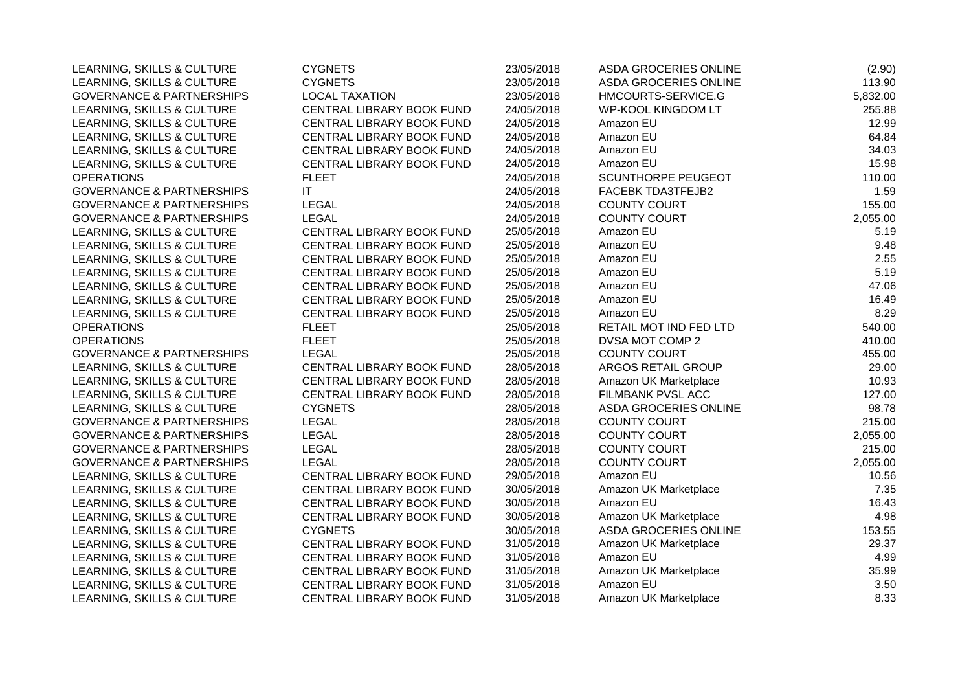| LEARNING, SKILLS & CULTURE           | <b>CYGNETS</b>            | 23/05/2018 | ASDA GROCERIES ONLINE     | (2.90)   |
|--------------------------------------|---------------------------|------------|---------------------------|----------|
| LEARNING, SKILLS & CULTURE           | <b>CYGNETS</b>            | 23/05/2018 | ASDA GROCERIES ONLINE     | 113.90   |
| <b>GOVERNANCE &amp; PARTNERSHIPS</b> | <b>LOCAL TAXATION</b>     | 23/05/2018 | HMCOURTS-SERVICE.G        | 5,832.00 |
| LEARNING, SKILLS & CULTURE           | CENTRAL LIBRARY BOOK FUND | 24/05/2018 | <b>WP-KOOL KINGDOM LT</b> | 255.88   |
| LEARNING, SKILLS & CULTURE           | CENTRAL LIBRARY BOOK FUND | 24/05/2018 | Amazon EU                 | 12.99    |
| LEARNING, SKILLS & CULTURE           | CENTRAL LIBRARY BOOK FUND | 24/05/2018 | Amazon EU                 | 64.84    |
| LEARNING, SKILLS & CULTURE           | CENTRAL LIBRARY BOOK FUND | 24/05/2018 | Amazon EU                 | 34.03    |
| LEARNING, SKILLS & CULTURE           | CENTRAL LIBRARY BOOK FUND | 24/05/2018 | Amazon EU                 | 15.98    |
| <b>OPERATIONS</b>                    | <b>FLEET</b>              | 24/05/2018 | <b>SCUNTHORPE PEUGEOT</b> | 110.00   |
| <b>GOVERNANCE &amp; PARTNERSHIPS</b> | <b>IT</b>                 | 24/05/2018 | FACEBK TDA3TFEJB2         | 1.59     |
| <b>GOVERNANCE &amp; PARTNERSHIPS</b> | <b>LEGAL</b>              | 24/05/2018 | <b>COUNTY COURT</b>       | 155.00   |
| <b>GOVERNANCE &amp; PARTNERSHIPS</b> | LEGAL                     | 24/05/2018 | <b>COUNTY COURT</b>       | 2,055.00 |
| LEARNING, SKILLS & CULTURE           | CENTRAL LIBRARY BOOK FUND | 25/05/2018 | Amazon EU                 | 5.19     |
| LEARNING, SKILLS & CULTURE           | CENTRAL LIBRARY BOOK FUND | 25/05/2018 | Amazon EU                 | 9.48     |
| LEARNING, SKILLS & CULTURE           | CENTRAL LIBRARY BOOK FUND | 25/05/2018 | Amazon EU                 | 2.55     |
| LEARNING, SKILLS & CULTURE           | CENTRAL LIBRARY BOOK FUND | 25/05/2018 | Amazon EU                 | 5.19     |
| LEARNING, SKILLS & CULTURE           | CENTRAL LIBRARY BOOK FUND | 25/05/2018 | Amazon EU                 | 47.06    |
| LEARNING, SKILLS & CULTURE           | CENTRAL LIBRARY BOOK FUND | 25/05/2018 | Amazon EU                 | 16.49    |
| LEARNING, SKILLS & CULTURE           | CENTRAL LIBRARY BOOK FUND | 25/05/2018 | Amazon EU                 | 8.29     |
| <b>OPERATIONS</b>                    | <b>FLEET</b>              | 25/05/2018 | RETAIL MOT IND FED LTD    | 540.00   |
| <b>OPERATIONS</b>                    | <b>FLEET</b>              | 25/05/2018 | DVSA MOT COMP 2           | 410.00   |
| <b>GOVERNANCE &amp; PARTNERSHIPS</b> | <b>LEGAL</b>              | 25/05/2018 | <b>COUNTY COURT</b>       | 455.00   |
| LEARNING, SKILLS & CULTURE           | CENTRAL LIBRARY BOOK FUND | 28/05/2018 | ARGOS RETAIL GROUP        | 29.00    |
| LEARNING, SKILLS & CULTURE           | CENTRAL LIBRARY BOOK FUND | 28/05/2018 | Amazon UK Marketplace     | 10.93    |
| LEARNING, SKILLS & CULTURE           | CENTRAL LIBRARY BOOK FUND | 28/05/2018 | FILMBANK PVSL ACC         | 127.00   |
| LEARNING, SKILLS & CULTURE           | <b>CYGNETS</b>            | 28/05/2018 | ASDA GROCERIES ONLINE     | 98.78    |
| <b>GOVERNANCE &amp; PARTNERSHIPS</b> | <b>LEGAL</b>              | 28/05/2018 | <b>COUNTY COURT</b>       | 215.00   |
| <b>GOVERNANCE &amp; PARTNERSHIPS</b> | LEGAL                     | 28/05/2018 | <b>COUNTY COURT</b>       | 2,055.00 |
| <b>GOVERNANCE &amp; PARTNERSHIPS</b> | <b>LEGAL</b>              | 28/05/2018 | <b>COUNTY COURT</b>       | 215.00   |
| <b>GOVERNANCE &amp; PARTNERSHIPS</b> | <b>LEGAL</b>              | 28/05/2018 | <b>COUNTY COURT</b>       | 2,055.00 |
| LEARNING, SKILLS & CULTURE           | CENTRAL LIBRARY BOOK FUND | 29/05/2018 | Amazon EU                 | 10.56    |
| LEARNING, SKILLS & CULTURE           | CENTRAL LIBRARY BOOK FUND | 30/05/2018 | Amazon UK Marketplace     | 7.35     |
| LEARNING, SKILLS & CULTURE           | CENTRAL LIBRARY BOOK FUND | 30/05/2018 | Amazon EU                 | 16.43    |
| LEARNING, SKILLS & CULTURE           | CENTRAL LIBRARY BOOK FUND | 30/05/2018 | Amazon UK Marketplace     | 4.98     |
| LEARNING, SKILLS & CULTURE           | <b>CYGNETS</b>            | 30/05/2018 | ASDA GROCERIES ONLINE     | 153.55   |
| LEARNING, SKILLS & CULTURE           | CENTRAL LIBRARY BOOK FUND | 31/05/2018 | Amazon UK Marketplace     | 29.37    |
| LEARNING, SKILLS & CULTURE           | CENTRAL LIBRARY BOOK FUND | 31/05/2018 | Amazon EU                 | 4.99     |
| LEARNING, SKILLS & CULTURE           | CENTRAL LIBRARY BOOK FUND | 31/05/2018 | Amazon UK Marketplace     | 35.99    |
| LEARNING, SKILLS & CULTURE           | CENTRAL LIBRARY BOOK FUND | 31/05/2018 | Amazon EU                 | 3.50     |
| LEARNING, SKILLS & CULTURE           | CENTRAL LIBRARY BOOK FUND | 31/05/2018 | Amazon UK Marketplace     | 8.33     |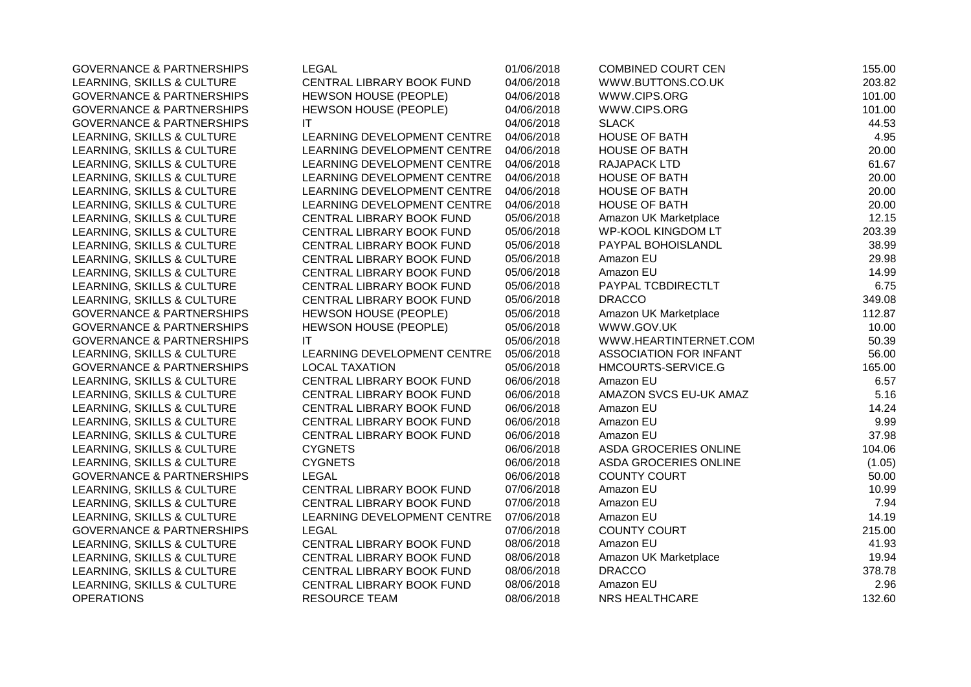| <b>GOVERNANCE &amp; PARTNERSHIPS</b> | LEGAL                        | 01/06/2018 | <b>COMBINED COURT CEN</b>     | 155.00 |
|--------------------------------------|------------------------------|------------|-------------------------------|--------|
| LEARNING, SKILLS & CULTURE           | CENTRAL LIBRARY BOOK FUND    | 04/06/2018 | WWW.BUTTONS.CO.UK             | 203.82 |
| <b>GOVERNANCE &amp; PARTNERSHIPS</b> | <b>HEWSON HOUSE (PEOPLE)</b> | 04/06/2018 | WWW.CIPS.ORG                  | 101.00 |
| <b>GOVERNANCE &amp; PARTNERSHIPS</b> | HEWSON HOUSE (PEOPLE)        | 04/06/2018 | WWW.CIPS.ORG                  | 101.00 |
| <b>GOVERNANCE &amp; PARTNERSHIPS</b> | IT                           | 04/06/2018 | <b>SLACK</b>                  | 44.53  |
| LEARNING, SKILLS & CULTURE           | LEARNING DEVELOPMENT CENTRE  | 04/06/2018 | HOUSE OF BATH                 | 4.95   |
| LEARNING, SKILLS & CULTURE           | LEARNING DEVELOPMENT CENTRE  | 04/06/2018 | HOUSE OF BATH                 | 20.00  |
| LEARNING, SKILLS & CULTURE           | LEARNING DEVELOPMENT CENTRE  | 04/06/2018 | RAJAPACK LTD                  | 61.67  |
| LEARNING, SKILLS & CULTURE           | LEARNING DEVELOPMENT CENTRE  | 04/06/2018 | <b>HOUSE OF BATH</b>          | 20.00  |
| LEARNING, SKILLS & CULTURE           | LEARNING DEVELOPMENT CENTRE  | 04/06/2018 | <b>HOUSE OF BATH</b>          | 20.00  |
| LEARNING, SKILLS & CULTURE           | LEARNING DEVELOPMENT CENTRE  | 04/06/2018 | <b>HOUSE OF BATH</b>          | 20.00  |
| LEARNING, SKILLS & CULTURE           | CENTRAL LIBRARY BOOK FUND    | 05/06/2018 | Amazon UK Marketplace         | 12.15  |
| LEARNING, SKILLS & CULTURE           | CENTRAL LIBRARY BOOK FUND    | 05/06/2018 | <b>WP-KOOL KINGDOM LT</b>     | 203.39 |
| LEARNING, SKILLS & CULTURE           | CENTRAL LIBRARY BOOK FUND    | 05/06/2018 | PAYPAL BOHOISLANDL            | 38.99  |
| LEARNING, SKILLS & CULTURE           | CENTRAL LIBRARY BOOK FUND    | 05/06/2018 | Amazon EU                     | 29.98  |
| LEARNING, SKILLS & CULTURE           | CENTRAL LIBRARY BOOK FUND    | 05/06/2018 | Amazon EU                     | 14.99  |
| LEARNING, SKILLS & CULTURE           | CENTRAL LIBRARY BOOK FUND    | 05/06/2018 | PAYPAL TCBDIRECTLT            | 6.75   |
| LEARNING, SKILLS & CULTURE           | CENTRAL LIBRARY BOOK FUND    | 05/06/2018 | <b>DRACCO</b>                 | 349.08 |
| <b>GOVERNANCE &amp; PARTNERSHIPS</b> | <b>HEWSON HOUSE (PEOPLE)</b> | 05/06/2018 | Amazon UK Marketplace         | 112.87 |
| <b>GOVERNANCE &amp; PARTNERSHIPS</b> | HEWSON HOUSE (PEOPLE)        | 05/06/2018 | WWW.GOV.UK                    | 10.00  |
| <b>GOVERNANCE &amp; PARTNERSHIPS</b> | IT                           | 05/06/2018 | WWW.HEARTINTERNET.COM         | 50.39  |
| LEARNING, SKILLS & CULTURE           | LEARNING DEVELOPMENT CENTRE  | 05/06/2018 | <b>ASSOCIATION FOR INFANT</b> | 56.00  |
| <b>GOVERNANCE &amp; PARTNERSHIPS</b> | <b>LOCAL TAXATION</b>        | 05/06/2018 | HMCOURTS-SERVICE.G            | 165.00 |
| LEARNING, SKILLS & CULTURE           | CENTRAL LIBRARY BOOK FUND    | 06/06/2018 | Amazon EU                     | 6.57   |
| LEARNING, SKILLS & CULTURE           | CENTRAL LIBRARY BOOK FUND    | 06/06/2018 | AMAZON SVCS EU-UK AMAZ        | 5.16   |
| LEARNING, SKILLS & CULTURE           | CENTRAL LIBRARY BOOK FUND    | 06/06/2018 | Amazon EU                     | 14.24  |
| LEARNING, SKILLS & CULTURE           | CENTRAL LIBRARY BOOK FUND    | 06/06/2018 | Amazon EU                     | 9.99   |
| LEARNING, SKILLS & CULTURE           | CENTRAL LIBRARY BOOK FUND    | 06/06/2018 | Amazon EU                     | 37.98  |
| LEARNING, SKILLS & CULTURE           | <b>CYGNETS</b>               | 06/06/2018 | ASDA GROCERIES ONLINE         | 104.06 |
| LEARNING, SKILLS & CULTURE           | <b>CYGNETS</b>               | 06/06/2018 | <b>ASDA GROCERIES ONLINE</b>  | (1.05) |
| <b>GOVERNANCE &amp; PARTNERSHIPS</b> | <b>LEGAL</b>                 | 06/06/2018 | <b>COUNTY COURT</b>           | 50.00  |
| LEARNING, SKILLS & CULTURE           | CENTRAL LIBRARY BOOK FUND    | 07/06/2018 | Amazon EU                     | 10.99  |
| LEARNING, SKILLS & CULTURE           | CENTRAL LIBRARY BOOK FUND    | 07/06/2018 | Amazon EU                     | 7.94   |
| LEARNING, SKILLS & CULTURE           | LEARNING DEVELOPMENT CENTRE  | 07/06/2018 | Amazon EU                     | 14.19  |
| <b>GOVERNANCE &amp; PARTNERSHIPS</b> | <b>LEGAL</b>                 | 07/06/2018 | <b>COUNTY COURT</b>           | 215.00 |
| LEARNING, SKILLS & CULTURE           | CENTRAL LIBRARY BOOK FUND    | 08/06/2018 | Amazon EU                     | 41.93  |
| LEARNING, SKILLS & CULTURE           | CENTRAL LIBRARY BOOK FUND    | 08/06/2018 | Amazon UK Marketplace         | 19.94  |
| LEARNING, SKILLS & CULTURE           | CENTRAL LIBRARY BOOK FUND    | 08/06/2018 | <b>DRACCO</b>                 | 378.78 |
| LEARNING, SKILLS & CULTURE           | CENTRAL LIBRARY BOOK FUND    | 08/06/2018 | Amazon EU                     | 2.96   |
| <b>OPERATIONS</b>                    | <b>RESOURCE TEAM</b>         | 08/06/2018 | NRS HEALTHCARE                | 132.60 |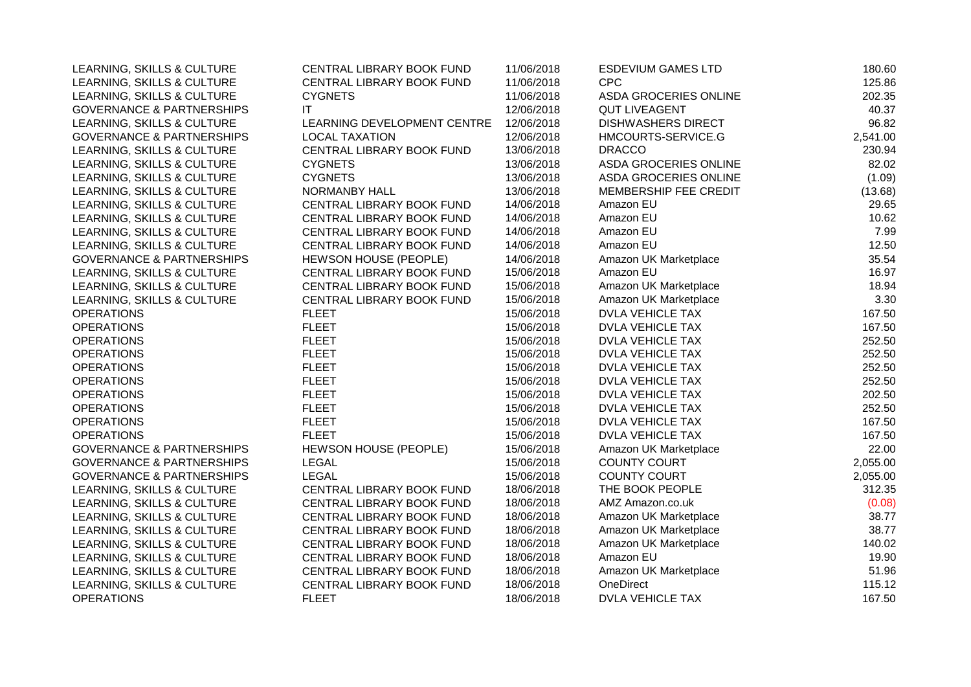| LEARNING, SKILLS & CULTURE           | CENTRAL LIBRARY BOOK FUND    | 11/06/2018 | <b>ESDEVIUM GAMES LTD</b> | 180.60   |
|--------------------------------------|------------------------------|------------|---------------------------|----------|
| LEARNING, SKILLS & CULTURE           | CENTRAL LIBRARY BOOK FUND    | 11/06/2018 | <b>CPC</b>                | 125.86   |
| LEARNING, SKILLS & CULTURE           | <b>CYGNETS</b>               | 11/06/2018 | ASDA GROCERIES ONLINE     | 202.35   |
| <b>GOVERNANCE &amp; PARTNERSHIPS</b> | IT                           | 12/06/2018 | <b>QUT LIVEAGENT</b>      | 40.37    |
| LEARNING, SKILLS & CULTURE           | LEARNING DEVELOPMENT CENTRE  | 12/06/2018 | <b>DISHWASHERS DIRECT</b> | 96.82    |
| <b>GOVERNANCE &amp; PARTNERSHIPS</b> | <b>LOCAL TAXATION</b>        | 12/06/2018 | HMCOURTS-SERVICE.G        | 2,541.00 |
| LEARNING, SKILLS & CULTURE           | CENTRAL LIBRARY BOOK FUND    | 13/06/2018 | <b>DRACCO</b>             | 230.94   |
| LEARNING, SKILLS & CULTURE           | <b>CYGNETS</b>               | 13/06/2018 | ASDA GROCERIES ONLINE     | 82.02    |
| LEARNING, SKILLS & CULTURE           | <b>CYGNETS</b>               | 13/06/2018 | ASDA GROCERIES ONLINE     | (1.09)   |
| LEARNING, SKILLS & CULTURE           | <b>NORMANBY HALL</b>         | 13/06/2018 | MEMBERSHIP FEE CREDIT     | (13.68)  |
| LEARNING, SKILLS & CULTURE           | CENTRAL LIBRARY BOOK FUND    | 14/06/2018 | Amazon EU                 | 29.65    |
| LEARNING, SKILLS & CULTURE           | CENTRAL LIBRARY BOOK FUND    | 14/06/2018 | Amazon EU                 | 10.62    |
| LEARNING, SKILLS & CULTURE           | CENTRAL LIBRARY BOOK FUND    | 14/06/2018 | Amazon EU                 | 7.99     |
| LEARNING, SKILLS & CULTURE           | CENTRAL LIBRARY BOOK FUND    | 14/06/2018 | Amazon EU                 | 12.50    |
| <b>GOVERNANCE &amp; PARTNERSHIPS</b> | <b>HEWSON HOUSE (PEOPLE)</b> | 14/06/2018 | Amazon UK Marketplace     | 35.54    |
| LEARNING, SKILLS & CULTURE           | CENTRAL LIBRARY BOOK FUND    | 15/06/2018 | Amazon EU                 | 16.97    |
| LEARNING, SKILLS & CULTURE           | CENTRAL LIBRARY BOOK FUND    | 15/06/2018 | Amazon UK Marketplace     | 18.94    |
| LEARNING, SKILLS & CULTURE           | CENTRAL LIBRARY BOOK FUND    | 15/06/2018 | Amazon UK Marketplace     | 3.30     |
| <b>OPERATIONS</b>                    | <b>FLEET</b>                 | 15/06/2018 | <b>DVLA VEHICLE TAX</b>   | 167.50   |
| <b>OPERATIONS</b>                    | <b>FLEET</b>                 | 15/06/2018 | DVLA VEHICLE TAX          | 167.50   |
| <b>OPERATIONS</b>                    | <b>FLEET</b>                 | 15/06/2018 | <b>DVLA VEHICLE TAX</b>   | 252.50   |
| <b>OPERATIONS</b>                    | <b>FLEET</b>                 | 15/06/2018 | DVLA VEHICLE TAX          | 252.50   |
| <b>OPERATIONS</b>                    | <b>FLEET</b>                 | 15/06/2018 | <b>DVLA VEHICLE TAX</b>   | 252.50   |
| <b>OPERATIONS</b>                    | <b>FLEET</b>                 | 15/06/2018 | <b>DVLA VEHICLE TAX</b>   | 252.50   |
| <b>OPERATIONS</b>                    | <b>FLEET</b>                 | 15/06/2018 | DVLA VEHICLE TAX          | 202.50   |
| <b>OPERATIONS</b>                    | <b>FLEET</b>                 | 15/06/2018 | DVLA VEHICLE TAX          | 252.50   |
| <b>OPERATIONS</b>                    | <b>FLEET</b>                 | 15/06/2018 | <b>DVLA VEHICLE TAX</b>   | 167.50   |
| <b>OPERATIONS</b>                    | <b>FLEET</b>                 | 15/06/2018 | DVLA VEHICLE TAX          | 167.50   |
| <b>GOVERNANCE &amp; PARTNERSHIPS</b> | HEWSON HOUSE (PEOPLE)        | 15/06/2018 | Amazon UK Marketplace     | 22.00    |
| <b>GOVERNANCE &amp; PARTNERSHIPS</b> | <b>LEGAL</b>                 | 15/06/2018 | <b>COUNTY COURT</b>       | 2,055.00 |
| <b>GOVERNANCE &amp; PARTNERSHIPS</b> | <b>LEGAL</b>                 | 15/06/2018 | <b>COUNTY COURT</b>       | 2,055.00 |
| LEARNING, SKILLS & CULTURE           | CENTRAL LIBRARY BOOK FUND    | 18/06/2018 | THE BOOK PEOPLE           | 312.35   |
| LEARNING, SKILLS & CULTURE           | CENTRAL LIBRARY BOOK FUND    | 18/06/2018 | AMZ Amazon.co.uk          | (0.08)   |
| LEARNING, SKILLS & CULTURE           | CENTRAL LIBRARY BOOK FUND    | 18/06/2018 | Amazon UK Marketplace     | 38.77    |
| LEARNING, SKILLS & CULTURE           | CENTRAL LIBRARY BOOK FUND    | 18/06/2018 | Amazon UK Marketplace     | 38.77    |
| LEARNING, SKILLS & CULTURE           | CENTRAL LIBRARY BOOK FUND    | 18/06/2018 | Amazon UK Marketplace     | 140.02   |
| LEARNING, SKILLS & CULTURE           | CENTRAL LIBRARY BOOK FUND    | 18/06/2018 | Amazon EU                 | 19.90    |
| LEARNING, SKILLS & CULTURE           | CENTRAL LIBRARY BOOK FUND    | 18/06/2018 | Amazon UK Marketplace     | 51.96    |
| LEARNING, SKILLS & CULTURE           | CENTRAL LIBRARY BOOK FUND    | 18/06/2018 | OneDirect                 | 115.12   |
| <b>OPERATIONS</b>                    | <b>FLEET</b>                 | 18/06/2018 | <b>DVLA VEHICLE TAX</b>   | 167.50   |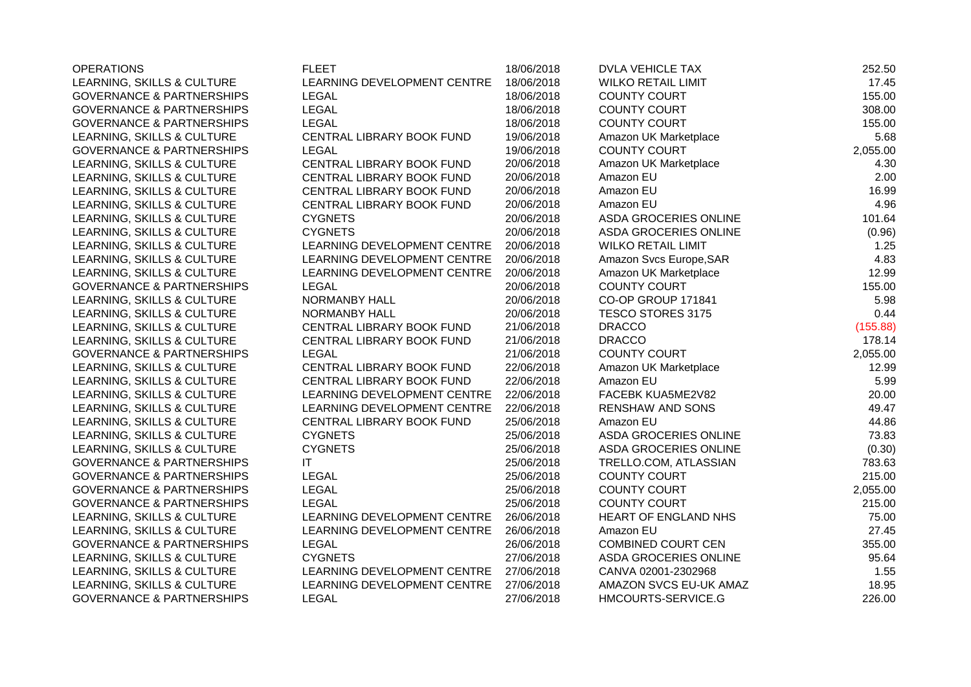| <b>OPERATIONS</b>                    | <b>FLEET</b>                | 18/06/2018 | <b>DVLA VEHICLE TAX</b>   | 252.50   |
|--------------------------------------|-----------------------------|------------|---------------------------|----------|
| LEARNING, SKILLS & CULTURE           | LEARNING DEVELOPMENT CENTRE | 18/06/2018 | <b>WILKO RETAIL LIMIT</b> | 17.45    |
| <b>GOVERNANCE &amp; PARTNERSHIPS</b> | <b>LEGAL</b>                | 18/06/2018 | <b>COUNTY COURT</b>       | 155.00   |
| <b>GOVERNANCE &amp; PARTNERSHIPS</b> | <b>LEGAL</b>                | 18/06/2018 | <b>COUNTY COURT</b>       | 308.00   |
| <b>GOVERNANCE &amp; PARTNERSHIPS</b> | <b>LEGAL</b>                | 18/06/2018 | <b>COUNTY COURT</b>       | 155.00   |
| LEARNING, SKILLS & CULTURE           | CENTRAL LIBRARY BOOK FUND   | 19/06/2018 | Amazon UK Marketplace     | 5.68     |
| <b>GOVERNANCE &amp; PARTNERSHIPS</b> | <b>LEGAL</b>                | 19/06/2018 | <b>COUNTY COURT</b>       | 2,055.00 |
| LEARNING, SKILLS & CULTURE           | CENTRAL LIBRARY BOOK FUND   | 20/06/2018 | Amazon UK Marketplace     | 4.30     |
| LEARNING, SKILLS & CULTURE           | CENTRAL LIBRARY BOOK FUND   | 20/06/2018 | Amazon EU                 | 2.00     |
| LEARNING, SKILLS & CULTURE           | CENTRAL LIBRARY BOOK FUND   | 20/06/2018 | Amazon EU                 | 16.99    |
| LEARNING, SKILLS & CULTURE           | CENTRAL LIBRARY BOOK FUND   | 20/06/2018 | Amazon EU                 | 4.96     |
| LEARNING, SKILLS & CULTURE           | <b>CYGNETS</b>              | 20/06/2018 | ASDA GROCERIES ONLINE     | 101.64   |
| LEARNING, SKILLS & CULTURE           | <b>CYGNETS</b>              | 20/06/2018 | ASDA GROCERIES ONLINE     | (0.96)   |
| LEARNING, SKILLS & CULTURE           | LEARNING DEVELOPMENT CENTRE | 20/06/2018 | <b>WILKO RETAIL LIMIT</b> | 1.25     |
| LEARNING, SKILLS & CULTURE           | LEARNING DEVELOPMENT CENTRE | 20/06/2018 | Amazon Svcs Europe, SAR   | 4.83     |
| LEARNING, SKILLS & CULTURE           | LEARNING DEVELOPMENT CENTRE | 20/06/2018 | Amazon UK Marketplace     | 12.99    |
| <b>GOVERNANCE &amp; PARTNERSHIPS</b> | <b>LEGAL</b>                | 20/06/2018 | <b>COUNTY COURT</b>       | 155.00   |
| LEARNING, SKILLS & CULTURE           | NORMANBY HALL               | 20/06/2018 | CO-OP GROUP 171841        | 5.98     |
| LEARNING, SKILLS & CULTURE           | NORMANBY HALL               | 20/06/2018 | <b>TESCO STORES 3175</b>  | 0.44     |
| LEARNING, SKILLS & CULTURE           | CENTRAL LIBRARY BOOK FUND   | 21/06/2018 | <b>DRACCO</b>             | (155.88) |
| LEARNING, SKILLS & CULTURE           | CENTRAL LIBRARY BOOK FUND   | 21/06/2018 | <b>DRACCO</b>             | 178.14   |
| <b>GOVERNANCE &amp; PARTNERSHIPS</b> | <b>LEGAL</b>                | 21/06/2018 | <b>COUNTY COURT</b>       | 2,055.00 |
| LEARNING, SKILLS & CULTURE           | CENTRAL LIBRARY BOOK FUND   | 22/06/2018 | Amazon UK Marketplace     | 12.99    |
| LEARNING, SKILLS & CULTURE           | CENTRAL LIBRARY BOOK FUND   | 22/06/2018 | Amazon EU                 | 5.99     |
| LEARNING, SKILLS & CULTURE           | LEARNING DEVELOPMENT CENTRE | 22/06/2018 | FACEBK KUA5ME2V82         | 20.00    |
| LEARNING, SKILLS & CULTURE           | LEARNING DEVELOPMENT CENTRE | 22/06/2018 | <b>RENSHAW AND SONS</b>   | 49.47    |
| LEARNING, SKILLS & CULTURE           | CENTRAL LIBRARY BOOK FUND   | 25/06/2018 | Amazon EU                 | 44.86    |
| LEARNING, SKILLS & CULTURE           | <b>CYGNETS</b>              | 25/06/2018 | ASDA GROCERIES ONLINE     | 73.83    |
| LEARNING, SKILLS & CULTURE           | <b>CYGNETS</b>              | 25/06/2018 | ASDA GROCERIES ONLINE     | (0.30)   |
| <b>GOVERNANCE &amp; PARTNERSHIPS</b> | IT                          | 25/06/2018 | TRELLO.COM, ATLASSIAN     | 783.63   |
| <b>GOVERNANCE &amp; PARTNERSHIPS</b> | <b>LEGAL</b>                | 25/06/2018 | <b>COUNTY COURT</b>       | 215.00   |
| <b>GOVERNANCE &amp; PARTNERSHIPS</b> | <b>LEGAL</b>                | 25/06/2018 | <b>COUNTY COURT</b>       | 2,055.00 |
| <b>GOVERNANCE &amp; PARTNERSHIPS</b> | <b>LEGAL</b>                | 25/06/2018 | <b>COUNTY COURT</b>       | 215.00   |
| LEARNING, SKILLS & CULTURE           | LEARNING DEVELOPMENT CENTRE | 26/06/2018 | HEART OF ENGLAND NHS      | 75.00    |
| LEARNING, SKILLS & CULTURE           | LEARNING DEVELOPMENT CENTRE | 26/06/2018 | Amazon EU                 | 27.45    |
| <b>GOVERNANCE &amp; PARTNERSHIPS</b> | <b>LEGAL</b>                | 26/06/2018 | COMBINED COURT CEN        | 355.00   |
| LEARNING, SKILLS & CULTURE           | <b>CYGNETS</b>              | 27/06/2018 | ASDA GROCERIES ONLINE     | 95.64    |
| LEARNING, SKILLS & CULTURE           | LEARNING DEVELOPMENT CENTRE | 27/06/2018 | CANVA 02001-2302968       | 1.55     |
| LEARNING, SKILLS & CULTURE           | LEARNING DEVELOPMENT CENTRE | 27/06/2018 | AMAZON SVCS EU-UK AMAZ    | 18.95    |
| <b>GOVERNANCE &amp; PARTNERSHIPS</b> | <b>LEGAL</b>                | 27/06/2018 | HMCOURTS-SERVICE.G        | 226.00   |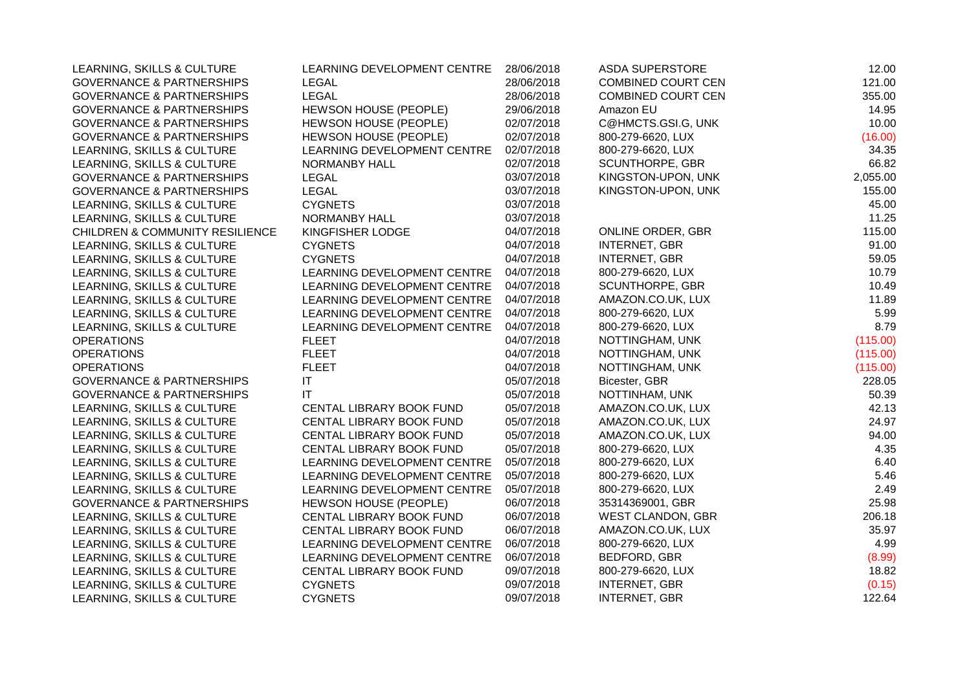| LEARNING, SKILLS & CULTURE                 | LEARNING DEVELOPMENT CENTRE  | 28/06/2018 | <b>ASDA SUPERSTORE</b>    | 12.00    |
|--------------------------------------------|------------------------------|------------|---------------------------|----------|
| <b>GOVERNANCE &amp; PARTNERSHIPS</b>       | <b>LEGAL</b>                 | 28/06/2018 | <b>COMBINED COURT CEN</b> | 121.00   |
| <b>GOVERNANCE &amp; PARTNERSHIPS</b>       | <b>LEGAL</b>                 | 28/06/2018 | <b>COMBINED COURT CEN</b> | 355.00   |
| <b>GOVERNANCE &amp; PARTNERSHIPS</b>       | <b>HEWSON HOUSE (PEOPLE)</b> | 29/06/2018 | Amazon EU                 | 14.95    |
| <b>GOVERNANCE &amp; PARTNERSHIPS</b>       | HEWSON HOUSE (PEOPLE)        | 02/07/2018 | C@HMCTS.GSI.G, UNK        | 10.00    |
| <b>GOVERNANCE &amp; PARTNERSHIPS</b>       | <b>HEWSON HOUSE (PEOPLE)</b> | 02/07/2018 | 800-279-6620, LUX         | (16.00)  |
| LEARNING, SKILLS & CULTURE                 | LEARNING DEVELOPMENT CENTRE  | 02/07/2018 | 800-279-6620, LUX         | 34.35    |
| LEARNING, SKILLS & CULTURE                 | <b>NORMANBY HALL</b>         | 02/07/2018 | SCUNTHORPE, GBR           | 66.82    |
| <b>GOVERNANCE &amp; PARTNERSHIPS</b>       | <b>LEGAL</b>                 | 03/07/2018 | KINGSTON-UPON, UNK        | 2,055.00 |
| <b>GOVERNANCE &amp; PARTNERSHIPS</b>       | <b>LEGAL</b>                 | 03/07/2018 | KINGSTON-UPON, UNK        | 155.00   |
| LEARNING, SKILLS & CULTURE                 | <b>CYGNETS</b>               | 03/07/2018 |                           | 45.00    |
| LEARNING, SKILLS & CULTURE                 | NORMANBY HALL                | 03/07/2018 |                           | 11.25    |
| <b>CHILDREN &amp; COMMUNITY RESILIENCE</b> | KINGFISHER LODGE             | 04/07/2018 | <b>ONLINE ORDER, GBR</b>  | 115.00   |
| LEARNING, SKILLS & CULTURE                 | <b>CYGNETS</b>               | 04/07/2018 | <b>INTERNET, GBR</b>      | 91.00    |
| LEARNING, SKILLS & CULTURE                 | <b>CYGNETS</b>               | 04/07/2018 | <b>INTERNET, GBR</b>      | 59.05    |
| LEARNING, SKILLS & CULTURE                 | LEARNING DEVELOPMENT CENTRE  | 04/07/2018 | 800-279-6620, LUX         | 10.79    |
| LEARNING, SKILLS & CULTURE                 | LEARNING DEVELOPMENT CENTRE  | 04/07/2018 | SCUNTHORPE, GBR           | 10.49    |
| LEARNING, SKILLS & CULTURE                 | LEARNING DEVELOPMENT CENTRE  | 04/07/2018 | AMAZON.CO.UK, LUX         | 11.89    |
| LEARNING, SKILLS & CULTURE                 | LEARNING DEVELOPMENT CENTRE  | 04/07/2018 | 800-279-6620, LUX         | 5.99     |
| LEARNING, SKILLS & CULTURE                 | LEARNING DEVELOPMENT CENTRE  | 04/07/2018 | 800-279-6620, LUX         | 8.79     |
| <b>OPERATIONS</b>                          | <b>FLEET</b>                 | 04/07/2018 | NOTTINGHAM, UNK           | (115.00) |
| <b>OPERATIONS</b>                          | <b>FLEET</b>                 | 04/07/2018 | NOTTINGHAM, UNK           | (115.00) |
| <b>OPERATIONS</b>                          | <b>FLEET</b>                 | 04/07/2018 | NOTTINGHAM, UNK           | (115.00) |
| <b>GOVERNANCE &amp; PARTNERSHIPS</b>       | $\mathsf{I}\mathsf{T}$       | 05/07/2018 | Bicester, GBR             | 228.05   |
| <b>GOVERNANCE &amp; PARTNERSHIPS</b>       | $\mathsf{I}\mathsf{T}$       | 05/07/2018 | NOTTINHAM, UNK            | 50.39    |
| LEARNING, SKILLS & CULTURE                 | CENTAL LIBRARY BOOK FUND     | 05/07/2018 | AMAZON.CO.UK, LUX         | 42.13    |
| LEARNING, SKILLS & CULTURE                 | CENTAL LIBRARY BOOK FUND     | 05/07/2018 | AMAZON.CO.UK, LUX         | 24.97    |
| LEARNING, SKILLS & CULTURE                 | CENTAL LIBRARY BOOK FUND     | 05/07/2018 | AMAZON.CO.UK, LUX         | 94.00    |
| LEARNING, SKILLS & CULTURE                 | CENTAL LIBRARY BOOK FUND     | 05/07/2018 | 800-279-6620, LUX         | 4.35     |
| LEARNING, SKILLS & CULTURE                 | LEARNING DEVELOPMENT CENTRE  | 05/07/2018 | 800-279-6620, LUX         | 6.40     |
| LEARNING, SKILLS & CULTURE                 | LEARNING DEVELOPMENT CENTRE  | 05/07/2018 | 800-279-6620, LUX         | 5.46     |
| LEARNING, SKILLS & CULTURE                 | LEARNING DEVELOPMENT CENTRE  | 05/07/2018 | 800-279-6620, LUX         | 2.49     |
| <b>GOVERNANCE &amp; PARTNERSHIPS</b>       | HEWSON HOUSE (PEOPLE)        | 06/07/2018 | 35314369001, GBR          | 25.98    |
| LEARNING, SKILLS & CULTURE                 | CENTAL LIBRARY BOOK FUND     | 06/07/2018 | WEST CLANDON, GBR         | 206.18   |
| LEARNING, SKILLS & CULTURE                 | CENTAL LIBRARY BOOK FUND     | 06/07/2018 | AMAZON.CO.UK, LUX         | 35.97    |
| LEARNING, SKILLS & CULTURE                 | LEARNING DEVELOPMENT CENTRE  | 06/07/2018 | 800-279-6620, LUX         | 4.99     |
| LEARNING, SKILLS & CULTURE                 | LEARNING DEVELOPMENT CENTRE  | 06/07/2018 | BEDFORD, GBR              | (8.99)   |
| LEARNING, SKILLS & CULTURE                 | CENTAL LIBRARY BOOK FUND     | 09/07/2018 | 800-279-6620, LUX         | 18.82    |
| LEARNING, SKILLS & CULTURE                 | <b>CYGNETS</b>               | 09/07/2018 | <b>INTERNET, GBR</b>      | (0.15)   |
| LEARNING, SKILLS & CULTURE                 | <b>CYGNETS</b>               | 09/07/2018 | <b>INTERNET, GBR</b>      | 122.64   |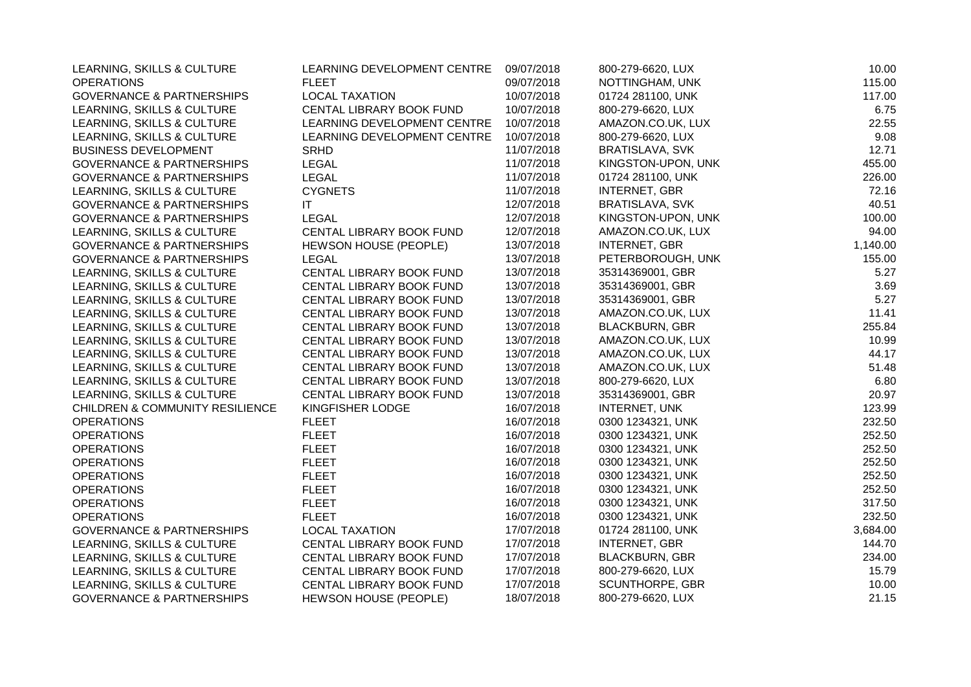| LEARNING, SKILLS & CULTURE                 | LEARNING DEVELOPMENT CENTRE  | 09/07/2018 | 800-279-6620, LUX      | 10.00    |
|--------------------------------------------|------------------------------|------------|------------------------|----------|
| <b>OPERATIONS</b>                          | <b>FLEET</b>                 | 09/07/2018 | NOTTINGHAM, UNK        | 115.00   |
| <b>GOVERNANCE &amp; PARTNERSHIPS</b>       | <b>LOCAL TAXATION</b>        | 10/07/2018 | 01724 281100, UNK      | 117.00   |
| LEARNING, SKILLS & CULTURE                 | CENTAL LIBRARY BOOK FUND     | 10/07/2018 | 800-279-6620, LUX      | 6.75     |
| LEARNING, SKILLS & CULTURE                 | LEARNING DEVELOPMENT CENTRE  | 10/07/2018 | AMAZON.CO.UK, LUX      | 22.55    |
| LEARNING, SKILLS & CULTURE                 | LEARNING DEVELOPMENT CENTRE  | 10/07/2018 | 800-279-6620, LUX      | 9.08     |
| <b>BUSINESS DEVELOPMENT</b>                | <b>SRHD</b>                  | 11/07/2018 | BRATISLAVA, SVK        | 12.71    |
| <b>GOVERNANCE &amp; PARTNERSHIPS</b>       | <b>LEGAL</b>                 | 11/07/2018 | KINGSTON-UPON, UNK     | 455.00   |
| <b>GOVERNANCE &amp; PARTNERSHIPS</b>       | <b>LEGAL</b>                 | 11/07/2018 | 01724 281100, UNK      | 226.00   |
| LEARNING, SKILLS & CULTURE                 | <b>CYGNETS</b>               | 11/07/2018 | <b>INTERNET, GBR</b>   | 72.16    |
| <b>GOVERNANCE &amp; PARTNERSHIPS</b>       | <b>IT</b>                    | 12/07/2018 | BRATISLAVA, SVK        | 40.51    |
| <b>GOVERNANCE &amp; PARTNERSHIPS</b>       | <b>LEGAL</b>                 | 12/07/2018 | KINGSTON-UPON, UNK     | 100.00   |
| LEARNING, SKILLS & CULTURE                 | CENTAL LIBRARY BOOK FUND     | 12/07/2018 | AMAZON.CO.UK, LUX      | 94.00    |
| <b>GOVERNANCE &amp; PARTNERSHIPS</b>       | HEWSON HOUSE (PEOPLE)        | 13/07/2018 | <b>INTERNET, GBR</b>   | 1,140.00 |
| <b>GOVERNANCE &amp; PARTNERSHIPS</b>       | <b>LEGAL</b>                 | 13/07/2018 | PETERBOROUGH, UNK      | 155.00   |
| LEARNING, SKILLS & CULTURE                 | CENTAL LIBRARY BOOK FUND     | 13/07/2018 | 35314369001, GBR       | 5.27     |
| LEARNING, SKILLS & CULTURE                 | CENTAL LIBRARY BOOK FUND     | 13/07/2018 | 35314369001, GBR       | 3.69     |
| LEARNING, SKILLS & CULTURE                 | CENTAL LIBRARY BOOK FUND     | 13/07/2018 | 35314369001, GBR       | 5.27     |
| LEARNING, SKILLS & CULTURE                 | CENTAL LIBRARY BOOK FUND     | 13/07/2018 | AMAZON.CO.UK, LUX      | 11.41    |
| LEARNING, SKILLS & CULTURE                 | CENTAL LIBRARY BOOK FUND     | 13/07/2018 | <b>BLACKBURN, GBR</b>  | 255.84   |
| LEARNING, SKILLS & CULTURE                 | CENTAL LIBRARY BOOK FUND     | 13/07/2018 | AMAZON.CO.UK, LUX      | 10.99    |
| LEARNING, SKILLS & CULTURE                 | CENTAL LIBRARY BOOK FUND     | 13/07/2018 | AMAZON.CO.UK, LUX      | 44.17    |
| LEARNING, SKILLS & CULTURE                 | CENTAL LIBRARY BOOK FUND     | 13/07/2018 | AMAZON.CO.UK, LUX      | 51.48    |
| LEARNING, SKILLS & CULTURE                 | CENTAL LIBRARY BOOK FUND     | 13/07/2018 | 800-279-6620, LUX      | 6.80     |
| LEARNING, SKILLS & CULTURE                 | CENTAL LIBRARY BOOK FUND     | 13/07/2018 | 35314369001, GBR       | 20.97    |
| <b>CHILDREN &amp; COMMUNITY RESILIENCE</b> | KINGFISHER LODGE             | 16/07/2018 | <b>INTERNET, UNK</b>   | 123.99   |
| <b>OPERATIONS</b>                          | <b>FLEET</b>                 | 16/07/2018 | 0300 1234321, UNK      | 232.50   |
| <b>OPERATIONS</b>                          | <b>FLEET</b>                 | 16/07/2018 | 0300 1234321, UNK      | 252.50   |
| <b>OPERATIONS</b>                          | <b>FLEET</b>                 | 16/07/2018 | 0300 1234321, UNK      | 252.50   |
| <b>OPERATIONS</b>                          | <b>FLEET</b>                 | 16/07/2018 | 0300 1234321, UNK      | 252.50   |
| <b>OPERATIONS</b>                          | <b>FLEET</b>                 | 16/07/2018 | 0300 1234321, UNK      | 252.50   |
| <b>OPERATIONS</b>                          | <b>FLEET</b>                 | 16/07/2018 | 0300 1234321, UNK      | 252.50   |
| <b>OPERATIONS</b>                          | <b>FLEET</b>                 | 16/07/2018 | 0300 1234321, UNK      | 317.50   |
| <b>OPERATIONS</b>                          | <b>FLEET</b>                 | 16/07/2018 | 0300 1234321, UNK      | 232.50   |
| <b>GOVERNANCE &amp; PARTNERSHIPS</b>       | <b>LOCAL TAXATION</b>        | 17/07/2018 | 01724 281100, UNK      | 3,684.00 |
| LEARNING, SKILLS & CULTURE                 | CENTAL LIBRARY BOOK FUND     | 17/07/2018 | INTERNET, GBR          | 144.70   |
| LEARNING, SKILLS & CULTURE                 | CENTAL LIBRARY BOOK FUND     | 17/07/2018 | <b>BLACKBURN, GBR</b>  | 234.00   |
| LEARNING, SKILLS & CULTURE                 | CENTAL LIBRARY BOOK FUND     | 17/07/2018 | 800-279-6620, LUX      | 15.79    |
| LEARNING, SKILLS & CULTURE                 | CENTAL LIBRARY BOOK FUND     | 17/07/2018 | <b>SCUNTHORPE, GBR</b> | 10.00    |
| <b>GOVERNANCE &amp; PARTNERSHIPS</b>       | <b>HEWSON HOUSE (PEOPLE)</b> | 18/07/2018 | 800-279-6620, LUX      | 21.15    |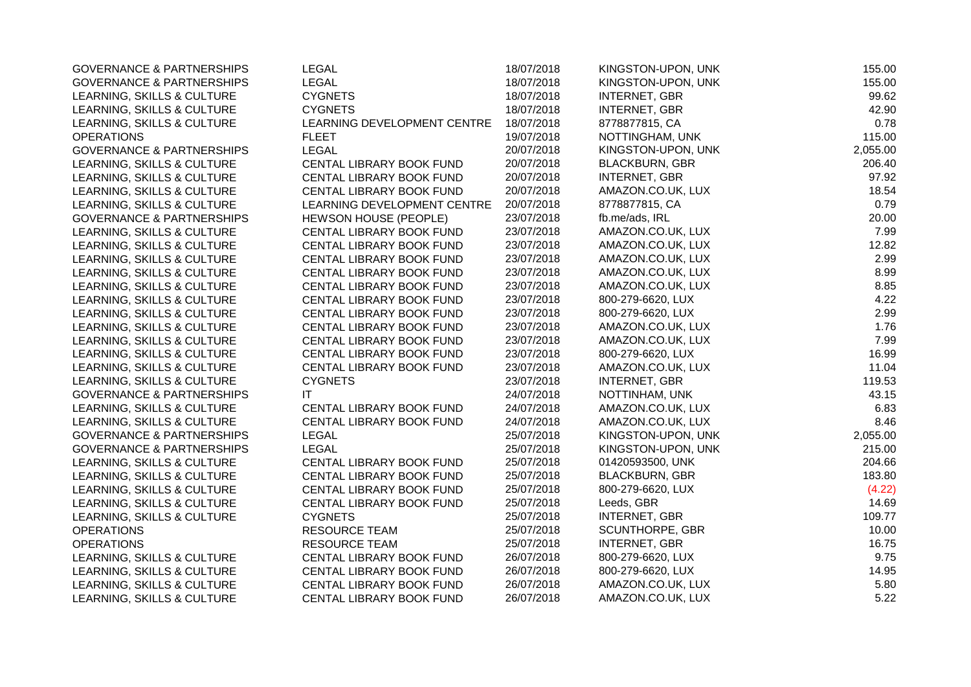| <b>GOVERNANCE &amp; PARTNERSHIPS</b> | <b>LEGAL</b>                 | 18/07/2018 | KINGSTON-UPON, UNK    | 155.00   |
|--------------------------------------|------------------------------|------------|-----------------------|----------|
| <b>GOVERNANCE &amp; PARTNERSHIPS</b> | <b>LEGAL</b>                 | 18/07/2018 | KINGSTON-UPON, UNK    | 155.00   |
| LEARNING, SKILLS & CULTURE           | <b>CYGNETS</b>               | 18/07/2018 | <b>INTERNET, GBR</b>  | 99.62    |
| LEARNING, SKILLS & CULTURE           | <b>CYGNETS</b>               | 18/07/2018 | <b>INTERNET, GBR</b>  | 42.90    |
| LEARNING, SKILLS & CULTURE           | LEARNING DEVELOPMENT CENTRE  | 18/07/2018 | 8778877815, CA        | 0.78     |
| <b>OPERATIONS</b>                    | <b>FLEET</b>                 | 19/07/2018 | NOTTINGHAM, UNK       | 115.00   |
| <b>GOVERNANCE &amp; PARTNERSHIPS</b> | <b>LEGAL</b>                 | 20/07/2018 | KINGSTON-UPON, UNK    | 2,055.00 |
| LEARNING, SKILLS & CULTURE           | CENTAL LIBRARY BOOK FUND     | 20/07/2018 | <b>BLACKBURN, GBR</b> | 206.40   |
| LEARNING, SKILLS & CULTURE           | CENTAL LIBRARY BOOK FUND     | 20/07/2018 | <b>INTERNET, GBR</b>  | 97.92    |
| LEARNING, SKILLS & CULTURE           | CENTAL LIBRARY BOOK FUND     | 20/07/2018 | AMAZON.CO.UK, LUX     | 18.54    |
| LEARNING, SKILLS & CULTURE           | LEARNING DEVELOPMENT CENTRE  | 20/07/2018 | 8778877815, CA        | 0.79     |
| <b>GOVERNANCE &amp; PARTNERSHIPS</b> | <b>HEWSON HOUSE (PEOPLE)</b> | 23/07/2018 | fb.me/ads, IRL        | 20.00    |
| LEARNING, SKILLS & CULTURE           | CENTAL LIBRARY BOOK FUND     | 23/07/2018 | AMAZON.CO.UK, LUX     | 7.99     |
| LEARNING, SKILLS & CULTURE           | CENTAL LIBRARY BOOK FUND     | 23/07/2018 | AMAZON.CO.UK, LUX     | 12.82    |
| LEARNING, SKILLS & CULTURE           | CENTAL LIBRARY BOOK FUND     | 23/07/2018 | AMAZON.CO.UK, LUX     | 2.99     |
| LEARNING, SKILLS & CULTURE           | CENTAL LIBRARY BOOK FUND     | 23/07/2018 | AMAZON.CO.UK, LUX     | 8.99     |
| LEARNING, SKILLS & CULTURE           | CENTAL LIBRARY BOOK FUND     | 23/07/2018 | AMAZON.CO.UK, LUX     | 8.85     |
| LEARNING, SKILLS & CULTURE           | CENTAL LIBRARY BOOK FUND     | 23/07/2018 | 800-279-6620, LUX     | 4.22     |
| LEARNING, SKILLS & CULTURE           | CENTAL LIBRARY BOOK FUND     | 23/07/2018 | 800-279-6620, LUX     | 2.99     |
| LEARNING, SKILLS & CULTURE           | CENTAL LIBRARY BOOK FUND     | 23/07/2018 | AMAZON.CO.UK, LUX     | 1.76     |
| LEARNING, SKILLS & CULTURE           | CENTAL LIBRARY BOOK FUND     | 23/07/2018 | AMAZON.CO.UK, LUX     | 7.99     |
| LEARNING, SKILLS & CULTURE           | CENTAL LIBRARY BOOK FUND     | 23/07/2018 | 800-279-6620, LUX     | 16.99    |
| LEARNING, SKILLS & CULTURE           | CENTAL LIBRARY BOOK FUND     | 23/07/2018 | AMAZON.CO.UK, LUX     | 11.04    |
| LEARNING, SKILLS & CULTURE           | <b>CYGNETS</b>               | 23/07/2018 | <b>INTERNET, GBR</b>  | 119.53   |
| <b>GOVERNANCE &amp; PARTNERSHIPS</b> | IT                           | 24/07/2018 | NOTTINHAM, UNK        | 43.15    |
| LEARNING, SKILLS & CULTURE           | CENTAL LIBRARY BOOK FUND     | 24/07/2018 | AMAZON.CO.UK, LUX     | 6.83     |
| LEARNING, SKILLS & CULTURE           | CENTAL LIBRARY BOOK FUND     | 24/07/2018 | AMAZON.CO.UK, LUX     | 8.46     |
| <b>GOVERNANCE &amp; PARTNERSHIPS</b> | LEGAL                        | 25/07/2018 | KINGSTON-UPON, UNK    | 2,055.00 |
| <b>GOVERNANCE &amp; PARTNERSHIPS</b> | <b>LEGAL</b>                 | 25/07/2018 | KINGSTON-UPON, UNK    | 215.00   |
| LEARNING, SKILLS & CULTURE           | CENTAL LIBRARY BOOK FUND     | 25/07/2018 | 01420593500, UNK      | 204.66   |
| LEARNING, SKILLS & CULTURE           | CENTAL LIBRARY BOOK FUND     | 25/07/2018 | <b>BLACKBURN, GBR</b> | 183.80   |
| LEARNING, SKILLS & CULTURE           | CENTAL LIBRARY BOOK FUND     | 25/07/2018 | 800-279-6620, LUX     | (4.22)   |
| LEARNING, SKILLS & CULTURE           | CENTAL LIBRARY BOOK FUND     | 25/07/2018 | Leeds, GBR            | 14.69    |
| LEARNING, SKILLS & CULTURE           | <b>CYGNETS</b>               | 25/07/2018 | <b>INTERNET, GBR</b>  | 109.77   |
| <b>OPERATIONS</b>                    | RESOURCE TEAM                | 25/07/2018 | SCUNTHORPE, GBR       | 10.00    |
| <b>OPERATIONS</b>                    | <b>RESOURCE TEAM</b>         | 25/07/2018 | INTERNET, GBR         | 16.75    |
| LEARNING, SKILLS & CULTURE           | CENTAL LIBRARY BOOK FUND     | 26/07/2018 | 800-279-6620, LUX     | 9.75     |
| LEARNING, SKILLS & CULTURE           | CENTAL LIBRARY BOOK FUND     | 26/07/2018 | 800-279-6620, LUX     | 14.95    |
| LEARNING, SKILLS & CULTURE           | CENTAL LIBRARY BOOK FUND     | 26/07/2018 | AMAZON.CO.UK, LUX     | 5.80     |
| LEARNING, SKILLS & CULTURE           | CENTAL LIBRARY BOOK FUND     | 26/07/2018 | AMAZON.CO.UK, LUX     | 5.22     |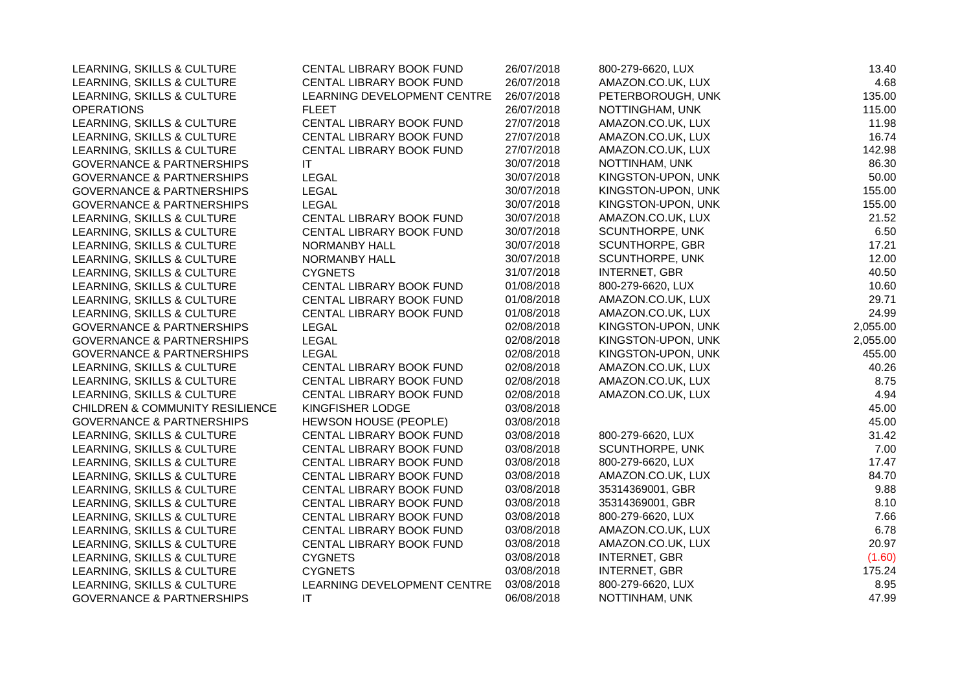| LEARNING, SKILLS & CULTURE                 | CENTAL LIBRARY BOOK FUND    | 26/07/2018 | 800-279-6620, LUX    | 13.40    |
|--------------------------------------------|-----------------------------|------------|----------------------|----------|
| LEARNING, SKILLS & CULTURE                 | CENTAL LIBRARY BOOK FUND    | 26/07/2018 | AMAZON.CO.UK, LUX    | 4.68     |
| LEARNING, SKILLS & CULTURE                 | LEARNING DEVELOPMENT CENTRE | 26/07/2018 | PETERBOROUGH, UNK    | 135.00   |
| <b>OPERATIONS</b>                          | <b>FLEET</b>                | 26/07/2018 | NOTTINGHAM, UNK      | 115.00   |
| LEARNING, SKILLS & CULTURE                 | CENTAL LIBRARY BOOK FUND    | 27/07/2018 | AMAZON.CO.UK, LUX    | 11.98    |
| LEARNING, SKILLS & CULTURE                 | CENTAL LIBRARY BOOK FUND    | 27/07/2018 | AMAZON.CO.UK, LUX    | 16.74    |
| LEARNING, SKILLS & CULTURE                 | CENTAL LIBRARY BOOK FUND    | 27/07/2018 | AMAZON.CO.UK, LUX    | 142.98   |
| <b>GOVERNANCE &amp; PARTNERSHIPS</b>       | IT                          | 30/07/2018 | NOTTINHAM, UNK       | 86.30    |
| <b>GOVERNANCE &amp; PARTNERSHIPS</b>       | <b>LEGAL</b>                | 30/07/2018 | KINGSTON-UPON, UNK   | 50.00    |
| <b>GOVERNANCE &amp; PARTNERSHIPS</b>       | <b>LEGAL</b>                | 30/07/2018 | KINGSTON-UPON, UNK   | 155.00   |
| <b>GOVERNANCE &amp; PARTNERSHIPS</b>       | <b>LEGAL</b>                | 30/07/2018 | KINGSTON-UPON, UNK   | 155.00   |
| LEARNING, SKILLS & CULTURE                 | CENTAL LIBRARY BOOK FUND    | 30/07/2018 | AMAZON.CO.UK, LUX    | 21.52    |
| LEARNING, SKILLS & CULTURE                 | CENTAL LIBRARY BOOK FUND    | 30/07/2018 | SCUNTHORPE, UNK      | 6.50     |
| LEARNING, SKILLS & CULTURE                 | NORMANBY HALL               | 30/07/2018 | SCUNTHORPE, GBR      | 17.21    |
| LEARNING, SKILLS & CULTURE                 | NORMANBY HALL               | 30/07/2018 | SCUNTHORPE, UNK      | 12.00    |
| LEARNING, SKILLS & CULTURE                 | <b>CYGNETS</b>              | 31/07/2018 | <b>INTERNET, GBR</b> | 40.50    |
| LEARNING, SKILLS & CULTURE                 | CENTAL LIBRARY BOOK FUND    | 01/08/2018 | 800-279-6620, LUX    | 10.60    |
| LEARNING, SKILLS & CULTURE                 | CENTAL LIBRARY BOOK FUND    | 01/08/2018 | AMAZON.CO.UK, LUX    | 29.71    |
| LEARNING, SKILLS & CULTURE                 | CENTAL LIBRARY BOOK FUND    | 01/08/2018 | AMAZON.CO.UK, LUX    | 24.99    |
| <b>GOVERNANCE &amp; PARTNERSHIPS</b>       | <b>LEGAL</b>                | 02/08/2018 | KINGSTON-UPON, UNK   | 2,055.00 |
| <b>GOVERNANCE &amp; PARTNERSHIPS</b>       | <b>LEGAL</b>                | 02/08/2018 | KINGSTON-UPON, UNK   | 2,055.00 |
| <b>GOVERNANCE &amp; PARTNERSHIPS</b>       | <b>LEGAL</b>                | 02/08/2018 | KINGSTON-UPON, UNK   | 455.00   |
| LEARNING, SKILLS & CULTURE                 | CENTAL LIBRARY BOOK FUND    | 02/08/2018 | AMAZON.CO.UK, LUX    | 40.26    |
| LEARNING, SKILLS & CULTURE                 | CENTAL LIBRARY BOOK FUND    | 02/08/2018 | AMAZON.CO.UK, LUX    | 8.75     |
| LEARNING, SKILLS & CULTURE                 | CENTAL LIBRARY BOOK FUND    | 02/08/2018 | AMAZON.CO.UK, LUX    | 4.94     |
| <b>CHILDREN &amp; COMMUNITY RESILIENCE</b> | KINGFISHER LODGE            | 03/08/2018 |                      | 45.00    |
| <b>GOVERNANCE &amp; PARTNERSHIPS</b>       | HEWSON HOUSE (PEOPLE)       | 03/08/2018 |                      | 45.00    |
| LEARNING, SKILLS & CULTURE                 | CENTAL LIBRARY BOOK FUND    | 03/08/2018 | 800-279-6620, LUX    | 31.42    |
| LEARNING, SKILLS & CULTURE                 | CENTAL LIBRARY BOOK FUND    | 03/08/2018 | SCUNTHORPE, UNK      | 7.00     |
| LEARNING, SKILLS & CULTURE                 | CENTAL LIBRARY BOOK FUND    | 03/08/2018 | 800-279-6620, LUX    | 17.47    |
| LEARNING, SKILLS & CULTURE                 | CENTAL LIBRARY BOOK FUND    | 03/08/2018 | AMAZON.CO.UK, LUX    | 84.70    |
| LEARNING, SKILLS & CULTURE                 | CENTAL LIBRARY BOOK FUND    | 03/08/2018 | 35314369001, GBR     | 9.88     |
| LEARNING, SKILLS & CULTURE                 | CENTAL LIBRARY BOOK FUND    | 03/08/2018 | 35314369001, GBR     | 8.10     |
| LEARNING, SKILLS & CULTURE                 | CENTAL LIBRARY BOOK FUND    | 03/08/2018 | 800-279-6620, LUX    | 7.66     |
| LEARNING, SKILLS & CULTURE                 | CENTAL LIBRARY BOOK FUND    | 03/08/2018 | AMAZON.CO.UK, LUX    | 6.78     |
| LEARNING, SKILLS & CULTURE                 | CENTAL LIBRARY BOOK FUND    | 03/08/2018 | AMAZON.CO.UK, LUX    | 20.97    |
| LEARNING, SKILLS & CULTURE                 | <b>CYGNETS</b>              | 03/08/2018 | <b>INTERNET, GBR</b> | (1.60)   |
| LEARNING, SKILLS & CULTURE                 | <b>CYGNETS</b>              | 03/08/2018 | <b>INTERNET, GBR</b> | 175.24   |
| LEARNING, SKILLS & CULTURE                 | LEARNING DEVELOPMENT CENTRE | 03/08/2018 | 800-279-6620, LUX    | 8.95     |
| <b>GOVERNANCE &amp; PARTNERSHIPS</b>       | IT                          | 06/08/2018 | NOTTINHAM, UNK       | 47.99    |
|                                            |                             |            |                      |          |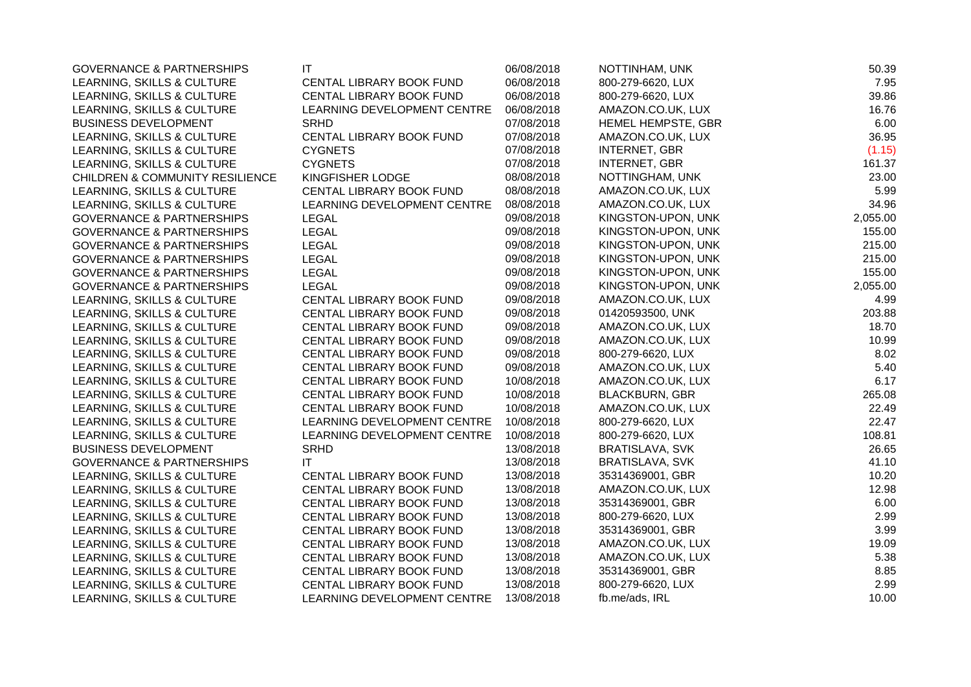| <b>GOVERNANCE &amp; PARTNERSHIPS</b>       | IT                          | 06/08/2018 | NOTTINHAM, UNK         | 50.39    |
|--------------------------------------------|-----------------------------|------------|------------------------|----------|
| LEARNING, SKILLS & CULTURE                 | CENTAL LIBRARY BOOK FUND    | 06/08/2018 | 800-279-6620, LUX      | 7.95     |
| LEARNING, SKILLS & CULTURE                 | CENTAL LIBRARY BOOK FUND    | 06/08/2018 | 800-279-6620, LUX      | 39.86    |
| LEARNING, SKILLS & CULTURE                 | LEARNING DEVELOPMENT CENTRE | 06/08/2018 | AMAZON.CO.UK, LUX      | 16.76    |
| <b>BUSINESS DEVELOPMENT</b>                | <b>SRHD</b>                 | 07/08/2018 | HEMEL HEMPSTE, GBR     | 6.00     |
| LEARNING, SKILLS & CULTURE                 | CENTAL LIBRARY BOOK FUND    | 07/08/2018 | AMAZON.CO.UK, LUX      | 36.95    |
| LEARNING, SKILLS & CULTURE                 | <b>CYGNETS</b>              | 07/08/2018 | <b>INTERNET, GBR</b>   | (1.15)   |
| LEARNING, SKILLS & CULTURE                 | <b>CYGNETS</b>              | 07/08/2018 | <b>INTERNET, GBR</b>   | 161.37   |
| <b>CHILDREN &amp; COMMUNITY RESILIENCE</b> | KINGFISHER LODGE            | 08/08/2018 | NOTTINGHAM, UNK        | 23.00    |
| LEARNING, SKILLS & CULTURE                 | CENTAL LIBRARY BOOK FUND    | 08/08/2018 | AMAZON.CO.UK, LUX      | 5.99     |
| LEARNING, SKILLS & CULTURE                 | LEARNING DEVELOPMENT CENTRE | 08/08/2018 | AMAZON.CO.UK, LUX      | 34.96    |
| <b>GOVERNANCE &amp; PARTNERSHIPS</b>       | <b>LEGAL</b>                | 09/08/2018 | KINGSTON-UPON, UNK     | 2,055.00 |
| <b>GOVERNANCE &amp; PARTNERSHIPS</b>       | <b>LEGAL</b>                | 09/08/2018 | KINGSTON-UPON, UNK     | 155.00   |
| <b>GOVERNANCE &amp; PARTNERSHIPS</b>       | <b>LEGAL</b>                | 09/08/2018 | KINGSTON-UPON, UNK     | 215.00   |
| <b>GOVERNANCE &amp; PARTNERSHIPS</b>       | <b>LEGAL</b>                | 09/08/2018 | KINGSTON-UPON, UNK     | 215.00   |
| <b>GOVERNANCE &amp; PARTNERSHIPS</b>       | <b>LEGAL</b>                | 09/08/2018 | KINGSTON-UPON, UNK     | 155.00   |
| <b>GOVERNANCE &amp; PARTNERSHIPS</b>       | <b>LEGAL</b>                | 09/08/2018 | KINGSTON-UPON, UNK     | 2,055.00 |
| LEARNING, SKILLS & CULTURE                 | CENTAL LIBRARY BOOK FUND    | 09/08/2018 | AMAZON.CO.UK, LUX      | 4.99     |
| LEARNING, SKILLS & CULTURE                 | CENTAL LIBRARY BOOK FUND    | 09/08/2018 | 01420593500, UNK       | 203.88   |
| LEARNING, SKILLS & CULTURE                 | CENTAL LIBRARY BOOK FUND    | 09/08/2018 | AMAZON.CO.UK, LUX      | 18.70    |
| LEARNING, SKILLS & CULTURE                 | CENTAL LIBRARY BOOK FUND    | 09/08/2018 | AMAZON.CO.UK, LUX      | 10.99    |
| LEARNING, SKILLS & CULTURE                 | CENTAL LIBRARY BOOK FUND    | 09/08/2018 | 800-279-6620, LUX      | 8.02     |
| LEARNING, SKILLS & CULTURE                 | CENTAL LIBRARY BOOK FUND    | 09/08/2018 | AMAZON.CO.UK, LUX      | 5.40     |
| LEARNING, SKILLS & CULTURE                 | CENTAL LIBRARY BOOK FUND    | 10/08/2018 | AMAZON.CO.UK, LUX      | 6.17     |
| LEARNING, SKILLS & CULTURE                 | CENTAL LIBRARY BOOK FUND    | 10/08/2018 | <b>BLACKBURN, GBR</b>  | 265.08   |
| LEARNING, SKILLS & CULTURE                 | CENTAL LIBRARY BOOK FUND    | 10/08/2018 | AMAZON.CO.UK, LUX      | 22.49    |
| LEARNING, SKILLS & CULTURE                 | LEARNING DEVELOPMENT CENTRE | 10/08/2018 | 800-279-6620, LUX      | 22.47    |
| LEARNING, SKILLS & CULTURE                 | LEARNING DEVELOPMENT CENTRE | 10/08/2018 | 800-279-6620, LUX      | 108.81   |
| <b>BUSINESS DEVELOPMENT</b>                | <b>SRHD</b>                 | 13/08/2018 | <b>BRATISLAVA, SVK</b> | 26.65    |
| <b>GOVERNANCE &amp; PARTNERSHIPS</b>       | IT                          | 13/08/2018 | <b>BRATISLAVA, SVK</b> | 41.10    |
| LEARNING, SKILLS & CULTURE                 | CENTAL LIBRARY BOOK FUND    | 13/08/2018 | 35314369001, GBR       | 10.20    |
| LEARNING, SKILLS & CULTURE                 | CENTAL LIBRARY BOOK FUND    | 13/08/2018 | AMAZON.CO.UK, LUX      | 12.98    |
| LEARNING, SKILLS & CULTURE                 | CENTAL LIBRARY BOOK FUND    | 13/08/2018 | 35314369001, GBR       | 6.00     |
| LEARNING, SKILLS & CULTURE                 | CENTAL LIBRARY BOOK FUND    | 13/08/2018 | 800-279-6620, LUX      | 2.99     |
| LEARNING, SKILLS & CULTURE                 | CENTAL LIBRARY BOOK FUND    | 13/08/2018 | 35314369001, GBR       | 3.99     |
| LEARNING, SKILLS & CULTURE                 | CENTAL LIBRARY BOOK FUND    | 13/08/2018 | AMAZON.CO.UK, LUX      | 19.09    |
| LEARNING, SKILLS & CULTURE                 | CENTAL LIBRARY BOOK FUND    | 13/08/2018 | AMAZON.CO.UK, LUX      | 5.38     |
| LEARNING, SKILLS & CULTURE                 | CENTAL LIBRARY BOOK FUND    | 13/08/2018 | 35314369001, GBR       | 8.85     |
| LEARNING, SKILLS & CULTURE                 | CENTAL LIBRARY BOOK FUND    | 13/08/2018 | 800-279-6620, LUX      | 2.99     |
| LEARNING, SKILLS & CULTURE                 | LEARNING DEVELOPMENT CENTRE | 13/08/2018 | fb.me/ads, IRL         | 10.00    |
|                                            |                             |            |                        |          |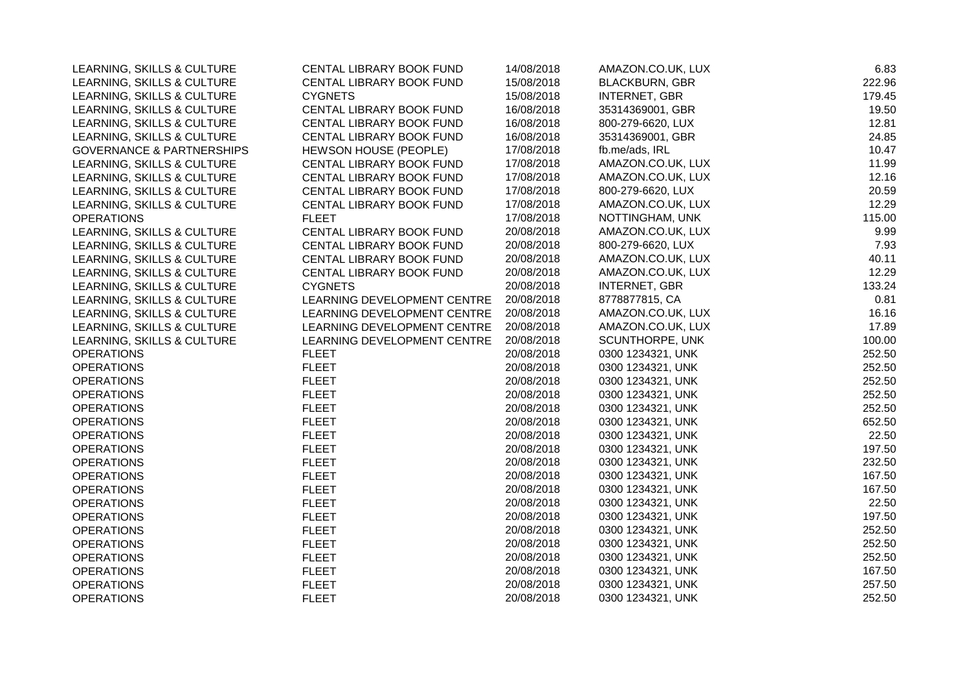| LEARNING, SKILLS & CULTURE           | CENTAL LIBRARY BOOK FUND     | 14/08/2018 | AMAZON.CO.UK, LUX      | 6.83   |
|--------------------------------------|------------------------------|------------|------------------------|--------|
| LEARNING, SKILLS & CULTURE           | CENTAL LIBRARY BOOK FUND     | 15/08/2018 | <b>BLACKBURN, GBR</b>  | 222.96 |
| LEARNING, SKILLS & CULTURE           | <b>CYGNETS</b>               | 15/08/2018 | <b>INTERNET, GBR</b>   | 179.45 |
| LEARNING, SKILLS & CULTURE           | CENTAL LIBRARY BOOK FUND     | 16/08/2018 | 35314369001, GBR       | 19.50  |
| LEARNING, SKILLS & CULTURE           | CENTAL LIBRARY BOOK FUND     | 16/08/2018 | 800-279-6620, LUX      | 12.81  |
| LEARNING, SKILLS & CULTURE           | CENTAL LIBRARY BOOK FUND     | 16/08/2018 | 35314369001, GBR       | 24.85  |
| <b>GOVERNANCE &amp; PARTNERSHIPS</b> | <b>HEWSON HOUSE (PEOPLE)</b> | 17/08/2018 | fb.me/ads, IRL         | 10.47  |
| LEARNING, SKILLS & CULTURE           | CENTAL LIBRARY BOOK FUND     | 17/08/2018 | AMAZON.CO.UK, LUX      | 11.99  |
| LEARNING, SKILLS & CULTURE           | CENTAL LIBRARY BOOK FUND     | 17/08/2018 | AMAZON.CO.UK, LUX      | 12.16  |
| LEARNING, SKILLS & CULTURE           | CENTAL LIBRARY BOOK FUND     | 17/08/2018 | 800-279-6620, LUX      | 20.59  |
| LEARNING, SKILLS & CULTURE           | CENTAL LIBRARY BOOK FUND     | 17/08/2018 | AMAZON.CO.UK, LUX      | 12.29  |
| <b>OPERATIONS</b>                    | <b>FLEET</b>                 | 17/08/2018 | NOTTINGHAM, UNK        | 115.00 |
| LEARNING, SKILLS & CULTURE           | CENTAL LIBRARY BOOK FUND     | 20/08/2018 | AMAZON.CO.UK, LUX      | 9.99   |
| LEARNING, SKILLS & CULTURE           | CENTAL LIBRARY BOOK FUND     | 20/08/2018 | 800-279-6620, LUX      | 7.93   |
| LEARNING, SKILLS & CULTURE           | CENTAL LIBRARY BOOK FUND     | 20/08/2018 | AMAZON.CO.UK, LUX      | 40.11  |
| LEARNING, SKILLS & CULTURE           | CENTAL LIBRARY BOOK FUND     | 20/08/2018 | AMAZON.CO.UK, LUX      | 12.29  |
| LEARNING, SKILLS & CULTURE           | <b>CYGNETS</b>               | 20/08/2018 | <b>INTERNET, GBR</b>   | 133.24 |
| LEARNING, SKILLS & CULTURE           | LEARNING DEVELOPMENT CENTRE  | 20/08/2018 | 8778877815, CA         | 0.81   |
| LEARNING, SKILLS & CULTURE           | LEARNING DEVELOPMENT CENTRE  | 20/08/2018 | AMAZON.CO.UK, LUX      | 16.16  |
| LEARNING, SKILLS & CULTURE           | LEARNING DEVELOPMENT CENTRE  | 20/08/2018 | AMAZON.CO.UK, LUX      | 17.89  |
| LEARNING, SKILLS & CULTURE           | LEARNING DEVELOPMENT CENTRE  | 20/08/2018 | <b>SCUNTHORPE, UNK</b> | 100.00 |
| <b>OPERATIONS</b>                    | <b>FLEET</b>                 | 20/08/2018 | 0300 1234321, UNK      | 252.50 |
| <b>OPERATIONS</b>                    | <b>FLEET</b>                 | 20/08/2018 | 0300 1234321, UNK      | 252.50 |
| <b>OPERATIONS</b>                    | <b>FLEET</b>                 | 20/08/2018 | 0300 1234321, UNK      | 252.50 |
| <b>OPERATIONS</b>                    | <b>FLEET</b>                 | 20/08/2018 | 0300 1234321, UNK      | 252.50 |
| <b>OPERATIONS</b>                    | <b>FLEET</b>                 | 20/08/2018 | 0300 1234321, UNK      | 252.50 |
| <b>OPERATIONS</b>                    | <b>FLEET</b>                 | 20/08/2018 | 0300 1234321, UNK      | 652.50 |
| <b>OPERATIONS</b>                    | <b>FLEET</b>                 | 20/08/2018 | 0300 1234321, UNK      | 22.50  |
| <b>OPERATIONS</b>                    | <b>FLEET</b>                 | 20/08/2018 | 0300 1234321, UNK      | 197.50 |
| <b>OPERATIONS</b>                    | <b>FLEET</b>                 | 20/08/2018 | 0300 1234321, UNK      | 232.50 |
| <b>OPERATIONS</b>                    | <b>FLEET</b>                 | 20/08/2018 | 0300 1234321, UNK      | 167.50 |
| <b>OPERATIONS</b>                    | <b>FLEET</b>                 | 20/08/2018 | 0300 1234321, UNK      | 167.50 |
| <b>OPERATIONS</b>                    | <b>FLEET</b>                 | 20/08/2018 | 0300 1234321, UNK      | 22.50  |
| <b>OPERATIONS</b>                    | <b>FLEET</b>                 | 20/08/2018 | 0300 1234321, UNK      | 197.50 |
| <b>OPERATIONS</b>                    | <b>FLEET</b>                 | 20/08/2018 | 0300 1234321, UNK      | 252.50 |
| <b>OPERATIONS</b>                    | <b>FLEET</b>                 | 20/08/2018 | 0300 1234321, UNK      | 252.50 |
| <b>OPERATIONS</b>                    | <b>FLEET</b>                 | 20/08/2018 | 0300 1234321, UNK      | 252.50 |
| <b>OPERATIONS</b>                    | <b>FLEET</b>                 | 20/08/2018 | 0300 1234321, UNK      | 167.50 |
| <b>OPERATIONS</b>                    | <b>FLEET</b>                 | 20/08/2018 | 0300 1234321, UNK      | 257.50 |
| <b>OPERATIONS</b>                    | <b>FLEET</b>                 | 20/08/2018 | 0300 1234321, UNK      | 252.50 |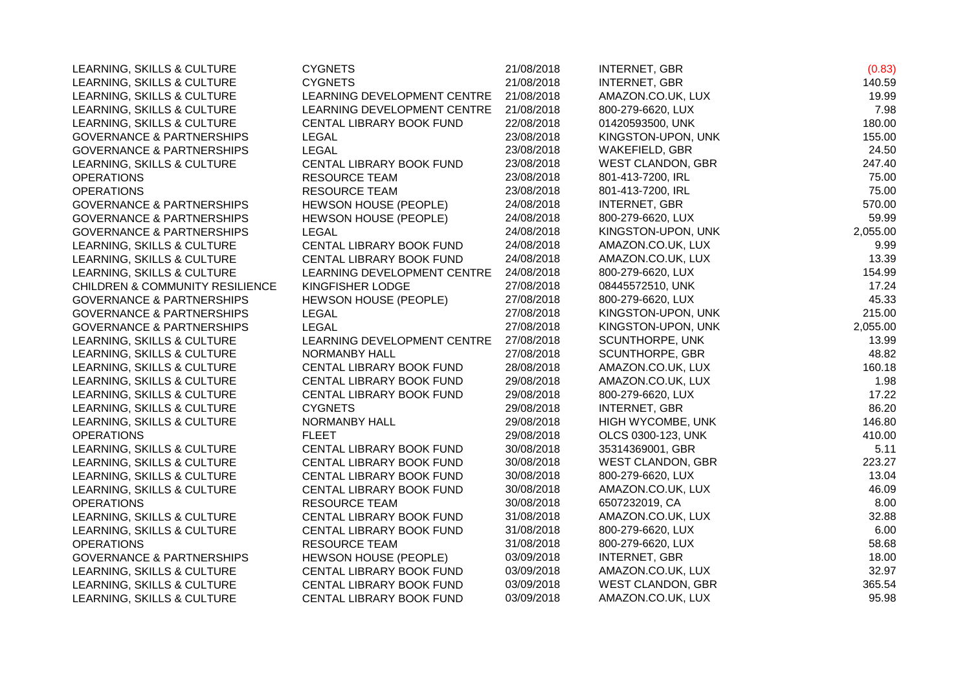| LEARNING, SKILLS & CULTURE                 | <b>CYGNETS</b>               | 21/08/2018 | <b>INTERNET, GBR</b>     | (0.83)   |
|--------------------------------------------|------------------------------|------------|--------------------------|----------|
| LEARNING, SKILLS & CULTURE                 | <b>CYGNETS</b>               | 21/08/2018 | <b>INTERNET, GBR</b>     | 140.59   |
| LEARNING, SKILLS & CULTURE                 | LEARNING DEVELOPMENT CENTRE  | 21/08/2018 | AMAZON.CO.UK, LUX        | 19.99    |
| LEARNING, SKILLS & CULTURE                 | LEARNING DEVELOPMENT CENTRE  | 21/08/2018 | 800-279-6620, LUX        | 7.98     |
| LEARNING, SKILLS & CULTURE                 | CENTAL LIBRARY BOOK FUND     | 22/08/2018 | 01420593500, UNK         | 180.00   |
| <b>GOVERNANCE &amp; PARTNERSHIPS</b>       | LEGAL                        | 23/08/2018 | KINGSTON-UPON, UNK       | 155.00   |
| <b>GOVERNANCE &amp; PARTNERSHIPS</b>       | <b>LEGAL</b>                 | 23/08/2018 | WAKEFIELD, GBR           | 24.50    |
| LEARNING, SKILLS & CULTURE                 | CENTAL LIBRARY BOOK FUND     | 23/08/2018 | WEST CLANDON, GBR        | 247.40   |
| <b>OPERATIONS</b>                          | <b>RESOURCE TEAM</b>         | 23/08/2018 | 801-413-7200, IRL        | 75.00    |
| <b>OPERATIONS</b>                          | <b>RESOURCE TEAM</b>         | 23/08/2018 | 801-413-7200, IRL        | 75.00    |
| <b>GOVERNANCE &amp; PARTNERSHIPS</b>       | <b>HEWSON HOUSE (PEOPLE)</b> | 24/08/2018 | <b>INTERNET, GBR</b>     | 570.00   |
| <b>GOVERNANCE &amp; PARTNERSHIPS</b>       | HEWSON HOUSE (PEOPLE)        | 24/08/2018 | 800-279-6620, LUX        | 59.99    |
| <b>GOVERNANCE &amp; PARTNERSHIPS</b>       | <b>LEGAL</b>                 | 24/08/2018 | KINGSTON-UPON, UNK       | 2,055.00 |
| LEARNING, SKILLS & CULTURE                 | CENTAL LIBRARY BOOK FUND     | 24/08/2018 | AMAZON.CO.UK, LUX        | 9.99     |
| LEARNING, SKILLS & CULTURE                 | CENTAL LIBRARY BOOK FUND     | 24/08/2018 | AMAZON.CO.UK, LUX        | 13.39    |
| LEARNING, SKILLS & CULTURE                 | LEARNING DEVELOPMENT CENTRE  | 24/08/2018 | 800-279-6620, LUX        | 154.99   |
| <b>CHILDREN &amp; COMMUNITY RESILIENCE</b> | KINGFISHER LODGE             | 27/08/2018 | 08445572510, UNK         | 17.24    |
| <b>GOVERNANCE &amp; PARTNERSHIPS</b>       | HEWSON HOUSE (PEOPLE)        | 27/08/2018 | 800-279-6620, LUX        | 45.33    |
| <b>GOVERNANCE &amp; PARTNERSHIPS</b>       | <b>LEGAL</b>                 | 27/08/2018 | KINGSTON-UPON, UNK       | 215.00   |
| <b>GOVERNANCE &amp; PARTNERSHIPS</b>       | <b>LEGAL</b>                 | 27/08/2018 | KINGSTON-UPON, UNK       | 2,055.00 |
| LEARNING, SKILLS & CULTURE                 | LEARNING DEVELOPMENT CENTRE  | 27/08/2018 | SCUNTHORPE, UNK          | 13.99    |
| LEARNING, SKILLS & CULTURE                 | <b>NORMANBY HALL</b>         | 27/08/2018 | <b>SCUNTHORPE, GBR</b>   | 48.82    |
| LEARNING, SKILLS & CULTURE                 | CENTAL LIBRARY BOOK FUND     | 28/08/2018 | AMAZON.CO.UK, LUX        | 160.18   |
| LEARNING, SKILLS & CULTURE                 | CENTAL LIBRARY BOOK FUND     | 29/08/2018 | AMAZON.CO.UK, LUX        | 1.98     |
| LEARNING, SKILLS & CULTURE                 | CENTAL LIBRARY BOOK FUND     | 29/08/2018 | 800-279-6620, LUX        | 17.22    |
| LEARNING, SKILLS & CULTURE                 | <b>CYGNETS</b>               | 29/08/2018 | <b>INTERNET, GBR</b>     | 86.20    |
| LEARNING, SKILLS & CULTURE                 | NORMANBY HALL                | 29/08/2018 | HIGH WYCOMBE, UNK        | 146.80   |
| <b>OPERATIONS</b>                          | <b>FLEET</b>                 | 29/08/2018 | OLCS 0300-123, UNK       | 410.00   |
| LEARNING, SKILLS & CULTURE                 | CENTAL LIBRARY BOOK FUND     | 30/08/2018 | 35314369001, GBR         | 5.11     |
| LEARNING, SKILLS & CULTURE                 | CENTAL LIBRARY BOOK FUND     | 30/08/2018 | <b>WEST CLANDON, GBR</b> | 223.27   |
| LEARNING, SKILLS & CULTURE                 | CENTAL LIBRARY BOOK FUND     | 30/08/2018 | 800-279-6620, LUX        | 13.04    |
| LEARNING, SKILLS & CULTURE                 | CENTAL LIBRARY BOOK FUND     | 30/08/2018 | AMAZON.CO.UK, LUX        | 46.09    |
| <b>OPERATIONS</b>                          | <b>RESOURCE TEAM</b>         | 30/08/2018 | 6507232019, CA           | 8.00     |
| LEARNING, SKILLS & CULTURE                 | CENTAL LIBRARY BOOK FUND     | 31/08/2018 | AMAZON.CO.UK, LUX        | 32.88    |
| LEARNING, SKILLS & CULTURE                 | CENTAL LIBRARY BOOK FUND     | 31/08/2018 | 800-279-6620, LUX        | 6.00     |
| <b>OPERATIONS</b>                          | <b>RESOURCE TEAM</b>         | 31/08/2018 | 800-279-6620, LUX        | 58.68    |
| <b>GOVERNANCE &amp; PARTNERSHIPS</b>       | HEWSON HOUSE (PEOPLE)        | 03/09/2018 | <b>INTERNET, GBR</b>     | 18.00    |
| LEARNING, SKILLS & CULTURE                 | CENTAL LIBRARY BOOK FUND     | 03/09/2018 | AMAZON.CO.UK, LUX        | 32.97    |
| LEARNING, SKILLS & CULTURE                 | CENTAL LIBRARY BOOK FUND     | 03/09/2018 | WEST CLANDON, GBR        | 365.54   |
| LEARNING, SKILLS & CULTURE                 | CENTAL LIBRARY BOOK FUND     | 03/09/2018 | AMAZON.CO.UK, LUX        | 95.98    |
|                                            |                              |            |                          |          |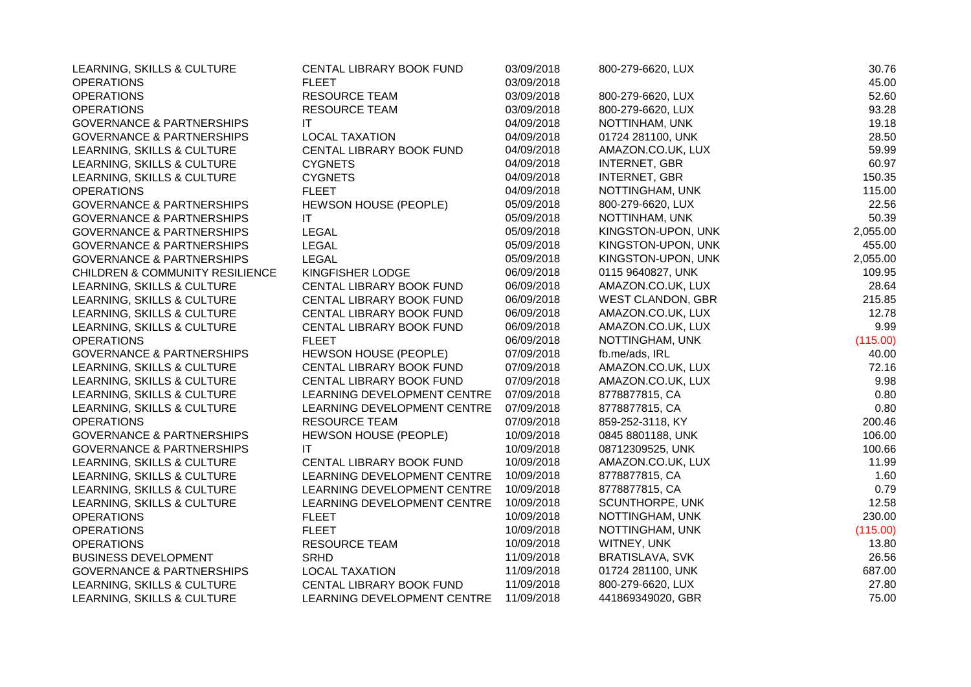| LEARNING, SKILLS & CULTURE                 | CENTAL LIBRARY BOOK FUND    | 03/09/2018 | 800-279-6620, LUX        | 30.76    |
|--------------------------------------------|-----------------------------|------------|--------------------------|----------|
| <b>OPERATIONS</b>                          | <b>FLEET</b>                | 03/09/2018 |                          | 45.00    |
| <b>OPERATIONS</b>                          | <b>RESOURCE TEAM</b>        | 03/09/2018 | 800-279-6620, LUX        | 52.60    |
| <b>OPERATIONS</b>                          | <b>RESOURCE TEAM</b>        | 03/09/2018 | 800-279-6620, LUX        | 93.28    |
| <b>GOVERNANCE &amp; PARTNERSHIPS</b>       | ΙT                          | 04/09/2018 | NOTTINHAM, UNK           | 19.18    |
| <b>GOVERNANCE &amp; PARTNERSHIPS</b>       | <b>LOCAL TAXATION</b>       | 04/09/2018 | 01724 281100, UNK        | 28.50    |
| LEARNING, SKILLS & CULTURE                 | CENTAL LIBRARY BOOK FUND    | 04/09/2018 | AMAZON.CO.UK, LUX        | 59.99    |
| LEARNING, SKILLS & CULTURE                 | <b>CYGNETS</b>              | 04/09/2018 | <b>INTERNET, GBR</b>     | 60.97    |
| LEARNING, SKILLS & CULTURE                 | <b>CYGNETS</b>              | 04/09/2018 | <b>INTERNET, GBR</b>     | 150.35   |
| <b>OPERATIONS</b>                          | <b>FLEET</b>                | 04/09/2018 | NOTTINGHAM, UNK          | 115.00   |
| <b>GOVERNANCE &amp; PARTNERSHIPS</b>       | HEWSON HOUSE (PEOPLE)       | 05/09/2018 | 800-279-6620, LUX        | 22.56    |
| <b>GOVERNANCE &amp; PARTNERSHIPS</b>       | IT.                         | 05/09/2018 | NOTTINHAM, UNK           | 50.39    |
| <b>GOVERNANCE &amp; PARTNERSHIPS</b>       | <b>LEGAL</b>                | 05/09/2018 | KINGSTON-UPON, UNK       | 2,055.00 |
| <b>GOVERNANCE &amp; PARTNERSHIPS</b>       | <b>LEGAL</b>                | 05/09/2018 | KINGSTON-UPON, UNK       | 455.00   |
| <b>GOVERNANCE &amp; PARTNERSHIPS</b>       | <b>LEGAL</b>                | 05/09/2018 | KINGSTON-UPON, UNK       | 2,055.00 |
| <b>CHILDREN &amp; COMMUNITY RESILIENCE</b> | KINGFISHER LODGE            | 06/09/2018 | 0115 9640827, UNK        | 109.95   |
| LEARNING, SKILLS & CULTURE                 | CENTAL LIBRARY BOOK FUND    | 06/09/2018 | AMAZON.CO.UK, LUX        | 28.64    |
| LEARNING, SKILLS & CULTURE                 | CENTAL LIBRARY BOOK FUND    | 06/09/2018 | <b>WEST CLANDON, GBR</b> | 215.85   |
| LEARNING, SKILLS & CULTURE                 | CENTAL LIBRARY BOOK FUND    | 06/09/2018 | AMAZON.CO.UK, LUX        | 12.78    |
| LEARNING, SKILLS & CULTURE                 | CENTAL LIBRARY BOOK FUND    | 06/09/2018 | AMAZON.CO.UK, LUX        | 9.99     |
| <b>OPERATIONS</b>                          | <b>FLEET</b>                | 06/09/2018 | NOTTINGHAM, UNK          | (115.00) |
| <b>GOVERNANCE &amp; PARTNERSHIPS</b>       | HEWSON HOUSE (PEOPLE)       | 07/09/2018 | fb.me/ads, IRL           | 40.00    |
| LEARNING, SKILLS & CULTURE                 | CENTAL LIBRARY BOOK FUND    | 07/09/2018 | AMAZON.CO.UK, LUX        | 72.16    |
| LEARNING, SKILLS & CULTURE                 | CENTAL LIBRARY BOOK FUND    | 07/09/2018 | AMAZON.CO.UK, LUX        | 9.98     |
| LEARNING, SKILLS & CULTURE                 | LEARNING DEVELOPMENT CENTRE | 07/09/2018 | 8778877815, CA           | 0.80     |
| LEARNING, SKILLS & CULTURE                 | LEARNING DEVELOPMENT CENTRE | 07/09/2018 | 8778877815, CA           | 0.80     |
| <b>OPERATIONS</b>                          | <b>RESOURCE TEAM</b>        | 07/09/2018 | 859-252-3118, KY         | 200.46   |
| <b>GOVERNANCE &amp; PARTNERSHIPS</b>       | HEWSON HOUSE (PEOPLE)       | 10/09/2018 | 0845 8801188, UNK        | 106.00   |
| <b>GOVERNANCE &amp; PARTNERSHIPS</b>       | ΙT                          | 10/09/2018 | 08712309525, UNK         | 100.66   |
| LEARNING, SKILLS & CULTURE                 | CENTAL LIBRARY BOOK FUND    | 10/09/2018 | AMAZON.CO.UK, LUX        | 11.99    |
| LEARNING, SKILLS & CULTURE                 | LEARNING DEVELOPMENT CENTRE | 10/09/2018 | 8778877815, CA           | 1.60     |
| LEARNING, SKILLS & CULTURE                 | LEARNING DEVELOPMENT CENTRE | 10/09/2018 | 8778877815, CA           | 0.79     |
| LEARNING, SKILLS & CULTURE                 | LEARNING DEVELOPMENT CENTRE | 10/09/2018 | SCUNTHORPE, UNK          | 12.58    |
| <b>OPERATIONS</b>                          | <b>FLEET</b>                | 10/09/2018 | NOTTINGHAM, UNK          | 230.00   |
| <b>OPERATIONS</b>                          | <b>FLEET</b>                | 10/09/2018 | NOTTINGHAM, UNK          | (115.00) |
| <b>OPERATIONS</b>                          | <b>RESOURCE TEAM</b>        | 10/09/2018 | WITNEY, UNK              | 13.80    |
| <b>BUSINESS DEVELOPMENT</b>                | <b>SRHD</b>                 | 11/09/2018 | BRATISLAVA, SVK          | 26.56    |
| <b>GOVERNANCE &amp; PARTNERSHIPS</b>       | <b>LOCAL TAXATION</b>       | 11/09/2018 | 01724 281100, UNK        | 687.00   |
| LEARNING, SKILLS & CULTURE                 | CENTAL LIBRARY BOOK FUND    | 11/09/2018 | 800-279-6620, LUX        | 27.80    |
| LEARNING, SKILLS & CULTURE                 | LEARNING DEVELOPMENT CENTRE | 11/09/2018 | 441869349020, GBR        | 75.00    |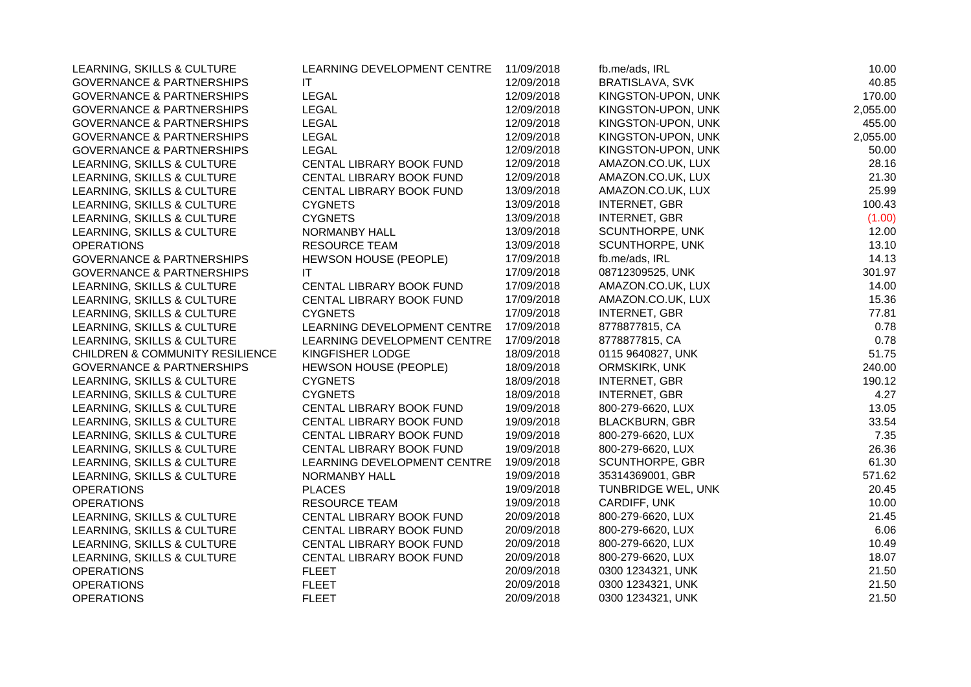| LEARNING, SKILLS & CULTURE                 | LEARNING DEVELOPMENT CENTRE | 11/09/2018 | fb.me/ads, IRL         | 10.00    |
|--------------------------------------------|-----------------------------|------------|------------------------|----------|
| <b>GOVERNANCE &amp; PARTNERSHIPS</b>       | IT.                         | 12/09/2018 | BRATISLAVA, SVK        | 40.85    |
| <b>GOVERNANCE &amp; PARTNERSHIPS</b>       | LEGAL                       | 12/09/2018 | KINGSTON-UPON, UNK     | 170.00   |
| <b>GOVERNANCE &amp; PARTNERSHIPS</b>       | <b>LEGAL</b>                | 12/09/2018 | KINGSTON-UPON, UNK     | 2,055.00 |
| <b>GOVERNANCE &amp; PARTNERSHIPS</b>       | <b>LEGAL</b>                | 12/09/2018 | KINGSTON-UPON, UNK     | 455.00   |
| <b>GOVERNANCE &amp; PARTNERSHIPS</b>       | <b>LEGAL</b>                | 12/09/2018 | KINGSTON-UPON, UNK     | 2,055.00 |
| <b>GOVERNANCE &amp; PARTNERSHIPS</b>       | <b>LEGAL</b>                | 12/09/2018 | KINGSTON-UPON, UNK     | 50.00    |
| LEARNING, SKILLS & CULTURE                 | CENTAL LIBRARY BOOK FUND    | 12/09/2018 | AMAZON.CO.UK, LUX      | 28.16    |
| LEARNING, SKILLS & CULTURE                 | CENTAL LIBRARY BOOK FUND    | 12/09/2018 | AMAZON.CO.UK, LUX      | 21.30    |
| LEARNING, SKILLS & CULTURE                 | CENTAL LIBRARY BOOK FUND    | 13/09/2018 | AMAZON.CO.UK, LUX      | 25.99    |
| LEARNING, SKILLS & CULTURE                 | <b>CYGNETS</b>              | 13/09/2018 | <b>INTERNET, GBR</b>   | 100.43   |
| LEARNING, SKILLS & CULTURE                 | <b>CYGNETS</b>              | 13/09/2018 | <b>INTERNET, GBR</b>   | (1.00)   |
| LEARNING, SKILLS & CULTURE                 | NORMANBY HALL               | 13/09/2018 | <b>SCUNTHORPE, UNK</b> | 12.00    |
| <b>OPERATIONS</b>                          | RESOURCE TEAM               | 13/09/2018 | SCUNTHORPE, UNK        | 13.10    |
| <b>GOVERNANCE &amp; PARTNERSHIPS</b>       | HEWSON HOUSE (PEOPLE)       | 17/09/2018 | fb.me/ads, IRL         | 14.13    |
| <b>GOVERNANCE &amp; PARTNERSHIPS</b>       | ΙT                          | 17/09/2018 | 08712309525, UNK       | 301.97   |
| LEARNING, SKILLS & CULTURE                 | CENTAL LIBRARY BOOK FUND    | 17/09/2018 | AMAZON.CO.UK, LUX      | 14.00    |
| LEARNING, SKILLS & CULTURE                 | CENTAL LIBRARY BOOK FUND    | 17/09/2018 | AMAZON.CO.UK, LUX      | 15.36    |
| LEARNING, SKILLS & CULTURE                 | <b>CYGNETS</b>              | 17/09/2018 | <b>INTERNET, GBR</b>   | 77.81    |
| LEARNING, SKILLS & CULTURE                 | LEARNING DEVELOPMENT CENTRE | 17/09/2018 | 8778877815, CA         | 0.78     |
| LEARNING, SKILLS & CULTURE                 | LEARNING DEVELOPMENT CENTRE | 17/09/2018 | 8778877815, CA         | 0.78     |
| <b>CHILDREN &amp; COMMUNITY RESILIENCE</b> | KINGFISHER LODGE            | 18/09/2018 | 0115 9640827, UNK      | 51.75    |
| <b>GOVERNANCE &amp; PARTNERSHIPS</b>       | HEWSON HOUSE (PEOPLE)       | 18/09/2018 | ORMSKIRK, UNK          | 240.00   |
| LEARNING, SKILLS & CULTURE                 | <b>CYGNETS</b>              | 18/09/2018 | <b>INTERNET, GBR</b>   | 190.12   |
| LEARNING, SKILLS & CULTURE                 | <b>CYGNETS</b>              | 18/09/2018 | <b>INTERNET, GBR</b>   | 4.27     |
| LEARNING, SKILLS & CULTURE                 | CENTAL LIBRARY BOOK FUND    | 19/09/2018 | 800-279-6620, LUX      | 13.05    |
| LEARNING, SKILLS & CULTURE                 | CENTAL LIBRARY BOOK FUND    | 19/09/2018 | <b>BLACKBURN, GBR</b>  | 33.54    |
| LEARNING, SKILLS & CULTURE                 | CENTAL LIBRARY BOOK FUND    | 19/09/2018 | 800-279-6620, LUX      | 7.35     |
| LEARNING, SKILLS & CULTURE                 | CENTAL LIBRARY BOOK FUND    | 19/09/2018 | 800-279-6620, LUX      | 26.36    |
| LEARNING, SKILLS & CULTURE                 | LEARNING DEVELOPMENT CENTRE | 19/09/2018 | <b>SCUNTHORPE, GBR</b> | 61.30    |
| LEARNING, SKILLS & CULTURE                 | NORMANBY HALL               | 19/09/2018 | 35314369001, GBR       | 571.62   |
| <b>OPERATIONS</b>                          | <b>PLACES</b>               | 19/09/2018 | TUNBRIDGE WEL, UNK     | 20.45    |
| <b>OPERATIONS</b>                          | <b>RESOURCE TEAM</b>        | 19/09/2018 | CARDIFF, UNK           | 10.00    |
| LEARNING, SKILLS & CULTURE                 | CENTAL LIBRARY BOOK FUND    | 20/09/2018 | 800-279-6620, LUX      | 21.45    |
| LEARNING, SKILLS & CULTURE                 | CENTAL LIBRARY BOOK FUND    | 20/09/2018 | 800-279-6620, LUX      | 6.06     |
| LEARNING, SKILLS & CULTURE                 | CENTAL LIBRARY BOOK FUND    | 20/09/2018 | 800-279-6620, LUX      | 10.49    |
| LEARNING, SKILLS & CULTURE                 | CENTAL LIBRARY BOOK FUND    | 20/09/2018 | 800-279-6620, LUX      | 18.07    |
| <b>OPERATIONS</b>                          | <b>FLEET</b>                | 20/09/2018 | 0300 1234321, UNK      | 21.50    |
| <b>OPERATIONS</b>                          | <b>FLEET</b>                | 20/09/2018 | 0300 1234321, UNK      | 21.50    |
| <b>OPERATIONS</b>                          | <b>FLEET</b>                | 20/09/2018 | 0300 1234321, UNK      | 21.50    |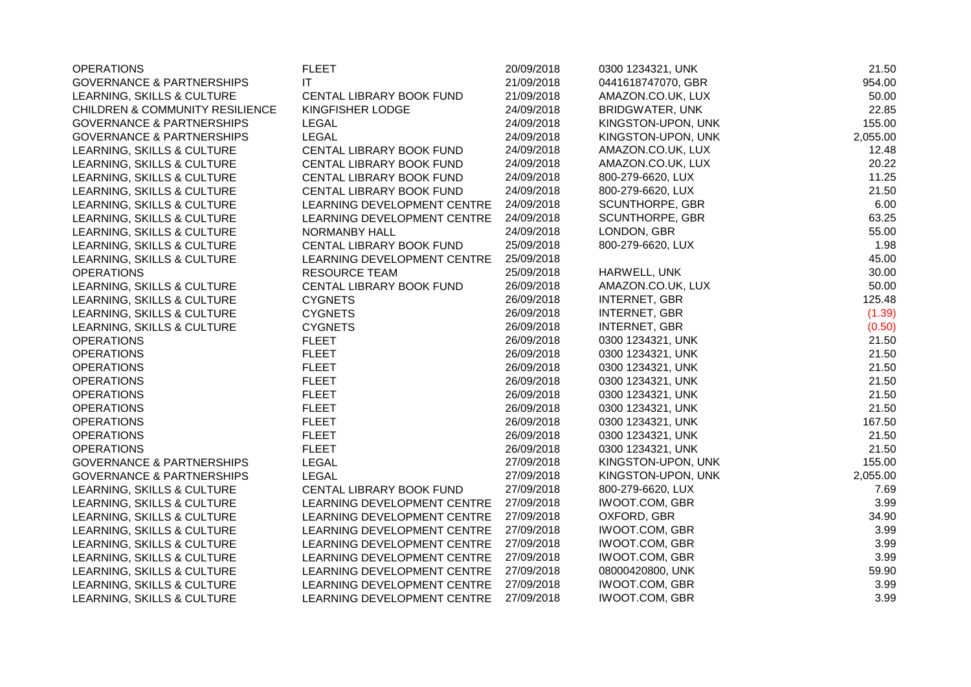| <b>OPERATIONS</b>                    | <b>FLEET</b>                | 20/09/2018 | 0300 1234321, UNK      | 21.50    |
|--------------------------------------|-----------------------------|------------|------------------------|----------|
| <b>GOVERNANCE &amp; PARTNERSHIPS</b> | <b>IT</b>                   | 21/09/2018 | 0441618747070, GBR     | 954.00   |
| LEARNING, SKILLS & CULTURE           | CENTAL LIBRARY BOOK FUND    | 21/09/2018 | AMAZON.CO.UK, LUX      | 50.00    |
| CHILDREN & COMMUNITY RESILIENCE      | KINGFISHER LODGE            | 24/09/2018 | <b>BRIDGWATER, UNK</b> | 22.85    |
| <b>GOVERNANCE &amp; PARTNERSHIPS</b> | <b>LEGAL</b>                | 24/09/2018 | KINGSTON-UPON, UNK     | 155.00   |
| <b>GOVERNANCE &amp; PARTNERSHIPS</b> | <b>LEGAL</b>                | 24/09/2018 | KINGSTON-UPON, UNK     | 2,055.00 |
| LEARNING, SKILLS & CULTURE           | CENTAL LIBRARY BOOK FUND    | 24/09/2018 | AMAZON.CO.UK, LUX      | 12.48    |
| LEARNING, SKILLS & CULTURE           | CENTAL LIBRARY BOOK FUND    | 24/09/2018 | AMAZON.CO.UK, LUX      | 20.22    |
| LEARNING, SKILLS & CULTURE           | CENTAL LIBRARY BOOK FUND    | 24/09/2018 | 800-279-6620, LUX      | 11.25    |
| LEARNING, SKILLS & CULTURE           | CENTAL LIBRARY BOOK FUND    | 24/09/2018 | 800-279-6620, LUX      | 21.50    |
| LEARNING, SKILLS & CULTURE           | LEARNING DEVELOPMENT CENTRE | 24/09/2018 | SCUNTHORPE, GBR        | 6.00     |
| LEARNING, SKILLS & CULTURE           | LEARNING DEVELOPMENT CENTRE | 24/09/2018 | <b>SCUNTHORPE, GBR</b> | 63.25    |
| LEARNING, SKILLS & CULTURE           | <b>NORMANBY HALL</b>        | 24/09/2018 | LONDON, GBR            | 55.00    |
| LEARNING, SKILLS & CULTURE           | CENTAL LIBRARY BOOK FUND    | 25/09/2018 | 800-279-6620, LUX      | 1.98     |
| LEARNING, SKILLS & CULTURE           | LEARNING DEVELOPMENT CENTRE | 25/09/2018 |                        | 45.00    |
| <b>OPERATIONS</b>                    | <b>RESOURCE TEAM</b>        | 25/09/2018 | HARWELL, UNK           | 30.00    |
| LEARNING, SKILLS & CULTURE           | CENTAL LIBRARY BOOK FUND    | 26/09/2018 | AMAZON.CO.UK, LUX      | 50.00    |
| LEARNING, SKILLS & CULTURE           | <b>CYGNETS</b>              | 26/09/2018 | <b>INTERNET, GBR</b>   | 125.48   |
| LEARNING, SKILLS & CULTURE           | <b>CYGNETS</b>              | 26/09/2018 | <b>INTERNET, GBR</b>   | (1.39)   |
| LEARNING, SKILLS & CULTURE           | <b>CYGNETS</b>              | 26/09/2018 | <b>INTERNET, GBR</b>   | (0.50)   |
| <b>OPERATIONS</b>                    | <b>FLEET</b>                | 26/09/2018 | 0300 1234321, UNK      | 21.50    |
| <b>OPERATIONS</b>                    | <b>FLEET</b>                | 26/09/2018 | 0300 1234321, UNK      | 21.50    |
| <b>OPERATIONS</b>                    | <b>FLEET</b>                | 26/09/2018 | 0300 1234321, UNK      | 21.50    |
| <b>OPERATIONS</b>                    | <b>FLEET</b>                | 26/09/2018 | 0300 1234321, UNK      | 21.50    |
| <b>OPERATIONS</b>                    | <b>FLEET</b>                | 26/09/2018 | 0300 1234321, UNK      | 21.50    |
| <b>OPERATIONS</b>                    | <b>FLEET</b>                | 26/09/2018 | 0300 1234321, UNK      | 21.50    |
| <b>OPERATIONS</b>                    | <b>FLEET</b>                | 26/09/2018 | 0300 1234321, UNK      | 167.50   |
| <b>OPERATIONS</b>                    | <b>FLEET</b>                | 26/09/2018 | 0300 1234321, UNK      | 21.50    |
| <b>OPERATIONS</b>                    | <b>FLEET</b>                | 26/09/2018 | 0300 1234321, UNK      | 21.50    |
| <b>GOVERNANCE &amp; PARTNERSHIPS</b> | <b>LEGAL</b>                | 27/09/2018 | KINGSTON-UPON, UNK     | 155.00   |
| <b>GOVERNANCE &amp; PARTNERSHIPS</b> | <b>LEGAL</b>                | 27/09/2018 | KINGSTON-UPON, UNK     | 2,055.00 |
| LEARNING, SKILLS & CULTURE           | CENTAL LIBRARY BOOK FUND    | 27/09/2018 | 800-279-6620, LUX      | 7.69     |
| LEARNING, SKILLS & CULTURE           | LEARNING DEVELOPMENT CENTRE | 27/09/2018 | <b>IWOOT.COM, GBR</b>  | 3.99     |
| LEARNING, SKILLS & CULTURE           | LEARNING DEVELOPMENT CENTRE | 27/09/2018 | OXFORD, GBR            | 34.90    |
| LEARNING, SKILLS & CULTURE           | LEARNING DEVELOPMENT CENTRE | 27/09/2018 | <b>IWOOT.COM, GBR</b>  | 3.99     |
| LEARNING, SKILLS & CULTURE           | LEARNING DEVELOPMENT CENTRE | 27/09/2018 | <b>IWOOT.COM, GBR</b>  | 3.99     |
| LEARNING, SKILLS & CULTURE           | LEARNING DEVELOPMENT CENTRE | 27/09/2018 | <b>IWOOT.COM, GBR</b>  | 3.99     |
| LEARNING, SKILLS & CULTURE           | LEARNING DEVELOPMENT CENTRE | 27/09/2018 | 08000420800, UNK       | 59.90    |
| LEARNING, SKILLS & CULTURE           | LEARNING DEVELOPMENT CENTRE | 27/09/2018 | <b>IWOOT.COM, GBR</b>  | 3.99     |
| LEARNING, SKILLS & CULTURE           | LEARNING DEVELOPMENT CENTRE | 27/09/2018 | <b>IWOOT.COM, GBR</b>  | 3.99     |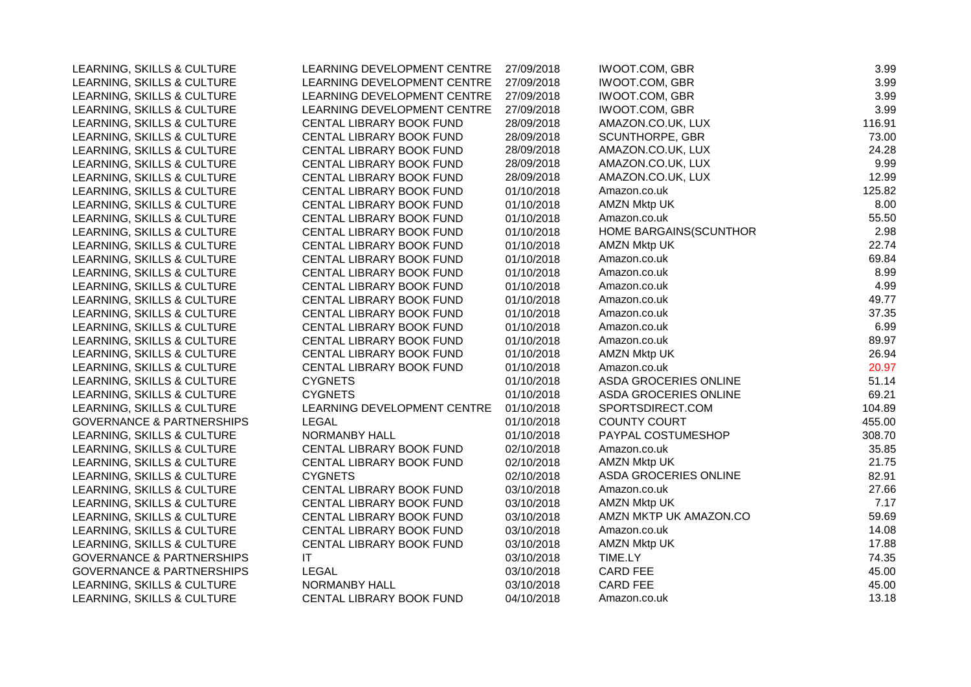| LEARNING, SKILLS & CULTURE           | LEARNING DEVELOPMENT CENTRE | 27/09/2018 | <b>IWOOT.COM, GBR</b>  | 3.99   |
|--------------------------------------|-----------------------------|------------|------------------------|--------|
| LEARNING, SKILLS & CULTURE           | LEARNING DEVELOPMENT CENTRE | 27/09/2018 | <b>IWOOT.COM, GBR</b>  | 3.99   |
| LEARNING, SKILLS & CULTURE           | LEARNING DEVELOPMENT CENTRE | 27/09/2018 | <b>IWOOT.COM, GBR</b>  | 3.99   |
| LEARNING, SKILLS & CULTURE           | LEARNING DEVELOPMENT CENTRE | 27/09/2018 | <b>IWOOT.COM, GBR</b>  | 3.99   |
| LEARNING, SKILLS & CULTURE           | CENTAL LIBRARY BOOK FUND    | 28/09/2018 | AMAZON.CO.UK, LUX      | 116.91 |
| LEARNING, SKILLS & CULTURE           | CENTAL LIBRARY BOOK FUND    | 28/09/2018 | SCUNTHORPE, GBR        | 73.00  |
| LEARNING, SKILLS & CULTURE           | CENTAL LIBRARY BOOK FUND    | 28/09/2018 | AMAZON.CO.UK, LUX      | 24.28  |
| LEARNING, SKILLS & CULTURE           | CENTAL LIBRARY BOOK FUND    | 28/09/2018 | AMAZON.CO.UK, LUX      | 9.99   |
| LEARNING, SKILLS & CULTURE           | CENTAL LIBRARY BOOK FUND    | 28/09/2018 | AMAZON.CO.UK, LUX      | 12.99  |
| LEARNING, SKILLS & CULTURE           | CENTAL LIBRARY BOOK FUND    | 01/10/2018 | Amazon.co.uk           | 125.82 |
| LEARNING, SKILLS & CULTURE           | CENTAL LIBRARY BOOK FUND    | 01/10/2018 | <b>AMZN Mktp UK</b>    | 8.00   |
| LEARNING, SKILLS & CULTURE           | CENTAL LIBRARY BOOK FUND    | 01/10/2018 | Amazon.co.uk           | 55.50  |
| LEARNING, SKILLS & CULTURE           | CENTAL LIBRARY BOOK FUND    | 01/10/2018 | HOME BARGAINS(SCUNTHOR | 2.98   |
| LEARNING, SKILLS & CULTURE           | CENTAL LIBRARY BOOK FUND    | 01/10/2018 | <b>AMZN Mktp UK</b>    | 22.74  |
| LEARNING, SKILLS & CULTURE           | CENTAL LIBRARY BOOK FUND    | 01/10/2018 | Amazon.co.uk           | 69.84  |
| LEARNING, SKILLS & CULTURE           | CENTAL LIBRARY BOOK FUND    | 01/10/2018 | Amazon.co.uk           | 8.99   |
| LEARNING, SKILLS & CULTURE           | CENTAL LIBRARY BOOK FUND    | 01/10/2018 | Amazon.co.uk           | 4.99   |
| LEARNING, SKILLS & CULTURE           | CENTAL LIBRARY BOOK FUND    | 01/10/2018 | Amazon.co.uk           | 49.77  |
| LEARNING, SKILLS & CULTURE           | CENTAL LIBRARY BOOK FUND    | 01/10/2018 | Amazon.co.uk           | 37.35  |
| LEARNING, SKILLS & CULTURE           | CENTAL LIBRARY BOOK FUND    | 01/10/2018 | Amazon.co.uk           | 6.99   |
| LEARNING, SKILLS & CULTURE           | CENTAL LIBRARY BOOK FUND    | 01/10/2018 | Amazon.co.uk           | 89.97  |
| LEARNING, SKILLS & CULTURE           | CENTAL LIBRARY BOOK FUND    | 01/10/2018 | <b>AMZN Mktp UK</b>    | 26.94  |
| LEARNING, SKILLS & CULTURE           | CENTAL LIBRARY BOOK FUND    | 01/10/2018 | Amazon.co.uk           | 20.97  |
| LEARNING, SKILLS & CULTURE           | <b>CYGNETS</b>              | 01/10/2018 | ASDA GROCERIES ONLINE  | 51.14  |
| LEARNING, SKILLS & CULTURE           | <b>CYGNETS</b>              | 01/10/2018 | ASDA GROCERIES ONLINE  | 69.21  |
| LEARNING, SKILLS & CULTURE           | LEARNING DEVELOPMENT CENTRE | 01/10/2018 | SPORTSDIRECT.COM       | 104.89 |
| <b>GOVERNANCE &amp; PARTNERSHIPS</b> | <b>LEGAL</b>                | 01/10/2018 | <b>COUNTY COURT</b>    | 455.00 |
| LEARNING, SKILLS & CULTURE           | NORMANBY HALL               | 01/10/2018 | PAYPAL COSTUMESHOP     | 308.70 |
| LEARNING, SKILLS & CULTURE           | CENTAL LIBRARY BOOK FUND    | 02/10/2018 | Amazon.co.uk           | 35.85  |
| LEARNING, SKILLS & CULTURE           | CENTAL LIBRARY BOOK FUND    | 02/10/2018 | <b>AMZN Mktp UK</b>    | 21.75  |
| LEARNING, SKILLS & CULTURE           | <b>CYGNETS</b>              | 02/10/2018 | ASDA GROCERIES ONLINE  | 82.91  |
| LEARNING, SKILLS & CULTURE           | CENTAL LIBRARY BOOK FUND    | 03/10/2018 | Amazon.co.uk           | 27.66  |
| LEARNING, SKILLS & CULTURE           | CENTAL LIBRARY BOOK FUND    | 03/10/2018 | AMZN Mktp UK           | 7.17   |
| LEARNING, SKILLS & CULTURE           | CENTAL LIBRARY BOOK FUND    | 03/10/2018 | AMZN MKTP UK AMAZON.CO | 59.69  |
| LEARNING, SKILLS & CULTURE           | CENTAL LIBRARY BOOK FUND    | 03/10/2018 | Amazon.co.uk           | 14.08  |
| LEARNING, SKILLS & CULTURE           | CENTAL LIBRARY BOOK FUND    | 03/10/2018 | <b>AMZN Mktp UK</b>    | 17.88  |
| <b>GOVERNANCE &amp; PARTNERSHIPS</b> | IT                          | 03/10/2018 | TIME.LY                | 74.35  |
| <b>GOVERNANCE &amp; PARTNERSHIPS</b> | <b>LEGAL</b>                | 03/10/2018 | <b>CARD FEE</b>        | 45.00  |
| LEARNING, SKILLS & CULTURE           | NORMANBY HALL               | 03/10/2018 | <b>CARD FEE</b>        | 45.00  |
| LEARNING, SKILLS & CULTURE           | CENTAL LIBRARY BOOK FUND    | 04/10/2018 | Amazon.co.uk           | 13.18  |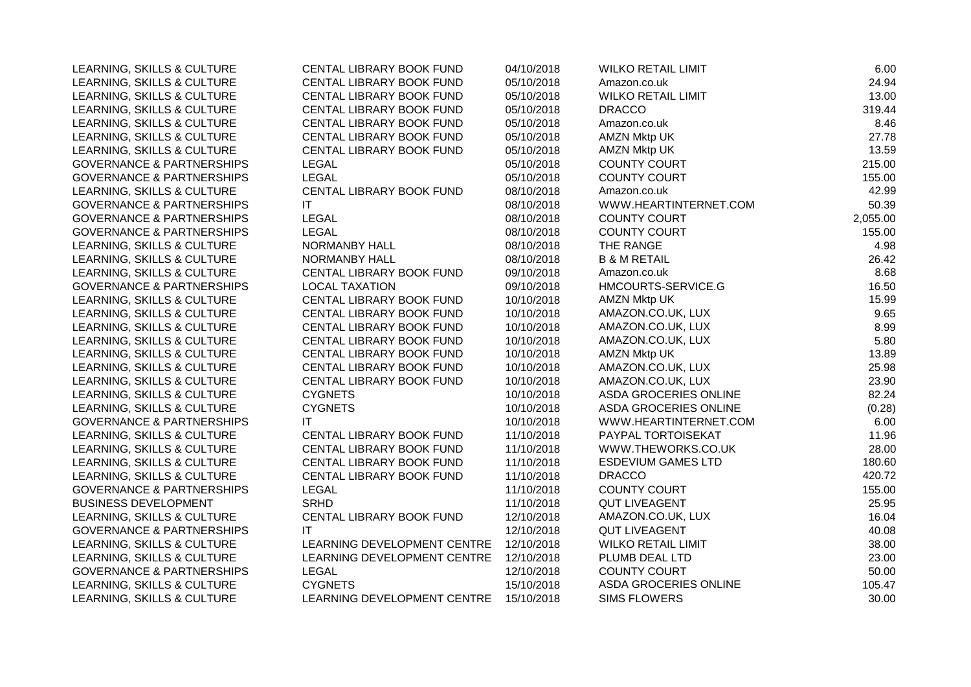| LEARNING, SKILLS & CULTURE           | CENTAL LIBRARY BOOK FUND    | 04/10/2018 | <b>WILKO RETAIL LIMIT</b> | 6.00     |
|--------------------------------------|-----------------------------|------------|---------------------------|----------|
| LEARNING, SKILLS & CULTURE           | CENTAL LIBRARY BOOK FUND    | 05/10/2018 | Amazon.co.uk              | 24.94    |
| LEARNING, SKILLS & CULTURE           | CENTAL LIBRARY BOOK FUND    | 05/10/2018 | <b>WILKO RETAIL LIMIT</b> | 13.00    |
| LEARNING, SKILLS & CULTURE           | CENTAL LIBRARY BOOK FUND    | 05/10/2018 | <b>DRACCO</b>             | 319.44   |
| LEARNING, SKILLS & CULTURE           | CENTAL LIBRARY BOOK FUND    | 05/10/2018 | Amazon.co.uk              | 8.46     |
| LEARNING, SKILLS & CULTURE           | CENTAL LIBRARY BOOK FUND    | 05/10/2018 | <b>AMZN Mktp UK</b>       | 27.78    |
| LEARNING, SKILLS & CULTURE           | CENTAL LIBRARY BOOK FUND    | 05/10/2018 | AMZN Mktp UK              | 13.59    |
| <b>GOVERNANCE &amp; PARTNERSHIPS</b> | <b>LEGAL</b>                | 05/10/2018 | COUNTY COURT              | 215.00   |
| <b>GOVERNANCE &amp; PARTNERSHIPS</b> | <b>LEGAL</b>                | 05/10/2018 | <b>COUNTY COURT</b>       | 155.00   |
| LEARNING, SKILLS & CULTURE           | CENTAL LIBRARY BOOK FUND    | 08/10/2018 | Amazon.co.uk              | 42.99    |
| <b>GOVERNANCE &amp; PARTNERSHIPS</b> | IT.                         | 08/10/2018 | WWW.HEARTINTERNET.COM     | 50.39    |
| <b>GOVERNANCE &amp; PARTNERSHIPS</b> | <b>LEGAL</b>                | 08/10/2018 | <b>COUNTY COURT</b>       | 2,055.00 |
| <b>GOVERNANCE &amp; PARTNERSHIPS</b> | <b>LEGAL</b>                | 08/10/2018 | <b>COUNTY COURT</b>       | 155.00   |
| LEARNING, SKILLS & CULTURE           | NORMANBY HALL               | 08/10/2018 | THE RANGE                 | 4.98     |
| LEARNING, SKILLS & CULTURE           | <b>NORMANBY HALL</b>        | 08/10/2018 | <b>B &amp; M RETAIL</b>   | 26.42    |
| LEARNING, SKILLS & CULTURE           | CENTAL LIBRARY BOOK FUND    | 09/10/2018 | Amazon.co.uk              | 8.68     |
| <b>GOVERNANCE &amp; PARTNERSHIPS</b> | <b>LOCAL TAXATION</b>       | 09/10/2018 | HMCOURTS-SERVICE.G        | 16.50    |
| LEARNING, SKILLS & CULTURE           | CENTAL LIBRARY BOOK FUND    | 10/10/2018 | <b>AMZN Mktp UK</b>       | 15.99    |
| LEARNING, SKILLS & CULTURE           | CENTAL LIBRARY BOOK FUND    | 10/10/2018 | AMAZON.CO.UK, LUX         | 9.65     |
| LEARNING, SKILLS & CULTURE           | CENTAL LIBRARY BOOK FUND    | 10/10/2018 | AMAZON.CO.UK, LUX         | 8.99     |
| LEARNING, SKILLS & CULTURE           | CENTAL LIBRARY BOOK FUND    | 10/10/2018 | AMAZON.CO.UK, LUX         | 5.80     |
| LEARNING, SKILLS & CULTURE           | CENTAL LIBRARY BOOK FUND    | 10/10/2018 | <b>AMZN Mktp UK</b>       | 13.89    |
| LEARNING, SKILLS & CULTURE           | CENTAL LIBRARY BOOK FUND    | 10/10/2018 | AMAZON.CO.UK, LUX         | 25.98    |
| LEARNING, SKILLS & CULTURE           | CENTAL LIBRARY BOOK FUND    | 10/10/2018 | AMAZON.CO.UK, LUX         | 23.90    |
| LEARNING, SKILLS & CULTURE           | <b>CYGNETS</b>              | 10/10/2018 | ASDA GROCERIES ONLINE     | 82.24    |
| LEARNING, SKILLS & CULTURE           | <b>CYGNETS</b>              | 10/10/2018 | ASDA GROCERIES ONLINE     | (0.28)   |
| <b>GOVERNANCE &amp; PARTNERSHIPS</b> | <b>IT</b>                   | 10/10/2018 | WWW.HEARTINTERNET.COM     | 6.00     |
| LEARNING, SKILLS & CULTURE           | CENTAL LIBRARY BOOK FUND    | 11/10/2018 | PAYPAL TORTOISEKAT        | 11.96    |
| LEARNING, SKILLS & CULTURE           | CENTAL LIBRARY BOOK FUND    | 11/10/2018 | WWW.THEWORKS.CO.UK        | 28.00    |
| LEARNING, SKILLS & CULTURE           | CENTAL LIBRARY BOOK FUND    | 11/10/2018 | <b>ESDEVIUM GAMES LTD</b> | 180.60   |
| LEARNING, SKILLS & CULTURE           | CENTAL LIBRARY BOOK FUND    | 11/10/2018 | <b>DRACCO</b>             | 420.72   |
| <b>GOVERNANCE &amp; PARTNERSHIPS</b> | <b>LEGAL</b>                | 11/10/2018 | <b>COUNTY COURT</b>       | 155.00   |
| <b>BUSINESS DEVELOPMENT</b>          | <b>SRHD</b>                 | 11/10/2018 | <b>QUT LIVEAGENT</b>      | 25.95    |
| LEARNING, SKILLS & CULTURE           | CENTAL LIBRARY BOOK FUND    | 12/10/2018 | AMAZON.CO.UK, LUX         | 16.04    |
| <b>GOVERNANCE &amp; PARTNERSHIPS</b> | <b>IT</b>                   | 12/10/2018 | <b>QUT LIVEAGENT</b>      | 40.08    |
| LEARNING, SKILLS & CULTURE           | LEARNING DEVELOPMENT CENTRE | 12/10/2018 | <b>WILKO RETAIL LIMIT</b> | 38.00    |
| LEARNING, SKILLS & CULTURE           | LEARNING DEVELOPMENT CENTRE | 12/10/2018 | PLUMB DEAL LTD            | 23.00    |
| <b>GOVERNANCE &amp; PARTNERSHIPS</b> | <b>LEGAL</b>                | 12/10/2018 | <b>COUNTY COURT</b>       | 50.00    |
| LEARNING, SKILLS & CULTURE           | <b>CYGNETS</b>              | 15/10/2018 | ASDA GROCERIES ONLINE     | 105.47   |
| LEARNING, SKILLS & CULTURE           | LEARNING DEVELOPMENT CENTRE | 15/10/2018 | <b>SIMS FLOWERS</b>       | 30.00    |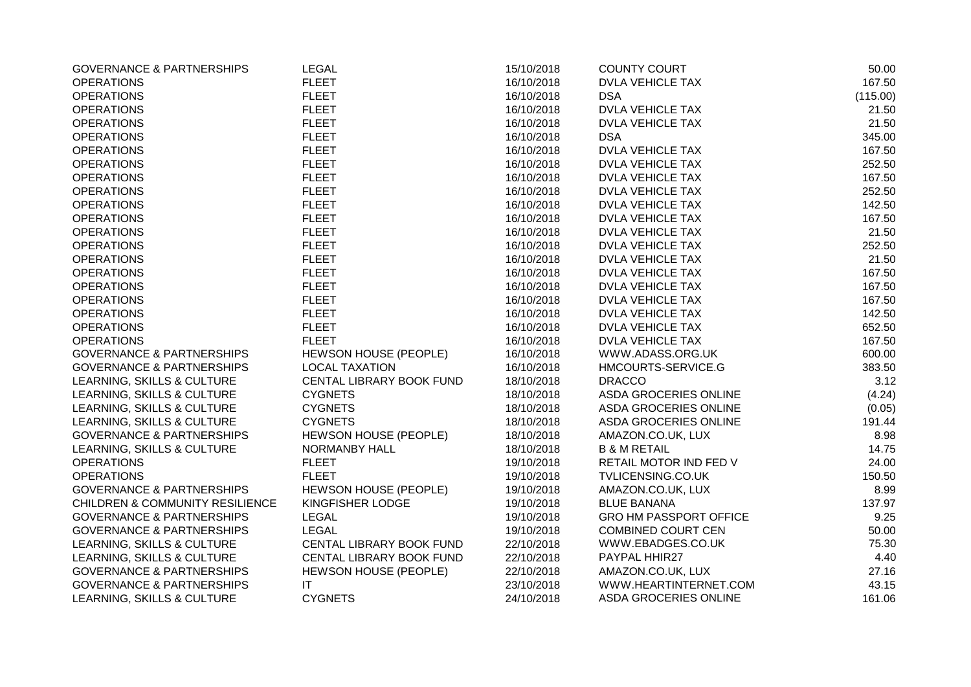| <b>GOVERNANCE &amp; PARTNERSHIPS</b>       | <b>LEGAL</b>             | 15/10/2018 | <b>COUNTY COURT</b>           | 50.00    |
|--------------------------------------------|--------------------------|------------|-------------------------------|----------|
| <b>OPERATIONS</b>                          | <b>FLEET</b>             | 16/10/2018 | <b>DVLA VEHICLE TAX</b>       | 167.50   |
| <b>OPERATIONS</b>                          | <b>FLEET</b>             | 16/10/2018 | <b>DSA</b>                    | (115.00) |
| <b>OPERATIONS</b>                          | <b>FLEET</b>             | 16/10/2018 | <b>DVLA VEHICLE TAX</b>       | 21.50    |
| <b>OPERATIONS</b>                          | <b>FLEET</b>             | 16/10/2018 | <b>DVLA VEHICLE TAX</b>       | 21.50    |
| <b>OPERATIONS</b>                          | <b>FLEET</b>             | 16/10/2018 | <b>DSA</b>                    | 345.00   |
| <b>OPERATIONS</b>                          | <b>FLEET</b>             | 16/10/2018 | DVLA VEHICLE TAX              | 167.50   |
| <b>OPERATIONS</b>                          | <b>FLEET</b>             | 16/10/2018 | <b>DVLA VEHICLE TAX</b>       | 252.50   |
| <b>OPERATIONS</b>                          | <b>FLEET</b>             | 16/10/2018 | <b>DVLA VEHICLE TAX</b>       | 167.50   |
| <b>OPERATIONS</b>                          | <b>FLEET</b>             | 16/10/2018 | <b>DVLA VEHICLE TAX</b>       | 252.50   |
| <b>OPERATIONS</b>                          | <b>FLEET</b>             | 16/10/2018 | <b>DVLA VEHICLE TAX</b>       | 142.50   |
| <b>OPERATIONS</b>                          | <b>FLEET</b>             | 16/10/2018 | <b>DVLA VEHICLE TAX</b>       | 167.50   |
| <b>OPERATIONS</b>                          | <b>FLEET</b>             | 16/10/2018 | <b>DVLA VEHICLE TAX</b>       | 21.50    |
| <b>OPERATIONS</b>                          | <b>FLEET</b>             | 16/10/2018 | <b>DVLA VEHICLE TAX</b>       | 252.50   |
| <b>OPERATIONS</b>                          | <b>FLEET</b>             | 16/10/2018 | <b>DVLA VEHICLE TAX</b>       | 21.50    |
| <b>OPERATIONS</b>                          | <b>FLEET</b>             | 16/10/2018 | <b>DVLA VEHICLE TAX</b>       | 167.50   |
| <b>OPERATIONS</b>                          | <b>FLEET</b>             | 16/10/2018 | <b>DVLA VEHICLE TAX</b>       | 167.50   |
| <b>OPERATIONS</b>                          | <b>FLEET</b>             | 16/10/2018 | <b>DVLA VEHICLE TAX</b>       | 167.50   |
| <b>OPERATIONS</b>                          | <b>FLEET</b>             | 16/10/2018 | <b>DVLA VEHICLE TAX</b>       | 142.50   |
| <b>OPERATIONS</b>                          | <b>FLEET</b>             | 16/10/2018 | <b>DVLA VEHICLE TAX</b>       | 652.50   |
| <b>OPERATIONS</b>                          | <b>FLEET</b>             | 16/10/2018 | <b>DVLA VEHICLE TAX</b>       | 167.50   |
| <b>GOVERNANCE &amp; PARTNERSHIPS</b>       | HEWSON HOUSE (PEOPLE)    | 16/10/2018 | WWW.ADASS.ORG.UK              | 600.00   |
| <b>GOVERNANCE &amp; PARTNERSHIPS</b>       | <b>LOCAL TAXATION</b>    | 16/10/2018 | HMCOURTS-SERVICE.G            | 383.50   |
| LEARNING, SKILLS & CULTURE                 | CENTAL LIBRARY BOOK FUND | 18/10/2018 | <b>DRACCO</b>                 | 3.12     |
| LEARNING, SKILLS & CULTURE                 | <b>CYGNETS</b>           | 18/10/2018 | ASDA GROCERIES ONLINE         | (4.24)   |
| LEARNING, SKILLS & CULTURE                 | <b>CYGNETS</b>           | 18/10/2018 | ASDA GROCERIES ONLINE         | (0.05)   |
| LEARNING, SKILLS & CULTURE                 | <b>CYGNETS</b>           | 18/10/2018 | ASDA GROCERIES ONLINE         | 191.44   |
| <b>GOVERNANCE &amp; PARTNERSHIPS</b>       | HEWSON HOUSE (PEOPLE)    | 18/10/2018 | AMAZON.CO.UK, LUX             | 8.98     |
| LEARNING, SKILLS & CULTURE                 | <b>NORMANBY HALL</b>     | 18/10/2018 | <b>B &amp; M RETAIL</b>       | 14.75    |
| <b>OPERATIONS</b>                          | <b>FLEET</b>             | 19/10/2018 | RETAIL MOTOR IND FED V        | 24.00    |
| <b>OPERATIONS</b>                          | <b>FLEET</b>             | 19/10/2018 | TVLICENSING.CO.UK             | 150.50   |
| <b>GOVERNANCE &amp; PARTNERSHIPS</b>       | HEWSON HOUSE (PEOPLE)    | 19/10/2018 | AMAZON.CO.UK, LUX             | 8.99     |
| <b>CHILDREN &amp; COMMUNITY RESILIENCE</b> | KINGFISHER LODGE         | 19/10/2018 | <b>BLUE BANANA</b>            | 137.97   |
| <b>GOVERNANCE &amp; PARTNERSHIPS</b>       | <b>LEGAL</b>             | 19/10/2018 | <b>GRO HM PASSPORT OFFICE</b> | 9.25     |
| <b>GOVERNANCE &amp; PARTNERSHIPS</b>       | <b>LEGAL</b>             | 19/10/2018 | <b>COMBINED COURT CEN</b>     | 50.00    |
| LEARNING, SKILLS & CULTURE                 | CENTAL LIBRARY BOOK FUND | 22/10/2018 | WWW.EBADGES.CO.UK             | 75.30    |
| LEARNING, SKILLS & CULTURE                 | CENTAL LIBRARY BOOK FUND | 22/10/2018 | PAYPAL HHIR27                 | 4.40     |
| <b>GOVERNANCE &amp; PARTNERSHIPS</b>       | HEWSON HOUSE (PEOPLE)    | 22/10/2018 | AMAZON.CO.UK, LUX             | 27.16    |
| <b>GOVERNANCE &amp; PARTNERSHIPS</b>       | IT                       | 23/10/2018 | WWW.HEARTINTERNET.COM         | 43.15    |
| LEARNING, SKILLS & CULTURE                 | <b>CYGNETS</b>           | 24/10/2018 | <b>ASDA GROCERIES ONLINE</b>  | 161.06   |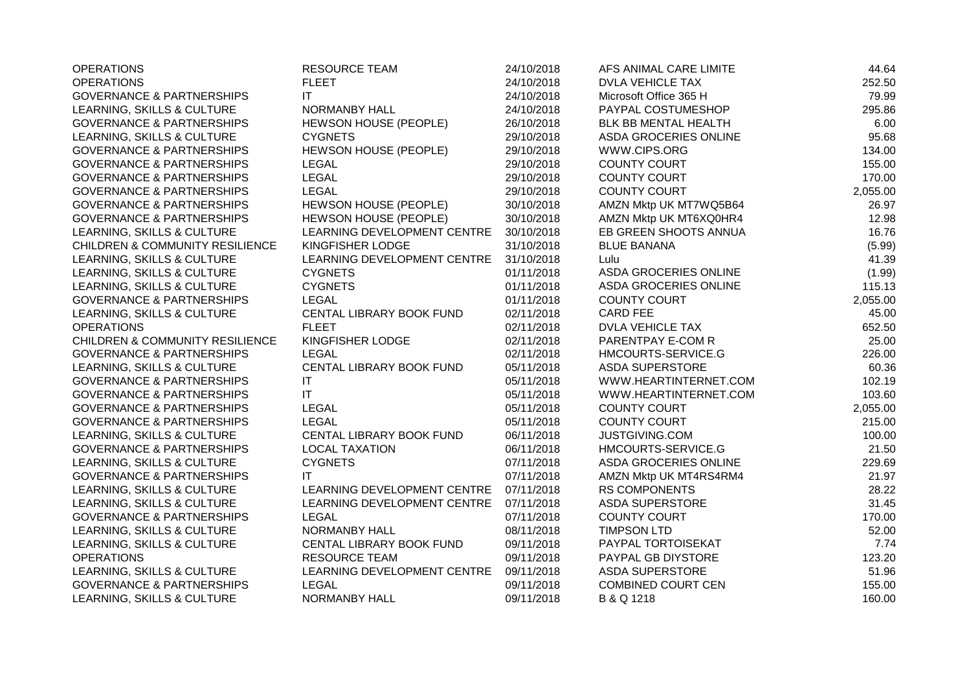| <b>OPERATIONS</b>                          | <b>RESOURCE TEAM</b>        | 24/10/2018 | AFS ANIMAL CARE LIMITE    | 44.64    |
|--------------------------------------------|-----------------------------|------------|---------------------------|----------|
| <b>OPERATIONS</b>                          | <b>FLEET</b>                | 24/10/2018 | <b>DVLA VEHICLE TAX</b>   | 252.50   |
| <b>GOVERNANCE &amp; PARTNERSHIPS</b>       | ΙT                          | 24/10/2018 | Microsoft Office 365 H    | 79.99    |
| LEARNING, SKILLS & CULTURE                 | NORMANBY HALL               | 24/10/2018 | PAYPAL COSTUMESHOP        | 295.86   |
| <b>GOVERNANCE &amp; PARTNERSHIPS</b>       | HEWSON HOUSE (PEOPLE)       | 26/10/2018 | BLK BB MENTAL HEALTH      | 6.00     |
| LEARNING, SKILLS & CULTURE                 | <b>CYGNETS</b>              | 29/10/2018 | ASDA GROCERIES ONLINE     | 95.68    |
| <b>GOVERNANCE &amp; PARTNERSHIPS</b>       | HEWSON HOUSE (PEOPLE)       | 29/10/2018 | WWW.CIPS.ORG              | 134.00   |
| <b>GOVERNANCE &amp; PARTNERSHIPS</b>       | <b>LEGAL</b>                | 29/10/2018 | COUNTY COURT              | 155.00   |
| <b>GOVERNANCE &amp; PARTNERSHIPS</b>       | <b>LEGAL</b>                | 29/10/2018 | <b>COUNTY COURT</b>       | 170.00   |
| <b>GOVERNANCE &amp; PARTNERSHIPS</b>       | <b>LEGAL</b>                | 29/10/2018 | <b>COUNTY COURT</b>       | 2,055.00 |
| <b>GOVERNANCE &amp; PARTNERSHIPS</b>       | HEWSON HOUSE (PEOPLE)       | 30/10/2018 | AMZN Mktp UK MT7WQ5B64    | 26.97    |
| <b>GOVERNANCE &amp; PARTNERSHIPS</b>       | HEWSON HOUSE (PEOPLE)       | 30/10/2018 | AMZN Mktp UK MT6XQ0HR4    | 12.98    |
| LEARNING, SKILLS & CULTURE                 | LEARNING DEVELOPMENT CENTRE | 30/10/2018 | EB GREEN SHOOTS ANNUA     | 16.76    |
| <b>CHILDREN &amp; COMMUNITY RESILIENCE</b> | KINGFISHER LODGE            | 31/10/2018 | <b>BLUE BANANA</b>        | (5.99)   |
| LEARNING, SKILLS & CULTURE                 | LEARNING DEVELOPMENT CENTRE | 31/10/2018 | Lulu                      | 41.39    |
| LEARNING, SKILLS & CULTURE                 | <b>CYGNETS</b>              | 01/11/2018 | ASDA GROCERIES ONLINE     | (1.99)   |
| LEARNING, SKILLS & CULTURE                 | <b>CYGNETS</b>              | 01/11/2018 | ASDA GROCERIES ONLINE     | 115.13   |
| <b>GOVERNANCE &amp; PARTNERSHIPS</b>       | <b>LEGAL</b>                | 01/11/2018 | <b>COUNTY COURT</b>       | 2,055.00 |
| LEARNING, SKILLS & CULTURE                 | CENTAL LIBRARY BOOK FUND    | 02/11/2018 | <b>CARD FEE</b>           | 45.00    |
| <b>OPERATIONS</b>                          | <b>FLEET</b>                | 02/11/2018 | <b>DVLA VEHICLE TAX</b>   | 652.50   |
| <b>CHILDREN &amp; COMMUNITY RESILIENCE</b> | KINGFISHER LODGE            | 02/11/2018 | PARENTPAY E-COM R         | 25.00    |
| <b>GOVERNANCE &amp; PARTNERSHIPS</b>       | <b>LEGAL</b>                | 02/11/2018 | HMCOURTS-SERVICE.G        | 226.00   |
| LEARNING, SKILLS & CULTURE                 | CENTAL LIBRARY BOOK FUND    | 05/11/2018 | <b>ASDA SUPERSTORE</b>    | 60.36    |
| <b>GOVERNANCE &amp; PARTNERSHIPS</b>       | $\mathsf{I}\mathsf{T}$      | 05/11/2018 | WWW.HEARTINTERNET.COM     | 102.19   |
| <b>GOVERNANCE &amp; PARTNERSHIPS</b>       | $\mathsf{I}\mathsf{T}$      | 05/11/2018 | WWW.HEARTINTERNET.COM     | 103.60   |
| <b>GOVERNANCE &amp; PARTNERSHIPS</b>       | <b>LEGAL</b>                | 05/11/2018 | <b>COUNTY COURT</b>       | 2,055.00 |
| <b>GOVERNANCE &amp; PARTNERSHIPS</b>       | <b>LEGAL</b>                | 05/11/2018 | <b>COUNTY COURT</b>       | 215.00   |
| LEARNING, SKILLS & CULTURE                 | CENTAL LIBRARY BOOK FUND    | 06/11/2018 | <b>JUSTGIVING.COM</b>     | 100.00   |
| <b>GOVERNANCE &amp; PARTNERSHIPS</b>       | <b>LOCAL TAXATION</b>       | 06/11/2018 | HMCOURTS-SERVICE.G        | 21.50    |
| LEARNING, SKILLS & CULTURE                 | <b>CYGNETS</b>              | 07/11/2018 | ASDA GROCERIES ONLINE     | 229.69   |
| <b>GOVERNANCE &amp; PARTNERSHIPS</b>       | IT                          | 07/11/2018 | AMZN Mktp UK MT4RS4RM4    | 21.97    |
| LEARNING, SKILLS & CULTURE                 | LEARNING DEVELOPMENT CENTRE | 07/11/2018 | <b>RS COMPONENTS</b>      | 28.22    |
| LEARNING, SKILLS & CULTURE                 | LEARNING DEVELOPMENT CENTRE | 07/11/2018 | ASDA SUPERSTORE           | 31.45    |
| <b>GOVERNANCE &amp; PARTNERSHIPS</b>       | <b>LEGAL</b>                | 07/11/2018 | <b>COUNTY COURT</b>       | 170.00   |
| LEARNING, SKILLS & CULTURE                 | NORMANBY HALL               | 08/11/2018 | <b>TIMPSON LTD</b>        | 52.00    |
| LEARNING, SKILLS & CULTURE                 | CENTAL LIBRARY BOOK FUND    | 09/11/2018 | PAYPAL TORTOISEKAT        | 7.74     |
| <b>OPERATIONS</b>                          | <b>RESOURCE TEAM</b>        | 09/11/2018 | PAYPAL GB DIYSTORE        | 123.20   |
| LEARNING, SKILLS & CULTURE                 | LEARNING DEVELOPMENT CENTRE | 09/11/2018 | <b>ASDA SUPERSTORE</b>    | 51.96    |
| <b>GOVERNANCE &amp; PARTNERSHIPS</b>       | <b>LEGAL</b>                | 09/11/2018 | <b>COMBINED COURT CEN</b> | 155.00   |
| LEARNING, SKILLS & CULTURE                 | NORMANBY HALL               | 09/11/2018 | B & Q 1218                | 160.00   |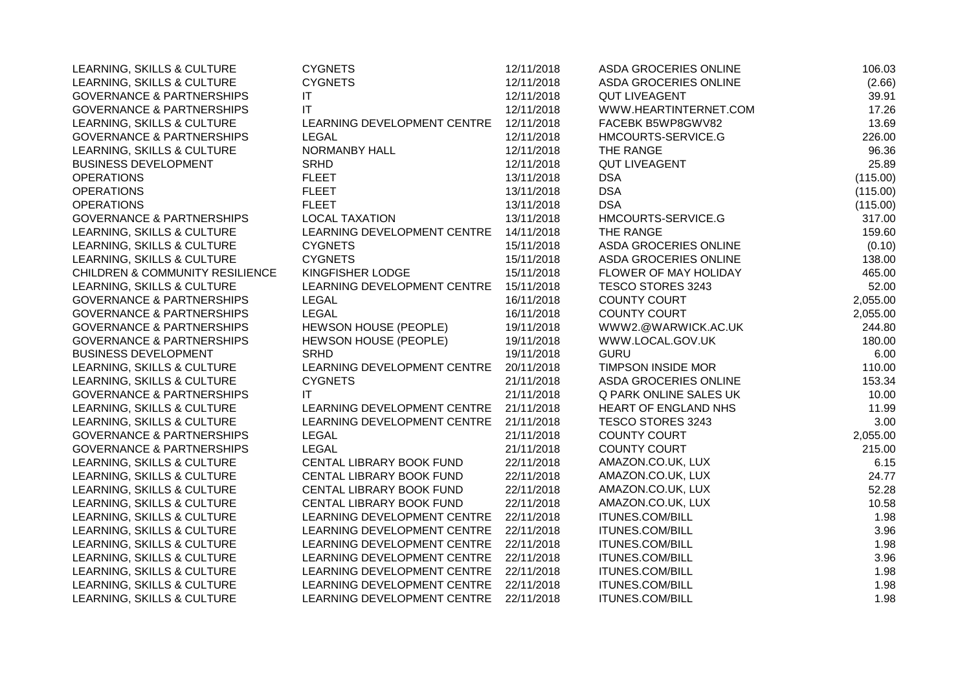| LEARNING, SKILLS & CULTURE                 | <b>CYGNETS</b>               | 12/11/2018 | ASDA GROCERIES ONLINE  | 106.03   |
|--------------------------------------------|------------------------------|------------|------------------------|----------|
| LEARNING, SKILLS & CULTURE                 | <b>CYGNETS</b>               | 12/11/2018 | ASDA GROCERIES ONLINE  | (2.66)   |
| <b>GOVERNANCE &amp; PARTNERSHIPS</b>       | IT                           | 12/11/2018 | <b>QUT LIVEAGENT</b>   | 39.91    |
| <b>GOVERNANCE &amp; PARTNERSHIPS</b>       | ΙT                           | 12/11/2018 | WWW.HEARTINTERNET.COM  | 17.26    |
| LEARNING, SKILLS & CULTURE                 | LEARNING DEVELOPMENT CENTRE  | 12/11/2018 | FACEBK B5WP8GWV82      | 13.69    |
| <b>GOVERNANCE &amp; PARTNERSHIPS</b>       | LEGAL                        | 12/11/2018 | HMCOURTS-SERVICE.G     | 226.00   |
| LEARNING, SKILLS & CULTURE                 | NORMANBY HALL                | 12/11/2018 | THE RANGE              | 96.36    |
| <b>BUSINESS DEVELOPMENT</b>                | <b>SRHD</b>                  | 12/11/2018 | <b>QUT LIVEAGENT</b>   | 25.89    |
| <b>OPERATIONS</b>                          | <b>FLEET</b>                 | 13/11/2018 | <b>DSA</b>             | (115.00) |
| <b>OPERATIONS</b>                          | <b>FLEET</b>                 | 13/11/2018 | <b>DSA</b>             | (115.00) |
| <b>OPERATIONS</b>                          | <b>FLEET</b>                 | 13/11/2018 | <b>DSA</b>             | (115.00) |
| <b>GOVERNANCE &amp; PARTNERSHIPS</b>       | <b>LOCAL TAXATION</b>        | 13/11/2018 | HMCOURTS-SERVICE.G     | 317.00   |
| LEARNING, SKILLS & CULTURE                 | LEARNING DEVELOPMENT CENTRE  | 14/11/2018 | THE RANGE              | 159.60   |
| LEARNING, SKILLS & CULTURE                 | <b>CYGNETS</b>               | 15/11/2018 | ASDA GROCERIES ONLINE  | (0.10)   |
| LEARNING, SKILLS & CULTURE                 | <b>CYGNETS</b>               | 15/11/2018 | ASDA GROCERIES ONLINE  | 138.00   |
| <b>CHILDREN &amp; COMMUNITY RESILIENCE</b> | KINGFISHER LODGE             | 15/11/2018 | FLOWER OF MAY HOLIDAY  | 465.00   |
| LEARNING, SKILLS & CULTURE                 | LEARNING DEVELOPMENT CENTRE  | 15/11/2018 | TESCO STORES 3243      | 52.00    |
| <b>GOVERNANCE &amp; PARTNERSHIPS</b>       | LEGAL                        | 16/11/2018 | <b>COUNTY COURT</b>    | 2,055.00 |
| <b>GOVERNANCE &amp; PARTNERSHIPS</b>       | <b>LEGAL</b>                 | 16/11/2018 | <b>COUNTY COURT</b>    | 2,055.00 |
| <b>GOVERNANCE &amp; PARTNERSHIPS</b>       | HEWSON HOUSE (PEOPLE)        | 19/11/2018 | WWW2.@WARWICK.AC.UK    | 244.80   |
| <b>GOVERNANCE &amp; PARTNERSHIPS</b>       | <b>HEWSON HOUSE (PEOPLE)</b> | 19/11/2018 | WWW.LOCAL.GOV.UK       | 180.00   |
| <b>BUSINESS DEVELOPMENT</b>                | SRHD                         | 19/11/2018 | <b>GURU</b>            | 6.00     |
| LEARNING, SKILLS & CULTURE                 | LEARNING DEVELOPMENT CENTRE  | 20/11/2018 | TIMPSON INSIDE MOR     | 110.00   |
| LEARNING, SKILLS & CULTURE                 | <b>CYGNETS</b>               | 21/11/2018 | ASDA GROCERIES ONLINE  | 153.34   |
| <b>GOVERNANCE &amp; PARTNERSHIPS</b>       | IT.                          | 21/11/2018 | Q PARK ONLINE SALES UK | 10.00    |
| LEARNING, SKILLS & CULTURE                 | LEARNING DEVELOPMENT CENTRE  | 21/11/2018 | HEART OF ENGLAND NHS   | 11.99    |
| LEARNING, SKILLS & CULTURE                 | LEARNING DEVELOPMENT CENTRE  | 21/11/2018 | TESCO STORES 3243      | 3.00     |
| <b>GOVERNANCE &amp; PARTNERSHIPS</b>       | <b>LEGAL</b>                 | 21/11/2018 | <b>COUNTY COURT</b>    | 2,055.00 |
| <b>GOVERNANCE &amp; PARTNERSHIPS</b>       | <b>LEGAL</b>                 | 21/11/2018 | <b>COUNTY COURT</b>    | 215.00   |
| LEARNING, SKILLS & CULTURE                 | CENTAL LIBRARY BOOK FUND     | 22/11/2018 | AMAZON.CO.UK, LUX      | 6.15     |
| LEARNING, SKILLS & CULTURE                 | CENTAL LIBRARY BOOK FUND     | 22/11/2018 | AMAZON.CO.UK, LUX      | 24.77    |
| LEARNING, SKILLS & CULTURE                 | CENTAL LIBRARY BOOK FUND     | 22/11/2018 | AMAZON.CO.UK, LUX      | 52.28    |
| LEARNING, SKILLS & CULTURE                 | CENTAL LIBRARY BOOK FUND     | 22/11/2018 | AMAZON.CO.UK, LUX      | 10.58    |
| LEARNING, SKILLS & CULTURE                 | LEARNING DEVELOPMENT CENTRE  | 22/11/2018 | ITUNES.COM/BILL        | 1.98     |
| LEARNING, SKILLS & CULTURE                 | LEARNING DEVELOPMENT CENTRE  | 22/11/2018 | <b>ITUNES.COM/BILL</b> | 3.96     |
| LEARNING, SKILLS & CULTURE                 | LEARNING DEVELOPMENT CENTRE  | 22/11/2018 | ITUNES.COM/BILL        | 1.98     |
| LEARNING, SKILLS & CULTURE                 | LEARNING DEVELOPMENT CENTRE  | 22/11/2018 | ITUNES.COM/BILL        | 3.96     |
| LEARNING, SKILLS & CULTURE                 | LEARNING DEVELOPMENT CENTRE  | 22/11/2018 | ITUNES.COM/BILL        | 1.98     |
| LEARNING, SKILLS & CULTURE                 | LEARNING DEVELOPMENT CENTRE  | 22/11/2018 | <b>ITUNES.COM/BILL</b> | 1.98     |
| LEARNING, SKILLS & CULTURE                 | LEARNING DEVELOPMENT CENTRE  | 22/11/2018 | <b>ITUNES.COM/BILL</b> | 1.98     |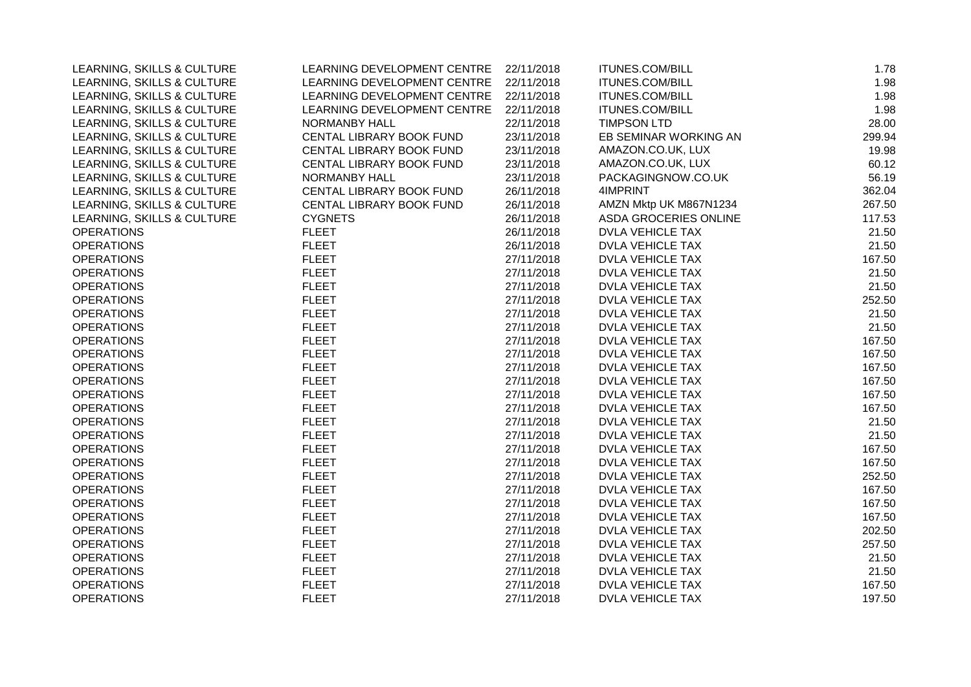| LEARNING, SKILLS & CULTURE | LEARNING DEVELOPMENT CENTRE | 22/11/2018 | <b>ITUNES.COM/BILL</b>  | 1.78   |
|----------------------------|-----------------------------|------------|-------------------------|--------|
| LEARNING, SKILLS & CULTURE | LEARNING DEVELOPMENT CENTRE | 22/11/2018 | <b>ITUNES.COM/BILL</b>  | 1.98   |
| LEARNING, SKILLS & CULTURE | LEARNING DEVELOPMENT CENTRE | 22/11/2018 | <b>ITUNES.COM/BILL</b>  | 1.98   |
| LEARNING, SKILLS & CULTURE | LEARNING DEVELOPMENT CENTRE | 22/11/2018 | <b>ITUNES.COM/BILL</b>  | 1.98   |
| LEARNING, SKILLS & CULTURE | <b>NORMANBY HALL</b>        | 22/11/2018 | <b>TIMPSON LTD</b>      | 28.00  |
| LEARNING, SKILLS & CULTURE | CENTAL LIBRARY BOOK FUND    | 23/11/2018 | EB SEMINAR WORKING AN   | 299.94 |
| LEARNING, SKILLS & CULTURE | CENTAL LIBRARY BOOK FUND    | 23/11/2018 | AMAZON.CO.UK, LUX       | 19.98  |
| LEARNING, SKILLS & CULTURE | CENTAL LIBRARY BOOK FUND    | 23/11/2018 | AMAZON.CO.UK, LUX       | 60.12  |
| LEARNING, SKILLS & CULTURE | NORMANBY HALL               | 23/11/2018 | PACKAGINGNOW.CO.UK      | 56.19  |
| LEARNING, SKILLS & CULTURE | CENTAL LIBRARY BOOK FUND    | 26/11/2018 | 4IMPRINT                | 362.04 |
| LEARNING, SKILLS & CULTURE | CENTAL LIBRARY BOOK FUND    | 26/11/2018 | AMZN Mktp UK M867N1234  | 267.50 |
| LEARNING, SKILLS & CULTURE | <b>CYGNETS</b>              | 26/11/2018 | ASDA GROCERIES ONLINE   | 117.53 |
| <b>OPERATIONS</b>          | <b>FLEET</b>                | 26/11/2018 | <b>DVLA VEHICLE TAX</b> | 21.50  |
| <b>OPERATIONS</b>          | <b>FLEET</b>                | 26/11/2018 | <b>DVLA VEHICLE TAX</b> | 21.50  |
| <b>OPERATIONS</b>          | <b>FLEET</b>                | 27/11/2018 | <b>DVLA VEHICLE TAX</b> | 167.50 |
| <b>OPERATIONS</b>          | <b>FLEET</b>                | 27/11/2018 | <b>DVLA VEHICLE TAX</b> | 21.50  |
| <b>OPERATIONS</b>          | <b>FLEET</b>                | 27/11/2018 | <b>DVLA VEHICLE TAX</b> | 21.50  |
| <b>OPERATIONS</b>          | <b>FLEET</b>                | 27/11/2018 | DVLA VEHICLE TAX        | 252.50 |
| <b>OPERATIONS</b>          | <b>FLEET</b>                | 27/11/2018 | <b>DVLA VEHICLE TAX</b> | 21.50  |
| <b>OPERATIONS</b>          | <b>FLEET</b>                | 27/11/2018 | <b>DVLA VEHICLE TAX</b> | 21.50  |
| <b>OPERATIONS</b>          | <b>FLEET</b>                | 27/11/2018 | <b>DVLA VEHICLE TAX</b> | 167.50 |
| <b>OPERATIONS</b>          | <b>FLEET</b>                | 27/11/2018 | <b>DVLA VEHICLE TAX</b> | 167.50 |
| <b>OPERATIONS</b>          | <b>FLEET</b>                | 27/11/2018 | DVLA VEHICLE TAX        | 167.50 |
| <b>OPERATIONS</b>          | <b>FLEET</b>                | 27/11/2018 | <b>DVLA VEHICLE TAX</b> | 167.50 |
| <b>OPERATIONS</b>          | <b>FLEET</b>                | 27/11/2018 | <b>DVLA VEHICLE TAX</b> | 167.50 |
| <b>OPERATIONS</b>          | <b>FLEET</b>                | 27/11/2018 | DVLA VEHICLE TAX        | 167.50 |
| <b>OPERATIONS</b>          | <b>FLEET</b>                | 27/11/2018 | <b>DVLA VEHICLE TAX</b> | 21.50  |
| <b>OPERATIONS</b>          | <b>FLEET</b>                | 27/11/2018 | <b>DVLA VEHICLE TAX</b> | 21.50  |
| <b>OPERATIONS</b>          | <b>FLEET</b>                | 27/11/2018 | <b>DVLA VEHICLE TAX</b> | 167.50 |
| <b>OPERATIONS</b>          | <b>FLEET</b>                | 27/11/2018 | DVLA VEHICLE TAX        | 167.50 |
| <b>OPERATIONS</b>          | <b>FLEET</b>                | 27/11/2018 | <b>DVLA VEHICLE TAX</b> | 252.50 |
| <b>OPERATIONS</b>          | <b>FLEET</b>                | 27/11/2018 | DVLA VEHICLE TAX        | 167.50 |
| <b>OPERATIONS</b>          | <b>FLEET</b>                | 27/11/2018 | DVLA VEHICLE TAX        | 167.50 |
| <b>OPERATIONS</b>          | <b>FLEET</b>                | 27/11/2018 | <b>DVLA VEHICLE TAX</b> | 167.50 |
| <b>OPERATIONS</b>          | <b>FLEET</b>                | 27/11/2018 | <b>DVLA VEHICLE TAX</b> | 202.50 |
| <b>OPERATIONS</b>          | <b>FLEET</b>                | 27/11/2018 | <b>DVLA VEHICLE TAX</b> | 257.50 |
| <b>OPERATIONS</b>          | <b>FLEET</b>                | 27/11/2018 | <b>DVLA VEHICLE TAX</b> | 21.50  |
| <b>OPERATIONS</b>          | <b>FLEET</b>                | 27/11/2018 | DVLA VEHICLE TAX        | 21.50  |
| <b>OPERATIONS</b>          | <b>FLEET</b>                | 27/11/2018 | <b>DVLA VEHICLE TAX</b> | 167.50 |
| <b>OPERATIONS</b>          | <b>FLEET</b>                | 27/11/2018 | <b>DVLA VEHICLE TAX</b> | 197.50 |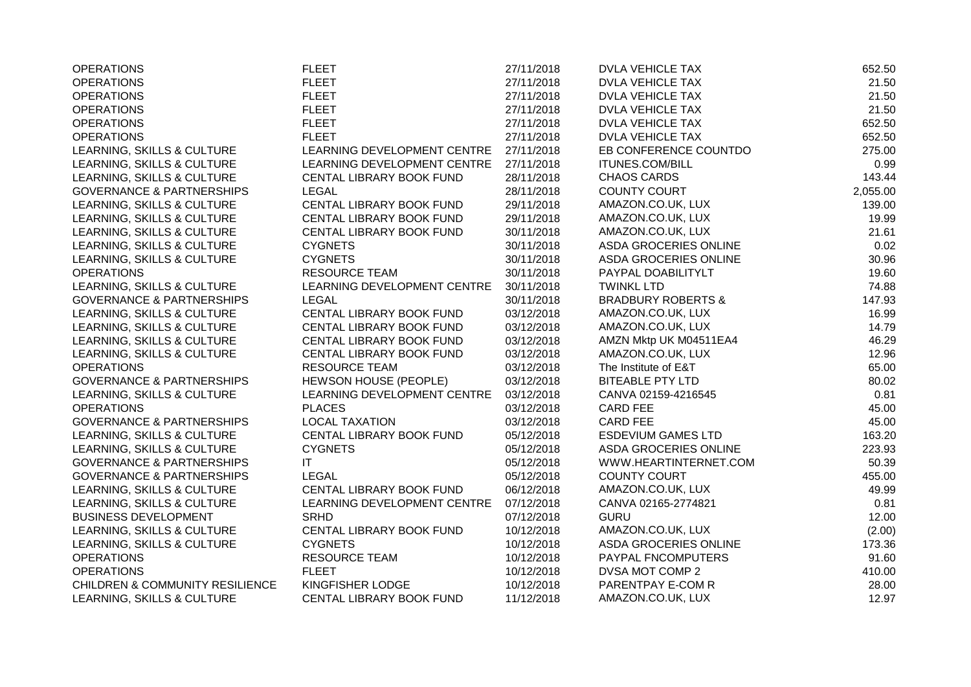| <b>OPERATIONS</b>                          | <b>FLEET</b>                | 27/11/2018 | <b>DVLA VEHICLE TAX</b>       | 652.50   |
|--------------------------------------------|-----------------------------|------------|-------------------------------|----------|
| <b>OPERATIONS</b>                          | <b>FLEET</b>                | 27/11/2018 | DVLA VEHICLE TAX              | 21.50    |
| <b>OPERATIONS</b>                          | <b>FLEET</b>                | 27/11/2018 | <b>DVLA VEHICLE TAX</b>       | 21.50    |
| <b>OPERATIONS</b>                          | <b>FLEET</b>                | 27/11/2018 | <b>DVLA VEHICLE TAX</b>       | 21.50    |
| <b>OPERATIONS</b>                          | <b>FLEET</b>                | 27/11/2018 | <b>DVLA VEHICLE TAX</b>       | 652.50   |
| <b>OPERATIONS</b>                          | <b>FLEET</b>                | 27/11/2018 | <b>DVLA VEHICLE TAX</b>       | 652.50   |
| LEARNING, SKILLS & CULTURE                 | LEARNING DEVELOPMENT CENTRE | 27/11/2018 | EB CONFERENCE COUNTDO         | 275.00   |
| LEARNING, SKILLS & CULTURE                 | LEARNING DEVELOPMENT CENTRE | 27/11/2018 | <b>ITUNES.COM/BILL</b>        | 0.99     |
| LEARNING, SKILLS & CULTURE                 | CENTAL LIBRARY BOOK FUND    | 28/11/2018 | <b>CHAOS CARDS</b>            | 143.44   |
| <b>GOVERNANCE &amp; PARTNERSHIPS</b>       | <b>LEGAL</b>                | 28/11/2018 | <b>COUNTY COURT</b>           | 2,055.00 |
| LEARNING, SKILLS & CULTURE                 | CENTAL LIBRARY BOOK FUND    | 29/11/2018 | AMAZON.CO.UK, LUX             | 139.00   |
| LEARNING, SKILLS & CULTURE                 | CENTAL LIBRARY BOOK FUND    | 29/11/2018 | AMAZON.CO.UK, LUX             | 19.99    |
| LEARNING, SKILLS & CULTURE                 | CENTAL LIBRARY BOOK FUND    | 30/11/2018 | AMAZON.CO.UK, LUX             | 21.61    |
| LEARNING, SKILLS & CULTURE                 | <b>CYGNETS</b>              | 30/11/2018 | ASDA GROCERIES ONLINE         | 0.02     |
| LEARNING, SKILLS & CULTURE                 | <b>CYGNETS</b>              | 30/11/2018 | ASDA GROCERIES ONLINE         | 30.96    |
| <b>OPERATIONS</b>                          | <b>RESOURCE TEAM</b>        | 30/11/2018 | PAYPAL DOABILITYLT            | 19.60    |
| LEARNING, SKILLS & CULTURE                 | LEARNING DEVELOPMENT CENTRE | 30/11/2018 | <b>TWINKL LTD</b>             | 74.88    |
| <b>GOVERNANCE &amp; PARTNERSHIPS</b>       | <b>LEGAL</b>                | 30/11/2018 | <b>BRADBURY ROBERTS &amp;</b> | 147.93   |
| LEARNING, SKILLS & CULTURE                 | CENTAL LIBRARY BOOK FUND    | 03/12/2018 | AMAZON.CO.UK, LUX             | 16.99    |
| LEARNING, SKILLS & CULTURE                 | CENTAL LIBRARY BOOK FUND    | 03/12/2018 | AMAZON.CO.UK, LUX             | 14.79    |
| LEARNING, SKILLS & CULTURE                 | CENTAL LIBRARY BOOK FUND    | 03/12/2018 | AMZN Mktp UK M04511EA4        | 46.29    |
| LEARNING, SKILLS & CULTURE                 | CENTAL LIBRARY BOOK FUND    | 03/12/2018 | AMAZON.CO.UK, LUX             | 12.96    |
| <b>OPERATIONS</b>                          | <b>RESOURCE TEAM</b>        | 03/12/2018 | The Institute of E&T          | 65.00    |
| <b>GOVERNANCE &amp; PARTNERSHIPS</b>       | HEWSON HOUSE (PEOPLE)       | 03/12/2018 | <b>BITEABLE PTY LTD</b>       | 80.02    |
| LEARNING, SKILLS & CULTURE                 | LEARNING DEVELOPMENT CENTRE | 03/12/2018 | CANVA 02159-4216545           | 0.81     |
| <b>OPERATIONS</b>                          | <b>PLACES</b>               | 03/12/2018 | <b>CARD FEE</b>               | 45.00    |
| <b>GOVERNANCE &amp; PARTNERSHIPS</b>       | <b>LOCAL TAXATION</b>       | 03/12/2018 | <b>CARD FEE</b>               | 45.00    |
| LEARNING, SKILLS & CULTURE                 | CENTAL LIBRARY BOOK FUND    | 05/12/2018 | <b>ESDEVIUM GAMES LTD</b>     | 163.20   |
| LEARNING, SKILLS & CULTURE                 | <b>CYGNETS</b>              | 05/12/2018 | ASDA GROCERIES ONLINE         | 223.93   |
| <b>GOVERNANCE &amp; PARTNERSHIPS</b>       | ΙT                          | 05/12/2018 | WWW.HEARTINTERNET.COM         | 50.39    |
| <b>GOVERNANCE &amp; PARTNERSHIPS</b>       | <b>LEGAL</b>                | 05/12/2018 | <b>COUNTY COURT</b>           | 455.00   |
| LEARNING, SKILLS & CULTURE                 | CENTAL LIBRARY BOOK FUND    | 06/12/2018 | AMAZON.CO.UK, LUX             | 49.99    |
| LEARNING, SKILLS & CULTURE                 | LEARNING DEVELOPMENT CENTRE | 07/12/2018 | CANVA 02165-2774821           | 0.81     |
| <b>BUSINESS DEVELOPMENT</b>                | <b>SRHD</b>                 | 07/12/2018 | <b>GURU</b>                   | 12.00    |
| LEARNING, SKILLS & CULTURE                 | CENTAL LIBRARY BOOK FUND    | 10/12/2018 | AMAZON.CO.UK, LUX             | (2.00)   |
| LEARNING, SKILLS & CULTURE                 | <b>CYGNETS</b>              | 10/12/2018 | ASDA GROCERIES ONLINE         | 173.36   |
| <b>OPERATIONS</b>                          | <b>RESOURCE TEAM</b>        | 10/12/2018 | PAYPAL FNCOMPUTERS            | 91.60    |
| <b>OPERATIONS</b>                          | <b>FLEET</b>                | 10/12/2018 | DVSA MOT COMP 2               | 410.00   |
| <b>CHILDREN &amp; COMMUNITY RESILIENCE</b> | KINGFISHER LODGE            | 10/12/2018 | PARENTPAY E-COM R             | 28.00    |
| LEARNING, SKILLS & CULTURE                 | CENTAL LIBRARY BOOK FUND    | 11/12/2018 | AMAZON.CO.UK, LUX             | 12.97    |
|                                            |                             |            |                               |          |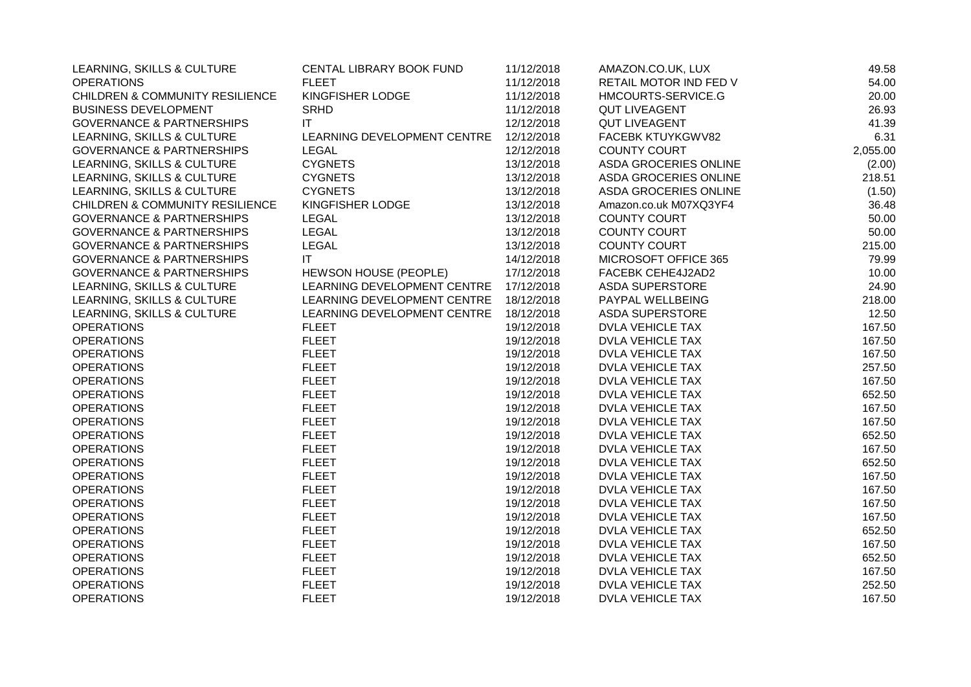| LEARNING, SKILLS & CULTURE                 | CENTAL LIBRARY BOOK FUND               | 11/12/2018 | AMAZON.CO.UK, LUX       | 49.58    |
|--------------------------------------------|----------------------------------------|------------|-------------------------|----------|
| <b>OPERATIONS</b>                          | <b>FLEET</b>                           | 11/12/2018 | RETAIL MOTOR IND FED V  | 54.00    |
| <b>CHILDREN &amp; COMMUNITY RESILIENCE</b> | KINGFISHER LODGE                       | 11/12/2018 | HMCOURTS-SERVICE.G      | 20.00    |
| <b>BUSINESS DEVELOPMENT</b>                | <b>SRHD</b>                            | 11/12/2018 | <b>QUT LIVEAGENT</b>    | 26.93    |
| <b>GOVERNANCE &amp; PARTNERSHIPS</b>       | IT                                     | 12/12/2018 | <b>QUT LIVEAGENT</b>    | 41.39    |
| LEARNING, SKILLS & CULTURE                 | LEARNING DEVELOPMENT CENTRE 12/12/2018 |            | FACEBK KTUYKGWV82       | 6.31     |
| <b>GOVERNANCE &amp; PARTNERSHIPS</b>       | <b>LEGAL</b>                           | 12/12/2018 | <b>COUNTY COURT</b>     | 2,055.00 |
| LEARNING, SKILLS & CULTURE                 | <b>CYGNETS</b>                         | 13/12/2018 | ASDA GROCERIES ONLINE   | (2.00)   |
| LEARNING, SKILLS & CULTURE                 | <b>CYGNETS</b>                         | 13/12/2018 | ASDA GROCERIES ONLINE   | 218.51   |
| LEARNING, SKILLS & CULTURE                 | <b>CYGNETS</b>                         | 13/12/2018 | ASDA GROCERIES ONLINE   | (1.50)   |
| CHILDREN & COMMUNITY RESILIENCE            | KINGFISHER LODGE                       | 13/12/2018 | Amazon.co.uk M07XQ3YF4  | 36.48    |
| <b>GOVERNANCE &amp; PARTNERSHIPS</b>       | LEGAL                                  | 13/12/2018 | COUNTY COURT            | 50.00    |
| <b>GOVERNANCE &amp; PARTNERSHIPS</b>       | <b>LEGAL</b>                           | 13/12/2018 | <b>COUNTY COURT</b>     | 50.00    |
| <b>GOVERNANCE &amp; PARTNERSHIPS</b>       | <b>LEGAL</b>                           | 13/12/2018 | <b>COUNTY COURT</b>     | 215.00   |
| <b>GOVERNANCE &amp; PARTNERSHIPS</b>       | IT                                     | 14/12/2018 | MICROSOFT OFFICE 365    | 79.99    |
| <b>GOVERNANCE &amp; PARTNERSHIPS</b>       | <b>HEWSON HOUSE (PEOPLE)</b>           | 17/12/2018 | FACEBK CEHE4J2AD2       | 10.00    |
| LEARNING, SKILLS & CULTURE                 | LEARNING DEVELOPMENT CENTRE 17/12/2018 |            | <b>ASDA SUPERSTORE</b>  | 24.90    |
| LEARNING, SKILLS & CULTURE                 | LEARNING DEVELOPMENT CENTRE 18/12/2018 |            | PAYPAL WELLBEING        | 218.00   |
| LEARNING, SKILLS & CULTURE                 | LEARNING DEVELOPMENT CENTRE            | 18/12/2018 | <b>ASDA SUPERSTORE</b>  | 12.50    |
| <b>OPERATIONS</b>                          | <b>FLEET</b>                           | 19/12/2018 | <b>DVLA VEHICLE TAX</b> | 167.50   |
| <b>OPERATIONS</b>                          | <b>FLEET</b>                           | 19/12/2018 | DVLA VEHICLE TAX        | 167.50   |
| <b>OPERATIONS</b>                          | <b>FLEET</b>                           | 19/12/2018 | DVLA VEHICLE TAX        | 167.50   |
| <b>OPERATIONS</b>                          | <b>FLEET</b>                           | 19/12/2018 | DVLA VEHICLE TAX        | 257.50   |
| <b>OPERATIONS</b>                          | <b>FLEET</b>                           | 19/12/2018 | DVLA VEHICLE TAX        | 167.50   |
| <b>OPERATIONS</b>                          | <b>FLEET</b>                           | 19/12/2018 | <b>DVLA VEHICLE TAX</b> | 652.50   |
| <b>OPERATIONS</b>                          | <b>FLEET</b>                           | 19/12/2018 | <b>DVLA VEHICLE TAX</b> | 167.50   |
| <b>OPERATIONS</b>                          | <b>FLEET</b>                           | 19/12/2018 | DVLA VEHICLE TAX        | 167.50   |
| <b>OPERATIONS</b>                          | <b>FLEET</b>                           | 19/12/2018 | <b>DVLA VEHICLE TAX</b> | 652.50   |
| <b>OPERATIONS</b>                          | <b>FLEET</b>                           | 19/12/2018 | <b>DVLA VEHICLE TAX</b> | 167.50   |
| <b>OPERATIONS</b>                          | <b>FLEET</b>                           | 19/12/2018 | <b>DVLA VEHICLE TAX</b> | 652.50   |
| <b>OPERATIONS</b>                          | <b>FLEET</b>                           | 19/12/2018 | <b>DVLA VEHICLE TAX</b> | 167.50   |
| <b>OPERATIONS</b>                          | <b>FLEET</b>                           | 19/12/2018 | <b>DVLA VEHICLE TAX</b> | 167.50   |
| <b>OPERATIONS</b>                          | <b>FLEET</b>                           | 19/12/2018 | <b>DVLA VEHICLE TAX</b> | 167.50   |
| <b>OPERATIONS</b>                          | <b>FLEET</b>                           | 19/12/2018 | <b>DVLA VEHICLE TAX</b> | 167.50   |
| <b>OPERATIONS</b>                          | <b>FLEET</b>                           | 19/12/2018 | DVLA VEHICLE TAX        | 652.50   |
| <b>OPERATIONS</b>                          | <b>FLEET</b>                           | 19/12/2018 | <b>DVLA VEHICLE TAX</b> | 167.50   |
| <b>OPERATIONS</b>                          | <b>FLEET</b>                           | 19/12/2018 | DVLA VEHICLE TAX        | 652.50   |
| <b>OPERATIONS</b>                          | <b>FLEET</b>                           | 19/12/2018 | <b>DVLA VEHICLE TAX</b> | 167.50   |
| <b>OPERATIONS</b>                          | <b>FLEET</b>                           | 19/12/2018 | <b>DVLA VEHICLE TAX</b> | 252.50   |
| <b>OPERATIONS</b>                          | <b>FLEET</b>                           | 19/12/2018 | <b>DVLA VEHICLE TAX</b> | 167.50   |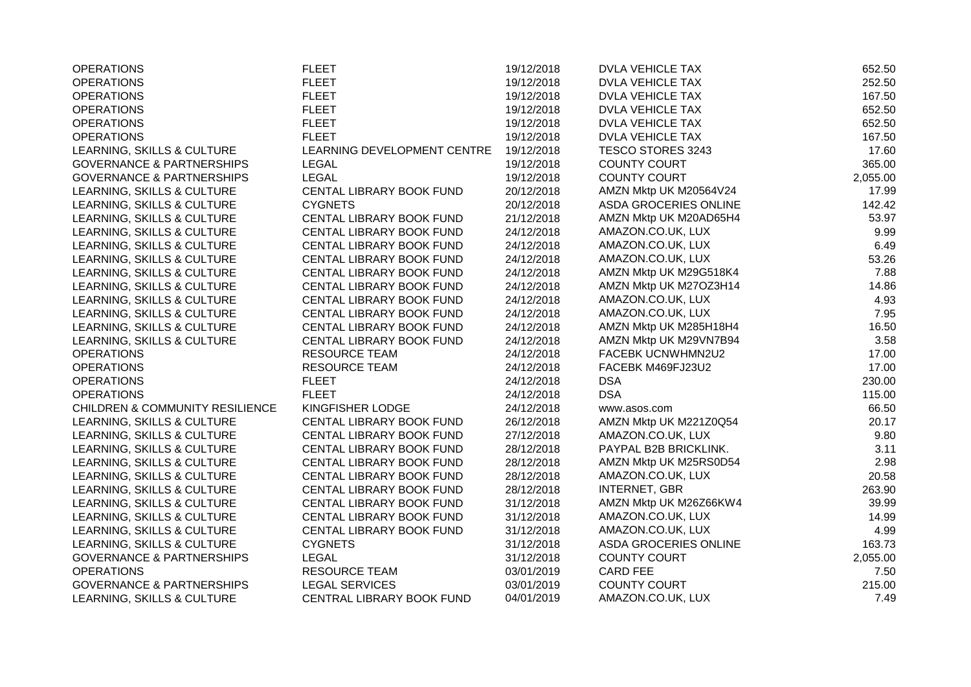| <b>OPERATIONS</b>                          | <b>FLEET</b>                | 19/12/2018 | <b>DVLA VEHICLE TAX</b> | 652.50   |
|--------------------------------------------|-----------------------------|------------|-------------------------|----------|
| <b>OPERATIONS</b>                          | <b>FLEET</b>                | 19/12/2018 | <b>DVLA VEHICLE TAX</b> | 252.50   |
| <b>OPERATIONS</b>                          | <b>FLEET</b>                | 19/12/2018 | <b>DVLA VEHICLE TAX</b> | 167.50   |
| <b>OPERATIONS</b>                          | <b>FLEET</b>                | 19/12/2018 | DVLA VEHICLE TAX        | 652.50   |
| <b>OPERATIONS</b>                          | <b>FLEET</b>                | 19/12/2018 | <b>DVLA VEHICLE TAX</b> | 652.50   |
| <b>OPERATIONS</b>                          | <b>FLEET</b>                | 19/12/2018 | DVLA VEHICLE TAX        | 167.50   |
| LEARNING, SKILLS & CULTURE                 | LEARNING DEVELOPMENT CENTRE | 19/12/2018 | TESCO STORES 3243       | 17.60    |
| <b>GOVERNANCE &amp; PARTNERSHIPS</b>       | <b>LEGAL</b>                | 19/12/2018 | <b>COUNTY COURT</b>     | 365.00   |
| <b>GOVERNANCE &amp; PARTNERSHIPS</b>       | <b>LEGAL</b>                | 19/12/2018 | <b>COUNTY COURT</b>     | 2,055.00 |
| LEARNING, SKILLS & CULTURE                 | CENTAL LIBRARY BOOK FUND    | 20/12/2018 | AMZN Mktp UK M20564V24  | 17.99    |
| LEARNING, SKILLS & CULTURE                 | <b>CYGNETS</b>              | 20/12/2018 | ASDA GROCERIES ONLINE   | 142.42   |
| LEARNING, SKILLS & CULTURE                 | CENTAL LIBRARY BOOK FUND    | 21/12/2018 | AMZN Mktp UK M20AD65H4  | 53.97    |
| LEARNING, SKILLS & CULTURE                 | CENTAL LIBRARY BOOK FUND    | 24/12/2018 | AMAZON.CO.UK, LUX       | 9.99     |
| LEARNING, SKILLS & CULTURE                 | CENTAL LIBRARY BOOK FUND    | 24/12/2018 | AMAZON.CO.UK, LUX       | 6.49     |
| LEARNING, SKILLS & CULTURE                 | CENTAL LIBRARY BOOK FUND    | 24/12/2018 | AMAZON.CO.UK, LUX       | 53.26    |
| LEARNING, SKILLS & CULTURE                 | CENTAL LIBRARY BOOK FUND    | 24/12/2018 | AMZN Mktp UK M29G518K4  | 7.88     |
| LEARNING, SKILLS & CULTURE                 | CENTAL LIBRARY BOOK FUND    | 24/12/2018 | AMZN Mktp UK M27OZ3H14  | 14.86    |
| LEARNING, SKILLS & CULTURE                 | CENTAL LIBRARY BOOK FUND    | 24/12/2018 | AMAZON.CO.UK, LUX       | 4.93     |
| LEARNING, SKILLS & CULTURE                 | CENTAL LIBRARY BOOK FUND    | 24/12/2018 | AMAZON.CO.UK, LUX       | 7.95     |
| LEARNING, SKILLS & CULTURE                 | CENTAL LIBRARY BOOK FUND    | 24/12/2018 | AMZN Mktp UK M285H18H4  | 16.50    |
| LEARNING, SKILLS & CULTURE                 | CENTAL LIBRARY BOOK FUND    | 24/12/2018 | AMZN Mktp UK M29VN7B94  | 3.58     |
| <b>OPERATIONS</b>                          | <b>RESOURCE TEAM</b>        | 24/12/2018 | FACEBK UCNWHMN2U2       | 17.00    |
| <b>OPERATIONS</b>                          | <b>RESOURCE TEAM</b>        | 24/12/2018 | FACEBK M469FJ23U2       | 17.00    |
| <b>OPERATIONS</b>                          | <b>FLEET</b>                | 24/12/2018 | <b>DSA</b>              | 230.00   |
| <b>OPERATIONS</b>                          | <b>FLEET</b>                | 24/12/2018 | <b>DSA</b>              | 115.00   |
| <b>CHILDREN &amp; COMMUNITY RESILIENCE</b> | KINGFISHER LODGE            | 24/12/2018 | www.asos.com            | 66.50    |
| LEARNING, SKILLS & CULTURE                 | CENTAL LIBRARY BOOK FUND    | 26/12/2018 | AMZN Mktp UK M221Z0Q54  | 20.17    |
| LEARNING, SKILLS & CULTURE                 | CENTAL LIBRARY BOOK FUND    | 27/12/2018 | AMAZON.CO.UK, LUX       | 9.80     |
| LEARNING, SKILLS & CULTURE                 | CENTAL LIBRARY BOOK FUND    | 28/12/2018 | PAYPAL B2B BRICKLINK.   | 3.11     |
| LEARNING, SKILLS & CULTURE                 | CENTAL LIBRARY BOOK FUND    | 28/12/2018 | AMZN Mktp UK M25RS0D54  | 2.98     |
| LEARNING, SKILLS & CULTURE                 | CENTAL LIBRARY BOOK FUND    | 28/12/2018 | AMAZON.CO.UK, LUX       | 20.58    |
| LEARNING, SKILLS & CULTURE                 | CENTAL LIBRARY BOOK FUND    | 28/12/2018 | <b>INTERNET, GBR</b>    | 263.90   |
| LEARNING, SKILLS & CULTURE                 | CENTAL LIBRARY BOOK FUND    | 31/12/2018 | AMZN Mktp UK M26Z66KW4  | 39.99    |
| LEARNING, SKILLS & CULTURE                 | CENTAL LIBRARY BOOK FUND    | 31/12/2018 | AMAZON.CO.UK, LUX       | 14.99    |
| LEARNING, SKILLS & CULTURE                 | CENTAL LIBRARY BOOK FUND    | 31/12/2018 | AMAZON.CO.UK, LUX       | 4.99     |
| LEARNING, SKILLS & CULTURE                 | <b>CYGNETS</b>              | 31/12/2018 | ASDA GROCERIES ONLINE   | 163.73   |
| <b>GOVERNANCE &amp; PARTNERSHIPS</b>       | <b>LEGAL</b>                | 31/12/2018 | <b>COUNTY COURT</b>     | 2,055.00 |
| <b>OPERATIONS</b>                          | <b>RESOURCE TEAM</b>        | 03/01/2019 | <b>CARD FEE</b>         | 7.50     |
| <b>GOVERNANCE &amp; PARTNERSHIPS</b>       | <b>LEGAL SERVICES</b>       | 03/01/2019 | <b>COUNTY COURT</b>     | 215.00   |
| LEARNING, SKILLS & CULTURE                 | CENTRAL LIBRARY BOOK FUND   | 04/01/2019 | AMAZON.CO.UK, LUX       | 7.49     |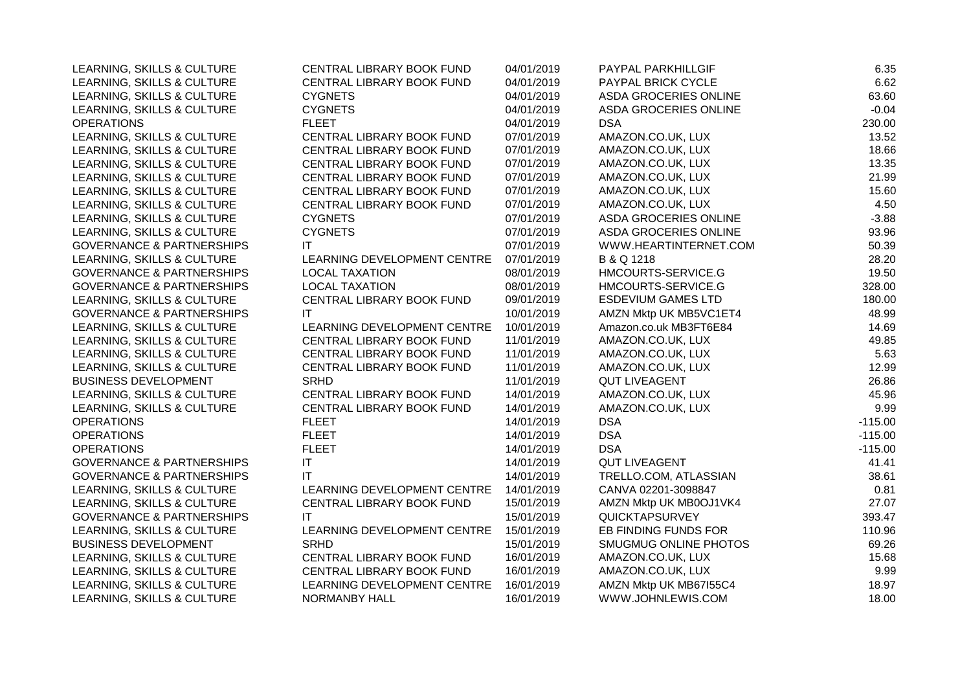| LEARNING, SKILLS & CULTURE           | CENTRAL LIBRARY BOOK FUND   | 04/01/2019 | PAYPAL PARKHILLGIF        | 6.35      |
|--------------------------------------|-----------------------------|------------|---------------------------|-----------|
| LEARNING, SKILLS & CULTURE           | CENTRAL LIBRARY BOOK FUND   | 04/01/2019 | PAYPAL BRICK CYCLE        | 6.62      |
| LEARNING, SKILLS & CULTURE           | <b>CYGNETS</b>              | 04/01/2019 | ASDA GROCERIES ONLINE     | 63.60     |
| LEARNING, SKILLS & CULTURE           | <b>CYGNETS</b>              | 04/01/2019 | ASDA GROCERIES ONLINE     | $-0.04$   |
| <b>OPERATIONS</b>                    | <b>FLEET</b>                | 04/01/2019 | <b>DSA</b>                | 230.00    |
| LEARNING, SKILLS & CULTURE           | CENTRAL LIBRARY BOOK FUND   | 07/01/2019 | AMAZON.CO.UK, LUX         | 13.52     |
| LEARNING, SKILLS & CULTURE           | CENTRAL LIBRARY BOOK FUND   | 07/01/2019 | AMAZON.CO.UK, LUX         | 18.66     |
| LEARNING, SKILLS & CULTURE           | CENTRAL LIBRARY BOOK FUND   | 07/01/2019 | AMAZON.CO.UK, LUX         | 13.35     |
| LEARNING, SKILLS & CULTURE           | CENTRAL LIBRARY BOOK FUND   | 07/01/2019 | AMAZON.CO.UK, LUX         | 21.99     |
| LEARNING, SKILLS & CULTURE           | CENTRAL LIBRARY BOOK FUND   | 07/01/2019 | AMAZON.CO.UK, LUX         | 15.60     |
| LEARNING, SKILLS & CULTURE           | CENTRAL LIBRARY BOOK FUND   | 07/01/2019 | AMAZON.CO.UK, LUX         | 4.50      |
| LEARNING, SKILLS & CULTURE           | <b>CYGNETS</b>              | 07/01/2019 | ASDA GROCERIES ONLINE     | $-3.88$   |
| LEARNING, SKILLS & CULTURE           | <b>CYGNETS</b>              | 07/01/2019 | ASDA GROCERIES ONLINE     | 93.96     |
| <b>GOVERNANCE &amp; PARTNERSHIPS</b> | IT                          | 07/01/2019 | WWW.HEARTINTERNET.COM     | 50.39     |
| LEARNING, SKILLS & CULTURE           | LEARNING DEVELOPMENT CENTRE | 07/01/2019 | B & Q 1218                | 28.20     |
| <b>GOVERNANCE &amp; PARTNERSHIPS</b> | <b>LOCAL TAXATION</b>       | 08/01/2019 | HMCOURTS-SERVICE.G        | 19.50     |
| <b>GOVERNANCE &amp; PARTNERSHIPS</b> | <b>LOCAL TAXATION</b>       | 08/01/2019 | HMCOURTS-SERVICE.G        | 328.00    |
| LEARNING, SKILLS & CULTURE           | CENTRAL LIBRARY BOOK FUND   | 09/01/2019 | <b>ESDEVIUM GAMES LTD</b> | 180.00    |
| <b>GOVERNANCE &amp; PARTNERSHIPS</b> | ΙT                          | 10/01/2019 | AMZN Mktp UK MB5VC1ET4    | 48.99     |
| LEARNING, SKILLS & CULTURE           | LEARNING DEVELOPMENT CENTRE | 10/01/2019 | Amazon.co.uk MB3FT6E84    | 14.69     |
| LEARNING, SKILLS & CULTURE           | CENTRAL LIBRARY BOOK FUND   | 11/01/2019 | AMAZON.CO.UK, LUX         | 49.85     |
| LEARNING, SKILLS & CULTURE           | CENTRAL LIBRARY BOOK FUND   | 11/01/2019 | AMAZON.CO.UK, LUX         | 5.63      |
| LEARNING, SKILLS & CULTURE           | CENTRAL LIBRARY BOOK FUND   | 11/01/2019 | AMAZON.CO.UK, LUX         | 12.99     |
| <b>BUSINESS DEVELOPMENT</b>          | <b>SRHD</b>                 | 11/01/2019 | <b>QUT LIVEAGENT</b>      | 26.86     |
| LEARNING, SKILLS & CULTURE           | CENTRAL LIBRARY BOOK FUND   | 14/01/2019 | AMAZON.CO.UK, LUX         | 45.96     |
| LEARNING, SKILLS & CULTURE           | CENTRAL LIBRARY BOOK FUND   | 14/01/2019 | AMAZON.CO.UK, LUX         | 9.99      |
| <b>OPERATIONS</b>                    | <b>FLEET</b>                | 14/01/2019 | <b>DSA</b>                | $-115.00$ |
| <b>OPERATIONS</b>                    | <b>FLEET</b>                | 14/01/2019 | <b>DSA</b>                | $-115.00$ |
| <b>OPERATIONS</b>                    | <b>FLEET</b>                | 14/01/2019 | <b>DSA</b>                | $-115.00$ |
| <b>GOVERNANCE &amp; PARTNERSHIPS</b> | $\mathsf{I}\mathsf{T}$      | 14/01/2019 | <b>QUT LIVEAGENT</b>      | 41.41     |
| <b>GOVERNANCE &amp; PARTNERSHIPS</b> | IT                          | 14/01/2019 | TRELLO.COM, ATLASSIAN     | 38.61     |
| LEARNING, SKILLS & CULTURE           | LEARNING DEVELOPMENT CENTRE | 14/01/2019 | CANVA 02201-3098847       | 0.81      |
| LEARNING, SKILLS & CULTURE           | CENTRAL LIBRARY BOOK FUND   | 15/01/2019 | AMZN Mktp UK MB0OJ1VK4    | 27.07     |
| <b>GOVERNANCE &amp; PARTNERSHIPS</b> | IT.                         | 15/01/2019 | QUICKTAPSURVEY            | 393.47    |
| LEARNING, SKILLS & CULTURE           | LEARNING DEVELOPMENT CENTRE | 15/01/2019 | EB FINDING FUNDS FOR      | 110.96    |
| <b>BUSINESS DEVELOPMENT</b>          | <b>SRHD</b>                 | 15/01/2019 | SMUGMUG ONLINE PHOTOS     | 69.26     |
| LEARNING, SKILLS & CULTURE           | CENTRAL LIBRARY BOOK FUND   | 16/01/2019 | AMAZON.CO.UK, LUX         | 15.68     |
| LEARNING, SKILLS & CULTURE           | CENTRAL LIBRARY BOOK FUND   | 16/01/2019 | AMAZON.CO.UK, LUX         | 9.99      |
| LEARNING, SKILLS & CULTURE           | LEARNING DEVELOPMENT CENTRE | 16/01/2019 | AMZN Mktp UK MB67155C4    | 18.97     |
| LEARNING, SKILLS & CULTURE           | NORMANBY HALL               | 16/01/2019 | WWW.JOHNLEWIS.COM         | 18.00     |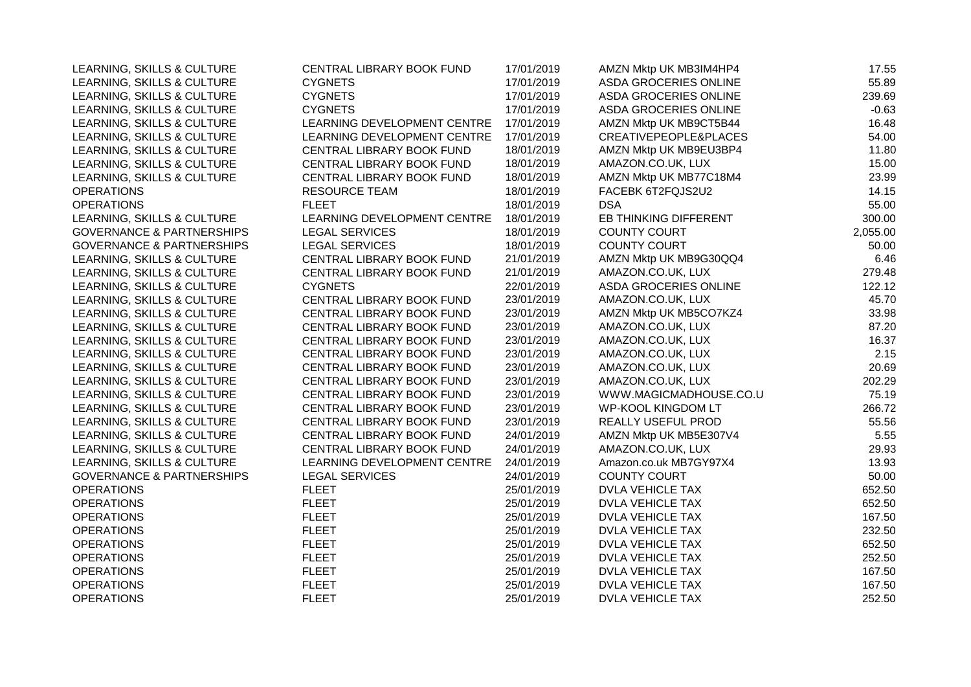| LEARNING, SKILLS & CULTURE           | CENTRAL LIBRARY BOOK FUND   | 17/01/2019 | AMZN Mktp UK MB3IM4HP4       | 17.55    |
|--------------------------------------|-----------------------------|------------|------------------------------|----------|
| LEARNING, SKILLS & CULTURE           | <b>CYGNETS</b>              | 17/01/2019 | ASDA GROCERIES ONLINE        | 55.89    |
| LEARNING, SKILLS & CULTURE           | <b>CYGNETS</b>              | 17/01/2019 | <b>ASDA GROCERIES ONLINE</b> | 239.69   |
| LEARNING, SKILLS & CULTURE           | <b>CYGNETS</b>              | 17/01/2019 | ASDA GROCERIES ONLINE        | $-0.63$  |
| LEARNING, SKILLS & CULTURE           | LEARNING DEVELOPMENT CENTRE | 17/01/2019 | AMZN Mktp UK MB9CT5B44       | 16.48    |
| LEARNING, SKILLS & CULTURE           | LEARNING DEVELOPMENT CENTRE | 17/01/2019 | CREATIVEPEOPLE&PLACES        | 54.00    |
| LEARNING, SKILLS & CULTURE           | CENTRAL LIBRARY BOOK FUND   | 18/01/2019 | AMZN Mktp UK MB9EU3BP4       | 11.80    |
| LEARNING, SKILLS & CULTURE           | CENTRAL LIBRARY BOOK FUND   | 18/01/2019 | AMAZON.CO.UK, LUX            | 15.00    |
| LEARNING, SKILLS & CULTURE           | CENTRAL LIBRARY BOOK FUND   | 18/01/2019 | AMZN Mktp UK MB77C18M4       | 23.99    |
| <b>OPERATIONS</b>                    | <b>RESOURCE TEAM</b>        | 18/01/2019 | FACEBK 6T2FQJS2U2            | 14.15    |
| <b>OPERATIONS</b>                    | <b>FLEET</b>                | 18/01/2019 | <b>DSA</b>                   | 55.00    |
| LEARNING, SKILLS & CULTURE           | LEARNING DEVELOPMENT CENTRE | 18/01/2019 | EB THINKING DIFFERENT        | 300.00   |
| <b>GOVERNANCE &amp; PARTNERSHIPS</b> | <b>LEGAL SERVICES</b>       | 18/01/2019 | <b>COUNTY COURT</b>          | 2,055.00 |
| <b>GOVERNANCE &amp; PARTNERSHIPS</b> | <b>LEGAL SERVICES</b>       | 18/01/2019 | <b>COUNTY COURT</b>          | 50.00    |
| LEARNING, SKILLS & CULTURE           | CENTRAL LIBRARY BOOK FUND   | 21/01/2019 | AMZN Mktp UK MB9G30QQ4       | 6.46     |
| LEARNING, SKILLS & CULTURE           | CENTRAL LIBRARY BOOK FUND   | 21/01/2019 | AMAZON.CO.UK, LUX            | 279.48   |
| LEARNING, SKILLS & CULTURE           | <b>CYGNETS</b>              | 22/01/2019 | ASDA GROCERIES ONLINE        | 122.12   |
| LEARNING, SKILLS & CULTURE           | CENTRAL LIBRARY BOOK FUND   | 23/01/2019 | AMAZON.CO.UK, LUX            | 45.70    |
| LEARNING, SKILLS & CULTURE           | CENTRAL LIBRARY BOOK FUND   | 23/01/2019 | AMZN Mktp UK MB5CO7KZ4       | 33.98    |
| LEARNING, SKILLS & CULTURE           | CENTRAL LIBRARY BOOK FUND   | 23/01/2019 | AMAZON.CO.UK, LUX            | 87.20    |
| LEARNING, SKILLS & CULTURE           | CENTRAL LIBRARY BOOK FUND   | 23/01/2019 | AMAZON.CO.UK, LUX            | 16.37    |
| LEARNING, SKILLS & CULTURE           | CENTRAL LIBRARY BOOK FUND   | 23/01/2019 | AMAZON.CO.UK, LUX            | 2.15     |
| LEARNING, SKILLS & CULTURE           | CENTRAL LIBRARY BOOK FUND   | 23/01/2019 | AMAZON.CO.UK, LUX            | 20.69    |
| LEARNING, SKILLS & CULTURE           | CENTRAL LIBRARY BOOK FUND   | 23/01/2019 | AMAZON.CO.UK, LUX            | 202.29   |
| LEARNING, SKILLS & CULTURE           | CENTRAL LIBRARY BOOK FUND   | 23/01/2019 | WWW.MAGICMADHOUSE.CO.U       | 75.19    |
| LEARNING, SKILLS & CULTURE           | CENTRAL LIBRARY BOOK FUND   | 23/01/2019 | <b>WP-KOOL KINGDOM LT</b>    | 266.72   |
| LEARNING, SKILLS & CULTURE           | CENTRAL LIBRARY BOOK FUND   | 23/01/2019 | REALLY USEFUL PROD           | 55.56    |
| LEARNING, SKILLS & CULTURE           | CENTRAL LIBRARY BOOK FUND   | 24/01/2019 | AMZN Mktp UK MB5E307V4       | 5.55     |
| LEARNING, SKILLS & CULTURE           | CENTRAL LIBRARY BOOK FUND   | 24/01/2019 | AMAZON.CO.UK, LUX            | 29.93    |
| LEARNING, SKILLS & CULTURE           | LEARNING DEVELOPMENT CENTRE | 24/01/2019 | Amazon.co.uk MB7GY97X4       | 13.93    |
| <b>GOVERNANCE &amp; PARTNERSHIPS</b> | <b>LEGAL SERVICES</b>       | 24/01/2019 | <b>COUNTY COURT</b>          | 50.00    |
| <b>OPERATIONS</b>                    | <b>FLEET</b>                | 25/01/2019 | DVLA VEHICLE TAX             | 652.50   |
| <b>OPERATIONS</b>                    | <b>FLEET</b>                | 25/01/2019 | <b>DVLA VEHICLE TAX</b>      | 652.50   |
| <b>OPERATIONS</b>                    | <b>FLEET</b>                | 25/01/2019 | DVLA VEHICLE TAX             | 167.50   |
| <b>OPERATIONS</b>                    | <b>FLEET</b>                | 25/01/2019 | <b>DVLA VEHICLE TAX</b>      | 232.50   |
| <b>OPERATIONS</b>                    | <b>FLEET</b>                | 25/01/2019 | DVLA VEHICLE TAX             | 652.50   |
| <b>OPERATIONS</b>                    | <b>FLEET</b>                | 25/01/2019 | <b>DVLA VEHICLE TAX</b>      | 252.50   |
| <b>OPERATIONS</b>                    | <b>FLEET</b>                | 25/01/2019 | DVLA VEHICLE TAX             | 167.50   |
| <b>OPERATIONS</b>                    | <b>FLEET</b>                | 25/01/2019 | DVLA VEHICLE TAX             | 167.50   |
| <b>OPERATIONS</b>                    | <b>FLEET</b>                | 25/01/2019 | DVLA VEHICLE TAX             | 252.50   |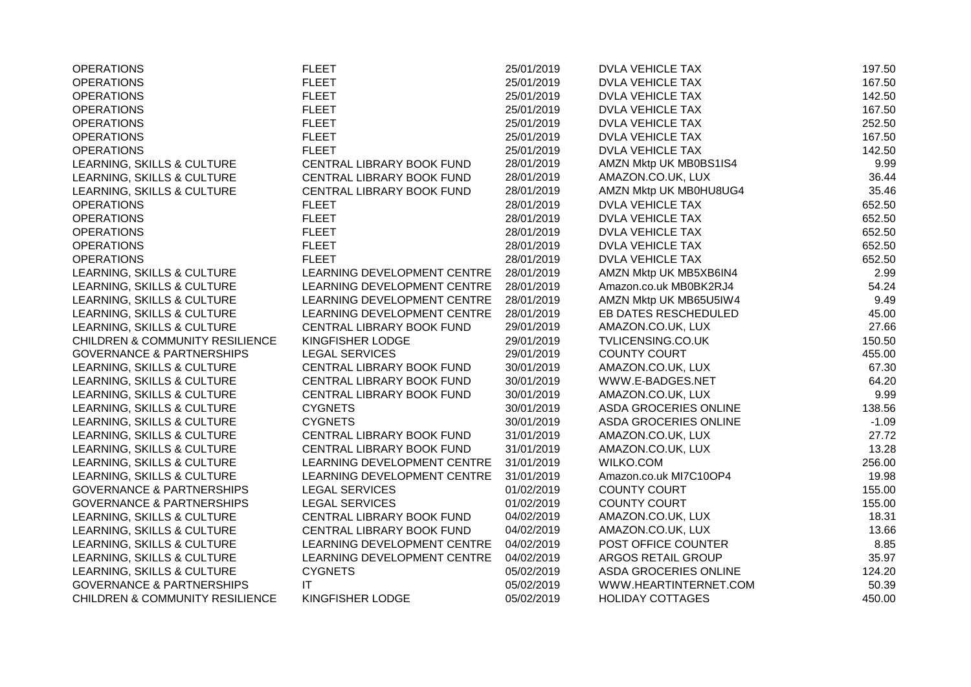| <b>OPERATIONS</b>                          | <b>FLEET</b>                | 25/01/2019 | <b>DVLA VEHICLE TAX</b> | 197.50  |
|--------------------------------------------|-----------------------------|------------|-------------------------|---------|
| <b>OPERATIONS</b>                          | <b>FLEET</b>                | 25/01/2019 | DVLA VEHICLE TAX        | 167.50  |
| <b>OPERATIONS</b>                          | <b>FLEET</b>                | 25/01/2019 | <b>DVLA VEHICLE TAX</b> | 142.50  |
| <b>OPERATIONS</b>                          | <b>FLEET</b>                | 25/01/2019 | <b>DVLA VEHICLE TAX</b> | 167.50  |
| <b>OPERATIONS</b>                          | <b>FLEET</b>                | 25/01/2019 | <b>DVLA VEHICLE TAX</b> | 252.50  |
| <b>OPERATIONS</b>                          | <b>FLEET</b>                | 25/01/2019 | <b>DVLA VEHICLE TAX</b> | 167.50  |
| <b>OPERATIONS</b>                          | <b>FLEET</b>                | 25/01/2019 | <b>DVLA VEHICLE TAX</b> | 142.50  |
| LEARNING, SKILLS & CULTURE                 | CENTRAL LIBRARY BOOK FUND   | 28/01/2019 | AMZN Mktp UK MB0BS1IS4  | 9.99    |
| LEARNING, SKILLS & CULTURE                 | CENTRAL LIBRARY BOOK FUND   | 28/01/2019 | AMAZON.CO.UK, LUX       | 36.44   |
| LEARNING, SKILLS & CULTURE                 | CENTRAL LIBRARY BOOK FUND   | 28/01/2019 | AMZN Mktp UK MB0HU8UG4  | 35.46   |
| <b>OPERATIONS</b>                          | <b>FLEET</b>                | 28/01/2019 | <b>DVLA VEHICLE TAX</b> | 652.50  |
| <b>OPERATIONS</b>                          | <b>FLEET</b>                | 28/01/2019 | <b>DVLA VEHICLE TAX</b> | 652.50  |
| <b>OPERATIONS</b>                          | <b>FLEET</b>                | 28/01/2019 | <b>DVLA VEHICLE TAX</b> | 652.50  |
| <b>OPERATIONS</b>                          | <b>FLEET</b>                | 28/01/2019 | <b>DVLA VEHICLE TAX</b> | 652.50  |
| <b>OPERATIONS</b>                          | <b>FLEET</b>                | 28/01/2019 | DVLA VEHICLE TAX        | 652.50  |
| LEARNING, SKILLS & CULTURE                 | LEARNING DEVELOPMENT CENTRE | 28/01/2019 | AMZN Mktp UK MB5XB6IN4  | 2.99    |
| LEARNING, SKILLS & CULTURE                 | LEARNING DEVELOPMENT CENTRE | 28/01/2019 | Amazon.co.uk MB0BK2RJ4  | 54.24   |
| LEARNING, SKILLS & CULTURE                 | LEARNING DEVELOPMENT CENTRE | 28/01/2019 | AMZN Mktp UK MB65U5IW4  | 9.49    |
| LEARNING, SKILLS & CULTURE                 | LEARNING DEVELOPMENT CENTRE | 28/01/2019 | EB DATES RESCHEDULED    | 45.00   |
| LEARNING, SKILLS & CULTURE                 | CENTRAL LIBRARY BOOK FUND   | 29/01/2019 | AMAZON.CO.UK, LUX       | 27.66   |
| <b>CHILDREN &amp; COMMUNITY RESILIENCE</b> | KINGFISHER LODGE            | 29/01/2019 | TVLICENSING.CO.UK       | 150.50  |
| <b>GOVERNANCE &amp; PARTNERSHIPS</b>       | <b>LEGAL SERVICES</b>       | 29/01/2019 | <b>COUNTY COURT</b>     | 455.00  |
| LEARNING, SKILLS & CULTURE                 | CENTRAL LIBRARY BOOK FUND   | 30/01/2019 | AMAZON.CO.UK, LUX       | 67.30   |
| LEARNING, SKILLS & CULTURE                 | CENTRAL LIBRARY BOOK FUND   | 30/01/2019 | WWW.E-BADGES.NET        | 64.20   |
| LEARNING, SKILLS & CULTURE                 | CENTRAL LIBRARY BOOK FUND   | 30/01/2019 | AMAZON.CO.UK, LUX       | 9.99    |
| LEARNING, SKILLS & CULTURE                 | <b>CYGNETS</b>              | 30/01/2019 | ASDA GROCERIES ONLINE   | 138.56  |
| LEARNING, SKILLS & CULTURE                 | <b>CYGNETS</b>              | 30/01/2019 | ASDA GROCERIES ONLINE   | $-1.09$ |
| LEARNING, SKILLS & CULTURE                 | CENTRAL LIBRARY BOOK FUND   | 31/01/2019 | AMAZON.CO.UK, LUX       | 27.72   |
| LEARNING, SKILLS & CULTURE                 | CENTRAL LIBRARY BOOK FUND   | 31/01/2019 | AMAZON.CO.UK, LUX       | 13.28   |
| LEARNING, SKILLS & CULTURE                 | LEARNING DEVELOPMENT CENTRE | 31/01/2019 | WILKO.COM               | 256.00  |
| LEARNING, SKILLS & CULTURE                 | LEARNING DEVELOPMENT CENTRE | 31/01/2019 | Amazon.co.uk MI7C10OP4  | 19.98   |
| <b>GOVERNANCE &amp; PARTNERSHIPS</b>       | <b>LEGAL SERVICES</b>       | 01/02/2019 | <b>COUNTY COURT</b>     | 155.00  |
| <b>GOVERNANCE &amp; PARTNERSHIPS</b>       | <b>LEGAL SERVICES</b>       | 01/02/2019 | <b>COUNTY COURT</b>     | 155.00  |
| LEARNING, SKILLS & CULTURE                 | CENTRAL LIBRARY BOOK FUND   | 04/02/2019 | AMAZON.CO.UK, LUX       | 18.31   |
| LEARNING, SKILLS & CULTURE                 | CENTRAL LIBRARY BOOK FUND   | 04/02/2019 | AMAZON.CO.UK, LUX       | 13.66   |
| LEARNING, SKILLS & CULTURE                 | LEARNING DEVELOPMENT CENTRE | 04/02/2019 | POST OFFICE COUNTER     | 8.85    |
| LEARNING, SKILLS & CULTURE                 | LEARNING DEVELOPMENT CENTRE | 04/02/2019 | ARGOS RETAIL GROUP      | 35.97   |
| LEARNING, SKILLS & CULTURE                 | <b>CYGNETS</b>              | 05/02/2019 | ASDA GROCERIES ONLINE   | 124.20  |
| <b>GOVERNANCE &amp; PARTNERSHIPS</b>       | IT                          | 05/02/2019 | WWW.HEARTINTERNET.COM   | 50.39   |
| <b>CHILDREN &amp; COMMUNITY RESILIENCE</b> | KINGFISHER LODGE            | 05/02/2019 | <b>HOLIDAY COTTAGES</b> | 450.00  |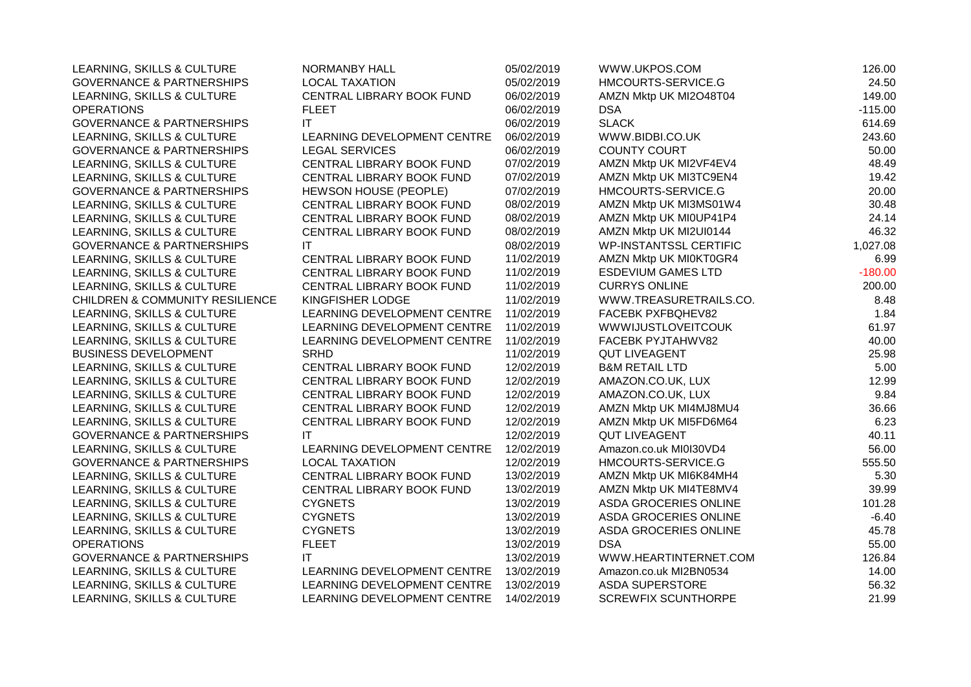| LEARNING, SKILLS & CULTURE                 | NORMANBY HALL                | 05/02/2019 | WWW.UKPOS.COM                 | 126.00    |
|--------------------------------------------|------------------------------|------------|-------------------------------|-----------|
| <b>GOVERNANCE &amp; PARTNERSHIPS</b>       | <b>LOCAL TAXATION</b>        | 05/02/2019 | HMCOURTS-SERVICE.G            | 24.50     |
| LEARNING, SKILLS & CULTURE                 | CENTRAL LIBRARY BOOK FUND    | 06/02/2019 | AMZN Mktp UK MI2O48T04        | 149.00    |
| <b>OPERATIONS</b>                          | <b>FLEET</b>                 | 06/02/2019 | <b>DSA</b>                    | $-115.00$ |
| <b>GOVERNANCE &amp; PARTNERSHIPS</b>       | ΙT                           | 06/02/2019 | <b>SLACK</b>                  | 614.69    |
| LEARNING, SKILLS & CULTURE                 | LEARNING DEVELOPMENT CENTRE  | 06/02/2019 | WWW.BIDBI.CO.UK               | 243.60    |
| <b>GOVERNANCE &amp; PARTNERSHIPS</b>       | <b>LEGAL SERVICES</b>        | 06/02/2019 | <b>COUNTY COURT</b>           | 50.00     |
| LEARNING, SKILLS & CULTURE                 | CENTRAL LIBRARY BOOK FUND    | 07/02/2019 | AMZN Mktp UK MI2VF4EV4        | 48.49     |
| LEARNING, SKILLS & CULTURE                 | CENTRAL LIBRARY BOOK FUND    | 07/02/2019 | AMZN Mktp UK MI3TC9EN4        | 19.42     |
| <b>GOVERNANCE &amp; PARTNERSHIPS</b>       | <b>HEWSON HOUSE (PEOPLE)</b> | 07/02/2019 | HMCOURTS-SERVICE.G            | 20.00     |
| LEARNING, SKILLS & CULTURE                 | CENTRAL LIBRARY BOOK FUND    | 08/02/2019 | AMZN Mktp UK MI3MS01W4        | 30.48     |
| LEARNING, SKILLS & CULTURE                 | CENTRAL LIBRARY BOOK FUND    | 08/02/2019 | AMZN Mktp UK MI0UP41P4        | 24.14     |
| LEARNING, SKILLS & CULTURE                 | CENTRAL LIBRARY BOOK FUND    | 08/02/2019 | AMZN Mktp UK MI2UI0144        | 46.32     |
| <b>GOVERNANCE &amp; PARTNERSHIPS</b>       | IT                           | 08/02/2019 | <b>WP-INSTANTSSL CERTIFIC</b> | 1,027.08  |
| LEARNING, SKILLS & CULTURE                 | CENTRAL LIBRARY BOOK FUND    | 11/02/2019 | AMZN Mktp UK MI0KT0GR4        | 6.99      |
| LEARNING, SKILLS & CULTURE                 | CENTRAL LIBRARY BOOK FUND    | 11/02/2019 | <b>ESDEVIUM GAMES LTD</b>     | $-180.00$ |
| LEARNING, SKILLS & CULTURE                 | CENTRAL LIBRARY BOOK FUND    | 11/02/2019 | <b>CURRYS ONLINE</b>          | 200.00    |
| <b>CHILDREN &amp; COMMUNITY RESILIENCE</b> | KINGFISHER LODGE             | 11/02/2019 | WWW.TREASURETRAILS.CO.        | 8.48      |
| LEARNING, SKILLS & CULTURE                 | LEARNING DEVELOPMENT CENTRE  | 11/02/2019 | FACEBK PXFBQHEV82             | 1.84      |
| LEARNING, SKILLS & CULTURE                 | LEARNING DEVELOPMENT CENTRE  | 11/02/2019 | <b>WWWIJUSTLOVEITCOUK</b>     | 61.97     |
| LEARNING, SKILLS & CULTURE                 | LEARNING DEVELOPMENT CENTRE  | 11/02/2019 | FACEBK PYJTAHWV82             | 40.00     |
| <b>BUSINESS DEVELOPMENT</b>                | <b>SRHD</b>                  | 11/02/2019 | <b>QUT LIVEAGENT</b>          | 25.98     |
| LEARNING, SKILLS & CULTURE                 | CENTRAL LIBRARY BOOK FUND    | 12/02/2019 | <b>B&amp;M RETAIL LTD</b>     | 5.00      |
| LEARNING, SKILLS & CULTURE                 | CENTRAL LIBRARY BOOK FUND    | 12/02/2019 | AMAZON.CO.UK, LUX             | 12.99     |
| LEARNING, SKILLS & CULTURE                 | CENTRAL LIBRARY BOOK FUND    | 12/02/2019 | AMAZON.CO.UK, LUX             | 9.84      |
| LEARNING, SKILLS & CULTURE                 | CENTRAL LIBRARY BOOK FUND    | 12/02/2019 | AMZN Mktp UK MI4MJ8MU4        | 36.66     |
| LEARNING, SKILLS & CULTURE                 | CENTRAL LIBRARY BOOK FUND    | 12/02/2019 | AMZN Mktp UK MI5FD6M64        | 6.23      |
| <b>GOVERNANCE &amp; PARTNERSHIPS</b>       | IT                           | 12/02/2019 | <b>QUT LIVEAGENT</b>          | 40.11     |
| LEARNING, SKILLS & CULTURE                 | LEARNING DEVELOPMENT CENTRE  | 12/02/2019 | Amazon.co.uk MI0I30VD4        | 56.00     |
| <b>GOVERNANCE &amp; PARTNERSHIPS</b>       | <b>LOCAL TAXATION</b>        | 12/02/2019 | HMCOURTS-SERVICE.G            | 555.50    |
| LEARNING, SKILLS & CULTURE                 | CENTRAL LIBRARY BOOK FUND    | 13/02/2019 | AMZN Mktp UK MI6K84MH4        | 5.30      |
| LEARNING, SKILLS & CULTURE                 | CENTRAL LIBRARY BOOK FUND    | 13/02/2019 | AMZN Mktp UK MI4TE8MV4        | 39.99     |
| LEARNING, SKILLS & CULTURE                 | <b>CYGNETS</b>               | 13/02/2019 | ASDA GROCERIES ONLINE         | 101.28    |
| LEARNING, SKILLS & CULTURE                 | <b>CYGNETS</b>               | 13/02/2019 | ASDA GROCERIES ONLINE         | $-6.40$   |
| LEARNING, SKILLS & CULTURE                 | <b>CYGNETS</b>               | 13/02/2019 | ASDA GROCERIES ONLINE         | 45.78     |
| <b>OPERATIONS</b>                          | <b>FLEET</b>                 | 13/02/2019 | <b>DSA</b>                    | 55.00     |
| <b>GOVERNANCE &amp; PARTNERSHIPS</b>       | ΙT                           | 13/02/2019 | WWW.HEARTINTERNET.COM         | 126.84    |
| LEARNING, SKILLS & CULTURE                 | LEARNING DEVELOPMENT CENTRE  | 13/02/2019 | Amazon.co.uk MI2BN0534        | 14.00     |
| LEARNING, SKILLS & CULTURE                 | LEARNING DEVELOPMENT CENTRE  | 13/02/2019 | <b>ASDA SUPERSTORE</b>        | 56.32     |
| LEARNING, SKILLS & CULTURE                 | LEARNING DEVELOPMENT CENTRE  | 14/02/2019 | <b>SCREWFIX SCUNTHORPE</b>    | 21.99     |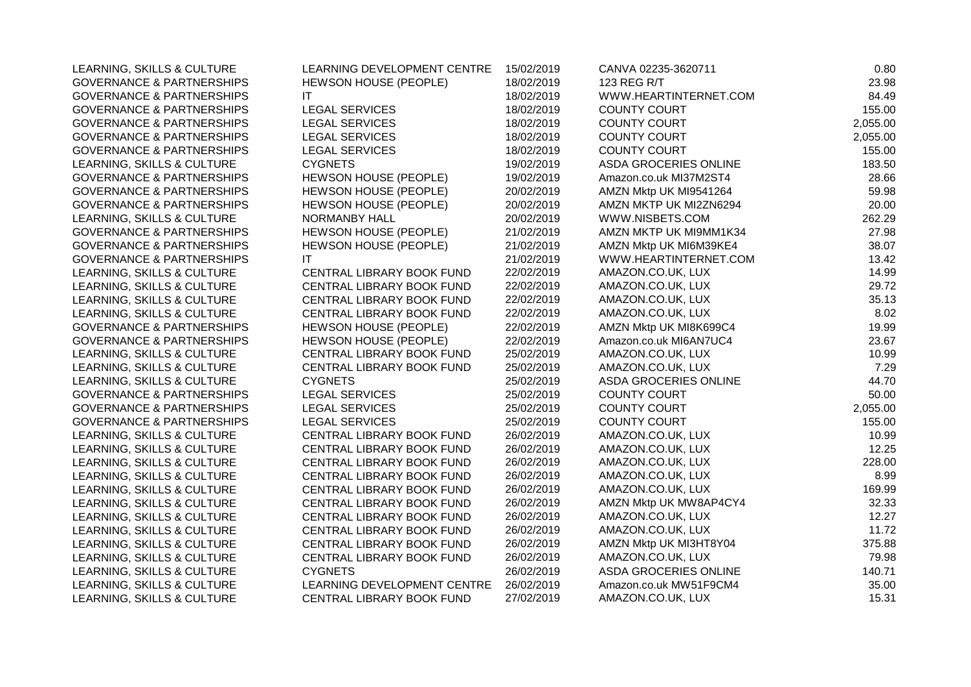| LEARNING, SKILLS & CULTURE           | LEARNING DEVELOPMENT CENTRE  | 15/02/2019 | CANVA 02235-3620711          | 0.80     |
|--------------------------------------|------------------------------|------------|------------------------------|----------|
| <b>GOVERNANCE &amp; PARTNERSHIPS</b> | HEWSON HOUSE (PEOPLE)        | 18/02/2019 | 123 REG R/T                  | 23.98    |
| <b>GOVERNANCE &amp; PARTNERSHIPS</b> | ΙT                           | 18/02/2019 | WWW.HEARTINTERNET.COM        | 84.49    |
| <b>GOVERNANCE &amp; PARTNERSHIPS</b> | <b>LEGAL SERVICES</b>        | 18/02/2019 | <b>COUNTY COURT</b>          | 155.00   |
| <b>GOVERNANCE &amp; PARTNERSHIPS</b> | <b>LEGAL SERVICES</b>        | 18/02/2019 | <b>COUNTY COURT</b>          | 2,055.00 |
| <b>GOVERNANCE &amp; PARTNERSHIPS</b> | <b>LEGAL SERVICES</b>        | 18/02/2019 | <b>COUNTY COURT</b>          | 2,055.00 |
| <b>GOVERNANCE &amp; PARTNERSHIPS</b> | <b>LEGAL SERVICES</b>        | 18/02/2019 | COUNTY COURT                 | 155.00   |
| LEARNING, SKILLS & CULTURE           | <b>CYGNETS</b>               | 19/02/2019 | ASDA GROCERIES ONLINE        | 183.50   |
| <b>GOVERNANCE &amp; PARTNERSHIPS</b> | <b>HEWSON HOUSE (PEOPLE)</b> | 19/02/2019 | Amazon.co.uk MI37M2ST4       | 28.66    |
| <b>GOVERNANCE &amp; PARTNERSHIPS</b> | HEWSON HOUSE (PEOPLE)        | 20/02/2019 | AMZN Mktp UK MI9541264       | 59.98    |
| <b>GOVERNANCE &amp; PARTNERSHIPS</b> | HEWSON HOUSE (PEOPLE)        | 20/02/2019 | AMZN MKTP UK MI2ZN6294       | 20.00    |
| LEARNING, SKILLS & CULTURE           | NORMANBY HALL                | 20/02/2019 | WWW.NISBETS.COM              | 262.29   |
| <b>GOVERNANCE &amp; PARTNERSHIPS</b> | HEWSON HOUSE (PEOPLE)        | 21/02/2019 | AMZN MKTP UK MI9MM1K34       | 27.98    |
| <b>GOVERNANCE &amp; PARTNERSHIPS</b> | HEWSON HOUSE (PEOPLE)        | 21/02/2019 | AMZN Mktp UK MI6M39KE4       | 38.07    |
| <b>GOVERNANCE &amp; PARTNERSHIPS</b> | IT                           | 21/02/2019 | WWW.HEARTINTERNET.COM        | 13.42    |
| LEARNING, SKILLS & CULTURE           | CENTRAL LIBRARY BOOK FUND    | 22/02/2019 | AMAZON.CO.UK, LUX            | 14.99    |
| LEARNING, SKILLS & CULTURE           | CENTRAL LIBRARY BOOK FUND    | 22/02/2019 | AMAZON.CO.UK, LUX            | 29.72    |
| LEARNING, SKILLS & CULTURE           | CENTRAL LIBRARY BOOK FUND    | 22/02/2019 | AMAZON.CO.UK, LUX            | 35.13    |
| LEARNING, SKILLS & CULTURE           | CENTRAL LIBRARY BOOK FUND    | 22/02/2019 | AMAZON.CO.UK, LUX            | 8.02     |
| <b>GOVERNANCE &amp; PARTNERSHIPS</b> | HEWSON HOUSE (PEOPLE)        | 22/02/2019 | AMZN Mktp UK MI8K699C4       | 19.99    |
| <b>GOVERNANCE &amp; PARTNERSHIPS</b> | <b>HEWSON HOUSE (PEOPLE)</b> | 22/02/2019 | Amazon.co.uk MI6AN7UC4       | 23.67    |
| LEARNING, SKILLS & CULTURE           | CENTRAL LIBRARY BOOK FUND    | 25/02/2019 | AMAZON.CO.UK, LUX            | 10.99    |
| LEARNING, SKILLS & CULTURE           | CENTRAL LIBRARY BOOK FUND    | 25/02/2019 | AMAZON.CO.UK, LUX            | 7.29     |
| LEARNING, SKILLS & CULTURE           | <b>CYGNETS</b>               | 25/02/2019 | ASDA GROCERIES ONLINE        | 44.70    |
| <b>GOVERNANCE &amp; PARTNERSHIPS</b> | <b>LEGAL SERVICES</b>        | 25/02/2019 | <b>COUNTY COURT</b>          | 50.00    |
| <b>GOVERNANCE &amp; PARTNERSHIPS</b> | <b>LEGAL SERVICES</b>        | 25/02/2019 | <b>COUNTY COURT</b>          | 2,055.00 |
| <b>GOVERNANCE &amp; PARTNERSHIPS</b> | <b>LEGAL SERVICES</b>        | 25/02/2019 | <b>COUNTY COURT</b>          | 155.00   |
| LEARNING, SKILLS & CULTURE           | CENTRAL LIBRARY BOOK FUND    | 26/02/2019 | AMAZON.CO.UK, LUX            | 10.99    |
| LEARNING, SKILLS & CULTURE           | CENTRAL LIBRARY BOOK FUND    | 26/02/2019 | AMAZON.CO.UK, LUX            | 12.25    |
| LEARNING, SKILLS & CULTURE           | CENTRAL LIBRARY BOOK FUND    | 26/02/2019 | AMAZON.CO.UK, LUX            | 228.00   |
| LEARNING, SKILLS & CULTURE           | CENTRAL LIBRARY BOOK FUND    | 26/02/2019 | AMAZON.CO.UK, LUX            | 8.99     |
| LEARNING, SKILLS & CULTURE           | CENTRAL LIBRARY BOOK FUND    | 26/02/2019 | AMAZON.CO.UK, LUX            | 169.99   |
| LEARNING, SKILLS & CULTURE           | CENTRAL LIBRARY BOOK FUND    | 26/02/2019 | AMZN Mktp UK MW8AP4CY4       | 32.33    |
| LEARNING, SKILLS & CULTURE           | CENTRAL LIBRARY BOOK FUND    | 26/02/2019 | AMAZON.CO.UK, LUX            | 12.27    |
| LEARNING, SKILLS & CULTURE           | CENTRAL LIBRARY BOOK FUND    | 26/02/2019 | AMAZON.CO.UK, LUX            | 11.72    |
| LEARNING, SKILLS & CULTURE           | CENTRAL LIBRARY BOOK FUND    | 26/02/2019 | AMZN Mktp UK MI3HT8Y04       | 375.88   |
| LEARNING, SKILLS & CULTURE           | CENTRAL LIBRARY BOOK FUND    | 26/02/2019 | AMAZON.CO.UK, LUX            | 79.98    |
| LEARNING, SKILLS & CULTURE           | <b>CYGNETS</b>               | 26/02/2019 | <b>ASDA GROCERIES ONLINE</b> | 140.71   |
| LEARNING, SKILLS & CULTURE           | LEARNING DEVELOPMENT CENTRE  | 26/02/2019 | Amazon.co.uk MW51F9CM4       | 35.00    |
| LEARNING, SKILLS & CULTURE           | CENTRAL LIBRARY BOOK FUND    | 27/02/2019 | AMAZON.CO.UK, LUX            | 15.31    |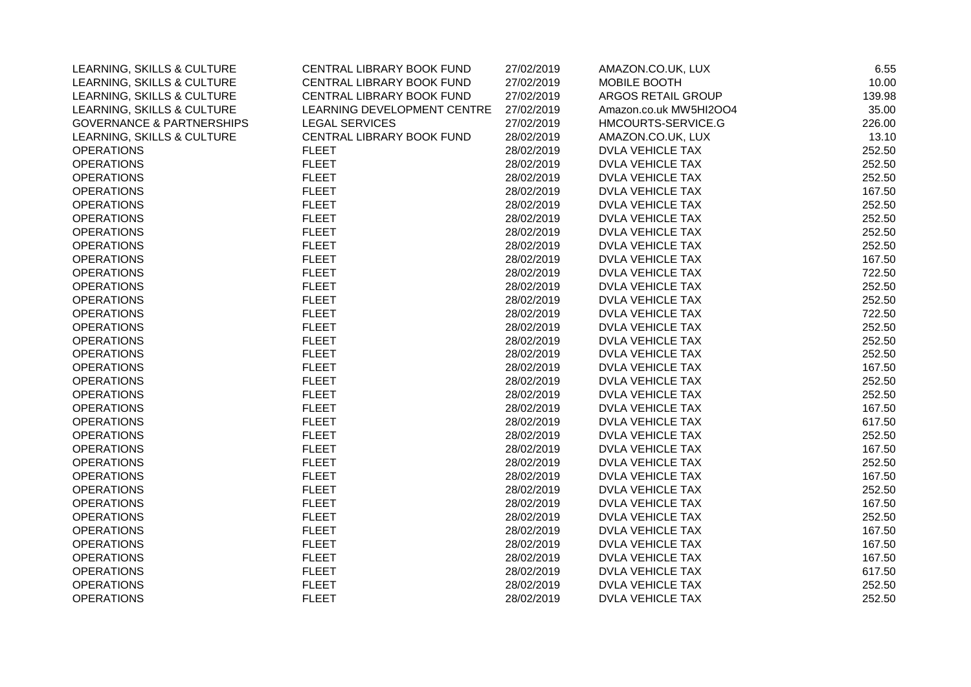| LEARNING, SKILLS & CULTURE           | CENTRAL LIBRARY BOOK FUND   | 27/02/2019 | AMAZON.CO.UK, LUX       | 6.55   |
|--------------------------------------|-----------------------------|------------|-------------------------|--------|
| LEARNING, SKILLS & CULTURE           | CENTRAL LIBRARY BOOK FUND   | 27/02/2019 | MOBILE BOOTH            | 10.00  |
| LEARNING, SKILLS & CULTURE           | CENTRAL LIBRARY BOOK FUND   | 27/02/2019 | ARGOS RETAIL GROUP      | 139.98 |
| LEARNING, SKILLS & CULTURE           | LEARNING DEVELOPMENT CENTRE | 27/02/2019 | Amazon.co.uk MW5HI2OO4  | 35.00  |
| <b>GOVERNANCE &amp; PARTNERSHIPS</b> | <b>LEGAL SERVICES</b>       | 27/02/2019 | HMCOURTS-SERVICE.G      | 226.00 |
| LEARNING, SKILLS & CULTURE           | CENTRAL LIBRARY BOOK FUND   | 28/02/2019 | AMAZON.CO.UK, LUX       | 13.10  |
| <b>OPERATIONS</b>                    | <b>FLEET</b>                | 28/02/2019 | <b>DVLA VEHICLE TAX</b> | 252.50 |
| <b>OPERATIONS</b>                    | <b>FLEET</b>                | 28/02/2019 | <b>DVLA VEHICLE TAX</b> | 252.50 |
| <b>OPERATIONS</b>                    | <b>FLEET</b>                | 28/02/2019 | <b>DVLA VEHICLE TAX</b> | 252.50 |
| <b>OPERATIONS</b>                    | <b>FLEET</b>                | 28/02/2019 | <b>DVLA VEHICLE TAX</b> | 167.50 |
| <b>OPERATIONS</b>                    | <b>FLEET</b>                | 28/02/2019 | <b>DVLA VEHICLE TAX</b> | 252.50 |
| <b>OPERATIONS</b>                    | <b>FLEET</b>                | 28/02/2019 | <b>DVLA VEHICLE TAX</b> | 252.50 |
| <b>OPERATIONS</b>                    | <b>FLEET</b>                | 28/02/2019 | <b>DVLA VEHICLE TAX</b> | 252.50 |
| <b>OPERATIONS</b>                    | <b>FLEET</b>                | 28/02/2019 | <b>DVLA VEHICLE TAX</b> | 252.50 |
| <b>OPERATIONS</b>                    | <b>FLEET</b>                | 28/02/2019 | <b>DVLA VEHICLE TAX</b> | 167.50 |
| <b>OPERATIONS</b>                    | <b>FLEET</b>                | 28/02/2019 | <b>DVLA VEHICLE TAX</b> | 722.50 |
| <b>OPERATIONS</b>                    | <b>FLEET</b>                | 28/02/2019 | <b>DVLA VEHICLE TAX</b> | 252.50 |
| <b>OPERATIONS</b>                    | <b>FLEET</b>                | 28/02/2019 | <b>DVLA VEHICLE TAX</b> | 252.50 |
| <b>OPERATIONS</b>                    | <b>FLEET</b>                | 28/02/2019 | <b>DVLA VEHICLE TAX</b> | 722.50 |
| <b>OPERATIONS</b>                    | <b>FLEET</b>                | 28/02/2019 | <b>DVLA VEHICLE TAX</b> | 252.50 |
| <b>OPERATIONS</b>                    | <b>FLEET</b>                | 28/02/2019 | <b>DVLA VEHICLE TAX</b> | 252.50 |
| <b>OPERATIONS</b>                    | <b>FLEET</b>                | 28/02/2019 | <b>DVLA VEHICLE TAX</b> | 252.50 |
| <b>OPERATIONS</b>                    | <b>FLEET</b>                | 28/02/2019 | <b>DVLA VEHICLE TAX</b> | 167.50 |
| <b>OPERATIONS</b>                    | <b>FLEET</b>                | 28/02/2019 | <b>DVLA VEHICLE TAX</b> | 252.50 |
| <b>OPERATIONS</b>                    | <b>FLEET</b>                | 28/02/2019 | <b>DVLA VEHICLE TAX</b> | 252.50 |
| <b>OPERATIONS</b>                    | <b>FLEET</b>                | 28/02/2019 | <b>DVLA VEHICLE TAX</b> | 167.50 |
| <b>OPERATIONS</b>                    | <b>FLEET</b>                | 28/02/2019 | <b>DVLA VEHICLE TAX</b> | 617.50 |
| <b>OPERATIONS</b>                    | <b>FLEET</b>                | 28/02/2019 | <b>DVLA VEHICLE TAX</b> | 252.50 |
| <b>OPERATIONS</b>                    | <b>FLEET</b>                | 28/02/2019 | <b>DVLA VEHICLE TAX</b> | 167.50 |
| <b>OPERATIONS</b>                    | <b>FLEET</b>                | 28/02/2019 | <b>DVLA VEHICLE TAX</b> | 252.50 |
| <b>OPERATIONS</b>                    | <b>FLEET</b>                | 28/02/2019 | <b>DVLA VEHICLE TAX</b> | 167.50 |
| <b>OPERATIONS</b>                    | <b>FLEET</b>                | 28/02/2019 | <b>DVLA VEHICLE TAX</b> | 252.50 |
| <b>OPERATIONS</b>                    | <b>FLEET</b>                | 28/02/2019 | <b>DVLA VEHICLE TAX</b> | 167.50 |
| <b>OPERATIONS</b>                    | <b>FLEET</b>                | 28/02/2019 | <b>DVLA VEHICLE TAX</b> | 252.50 |
| <b>OPERATIONS</b>                    | <b>FLEET</b>                | 28/02/2019 | <b>DVLA VEHICLE TAX</b> | 167.50 |
| <b>OPERATIONS</b>                    | <b>FLEET</b>                | 28/02/2019 | <b>DVLA VEHICLE TAX</b> | 167.50 |
| <b>OPERATIONS</b>                    | <b>FLEET</b>                | 28/02/2019 | <b>DVLA VEHICLE TAX</b> | 167.50 |
| <b>OPERATIONS</b>                    | <b>FLEET</b>                | 28/02/2019 | <b>DVLA VEHICLE TAX</b> | 617.50 |
| <b>OPERATIONS</b>                    | <b>FLEET</b>                | 28/02/2019 | <b>DVLA VEHICLE TAX</b> | 252.50 |
| <b>OPERATIONS</b>                    | <b>FLEET</b>                | 28/02/2019 | <b>DVLA VEHICLE TAX</b> | 252.50 |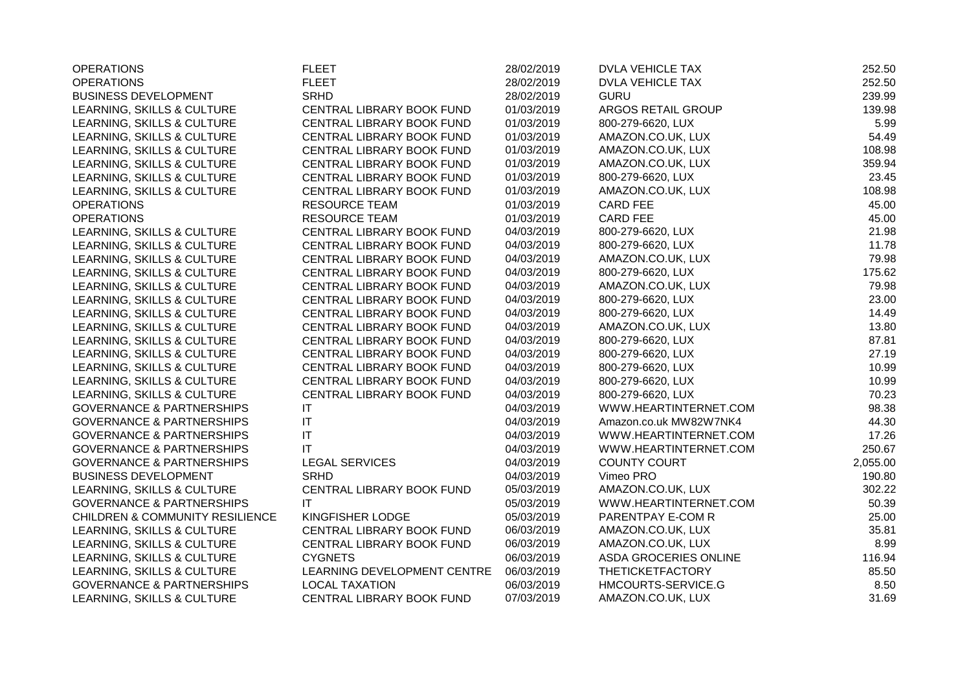| <b>OPERATIONS</b>                          | <b>FLEET</b>                | 28/02/2019 | <b>DVLA VEHICLE TAX</b> | 252.50   |
|--------------------------------------------|-----------------------------|------------|-------------------------|----------|
| <b>OPERATIONS</b>                          | <b>FLEET</b>                | 28/02/2019 | <b>DVLA VEHICLE TAX</b> | 252.50   |
| <b>BUSINESS DEVELOPMENT</b>                | <b>SRHD</b>                 | 28/02/2019 | <b>GURU</b>             | 239.99   |
| LEARNING, SKILLS & CULTURE                 | CENTRAL LIBRARY BOOK FUND   | 01/03/2019 | ARGOS RETAIL GROUP      | 139.98   |
| LEARNING, SKILLS & CULTURE                 | CENTRAL LIBRARY BOOK FUND   | 01/03/2019 | 800-279-6620, LUX       | 5.99     |
| LEARNING, SKILLS & CULTURE                 | CENTRAL LIBRARY BOOK FUND   | 01/03/2019 | AMAZON.CO.UK, LUX       | 54.49    |
| LEARNING, SKILLS & CULTURE                 | CENTRAL LIBRARY BOOK FUND   | 01/03/2019 | AMAZON.CO.UK, LUX       | 108.98   |
| LEARNING, SKILLS & CULTURE                 | CENTRAL LIBRARY BOOK FUND   | 01/03/2019 | AMAZON.CO.UK, LUX       | 359.94   |
| LEARNING, SKILLS & CULTURE                 | CENTRAL LIBRARY BOOK FUND   | 01/03/2019 | 800-279-6620, LUX       | 23.45    |
| LEARNING, SKILLS & CULTURE                 | CENTRAL LIBRARY BOOK FUND   | 01/03/2019 | AMAZON.CO.UK, LUX       | 108.98   |
| <b>OPERATIONS</b>                          | <b>RESOURCE TEAM</b>        | 01/03/2019 | <b>CARD FEE</b>         | 45.00    |
| <b>OPERATIONS</b>                          | <b>RESOURCE TEAM</b>        | 01/03/2019 | <b>CARD FEE</b>         | 45.00    |
| LEARNING, SKILLS & CULTURE                 | CENTRAL LIBRARY BOOK FUND   | 04/03/2019 | 800-279-6620, LUX       | 21.98    |
| LEARNING, SKILLS & CULTURE                 | CENTRAL LIBRARY BOOK FUND   | 04/03/2019 | 800-279-6620, LUX       | 11.78    |
| LEARNING, SKILLS & CULTURE                 | CENTRAL LIBRARY BOOK FUND   | 04/03/2019 | AMAZON.CO.UK, LUX       | 79.98    |
| LEARNING, SKILLS & CULTURE                 | CENTRAL LIBRARY BOOK FUND   | 04/03/2019 | 800-279-6620, LUX       | 175.62   |
| LEARNING, SKILLS & CULTURE                 | CENTRAL LIBRARY BOOK FUND   | 04/03/2019 | AMAZON.CO.UK, LUX       | 79.98    |
| LEARNING, SKILLS & CULTURE                 | CENTRAL LIBRARY BOOK FUND   | 04/03/2019 | 800-279-6620, LUX       | 23.00    |
| LEARNING, SKILLS & CULTURE                 | CENTRAL LIBRARY BOOK FUND   | 04/03/2019 | 800-279-6620, LUX       | 14.49    |
| LEARNING, SKILLS & CULTURE                 | CENTRAL LIBRARY BOOK FUND   | 04/03/2019 | AMAZON.CO.UK, LUX       | 13.80    |
| LEARNING, SKILLS & CULTURE                 | CENTRAL LIBRARY BOOK FUND   | 04/03/2019 | 800-279-6620, LUX       | 87.81    |
| LEARNING, SKILLS & CULTURE                 | CENTRAL LIBRARY BOOK FUND   | 04/03/2019 | 800-279-6620, LUX       | 27.19    |
| LEARNING, SKILLS & CULTURE                 | CENTRAL LIBRARY BOOK FUND   | 04/03/2019 | 800-279-6620, LUX       | 10.99    |
| LEARNING, SKILLS & CULTURE                 | CENTRAL LIBRARY BOOK FUND   | 04/03/2019 | 800-279-6620, LUX       | 10.99    |
| LEARNING, SKILLS & CULTURE                 | CENTRAL LIBRARY BOOK FUND   | 04/03/2019 | 800-279-6620, LUX       | 70.23    |
| <b>GOVERNANCE &amp; PARTNERSHIPS</b>       | IT                          | 04/03/2019 | WWW.HEARTINTERNET.COM   | 98.38    |
| <b>GOVERNANCE &amp; PARTNERSHIPS</b>       | $\mathsf{I}\mathsf{T}$      | 04/03/2019 | Amazon.co.uk MW82W7NK4  | 44.30    |
| <b>GOVERNANCE &amp; PARTNERSHIPS</b>       | IT                          | 04/03/2019 | WWW.HEARTINTERNET.COM   | 17.26    |
| <b>GOVERNANCE &amp; PARTNERSHIPS</b>       | IT                          | 04/03/2019 | WWW.HEARTINTERNET.COM   | 250.67   |
| <b>GOVERNANCE &amp; PARTNERSHIPS</b>       | <b>LEGAL SERVICES</b>       | 04/03/2019 | <b>COUNTY COURT</b>     | 2,055.00 |
| <b>BUSINESS DEVELOPMENT</b>                | <b>SRHD</b>                 | 04/03/2019 | Vimeo PRO               | 190.80   |
| LEARNING, SKILLS & CULTURE                 | CENTRAL LIBRARY BOOK FUND   | 05/03/2019 | AMAZON.CO.UK, LUX       | 302.22   |
| <b>GOVERNANCE &amp; PARTNERSHIPS</b>       | IT                          | 05/03/2019 | WWW.HEARTINTERNET.COM   | 50.39    |
| <b>CHILDREN &amp; COMMUNITY RESILIENCE</b> | KINGFISHER LODGE            | 05/03/2019 | PARENTPAY E-COM R       | 25.00    |
| LEARNING, SKILLS & CULTURE                 | CENTRAL LIBRARY BOOK FUND   | 06/03/2019 | AMAZON.CO.UK, LUX       | 35.81    |
| LEARNING, SKILLS & CULTURE                 | CENTRAL LIBRARY BOOK FUND   | 06/03/2019 | AMAZON.CO.UK, LUX       | 8.99     |
| LEARNING, SKILLS & CULTURE                 | <b>CYGNETS</b>              | 06/03/2019 | ASDA GROCERIES ONLINE   | 116.94   |
| LEARNING, SKILLS & CULTURE                 | LEARNING DEVELOPMENT CENTRE | 06/03/2019 | <b>THETICKETFACTORY</b> | 85.50    |
| <b>GOVERNANCE &amp; PARTNERSHIPS</b>       | <b>LOCAL TAXATION</b>       | 06/03/2019 | HMCOURTS-SERVICE.G      | 8.50     |
| LEARNING, SKILLS & CULTURE                 | CENTRAL LIBRARY BOOK FUND   | 07/03/2019 | AMAZON.CO.UK, LUX       | 31.69    |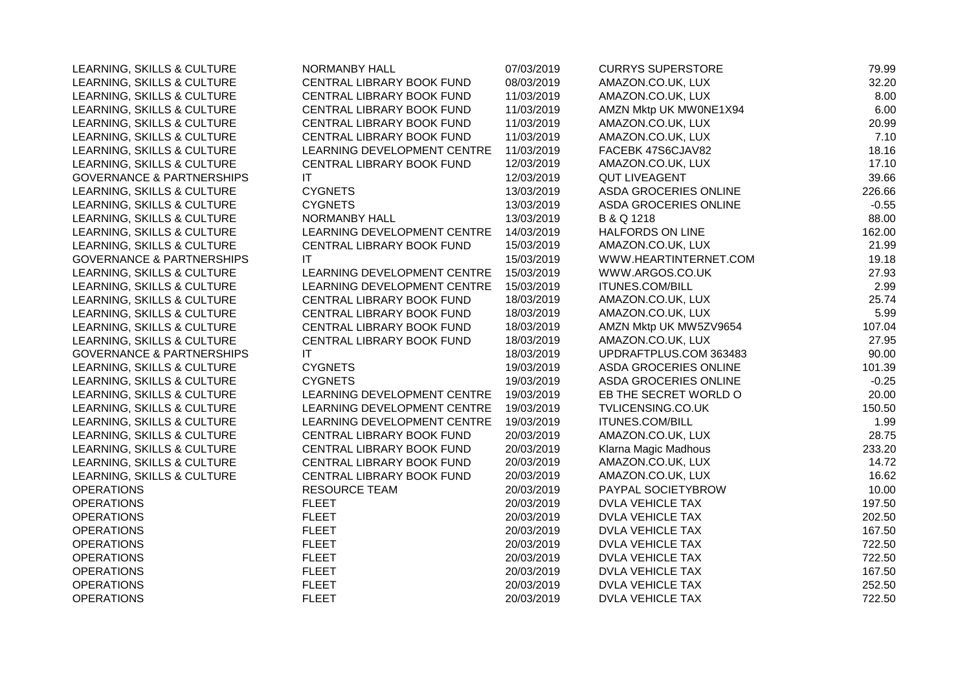| LEARNING, SKILLS & CULTURE           | NORMANBY HALL               | 07/03/2019 | <b>CURRYS SUPERSTORE</b>     | 79.99   |
|--------------------------------------|-----------------------------|------------|------------------------------|---------|
| LEARNING, SKILLS & CULTURE           | CENTRAL LIBRARY BOOK FUND   | 08/03/2019 | AMAZON.CO.UK, LUX            | 32.20   |
| LEARNING, SKILLS & CULTURE           | CENTRAL LIBRARY BOOK FUND   | 11/03/2019 | AMAZON.CO.UK, LUX            | 8.00    |
| LEARNING, SKILLS & CULTURE           | CENTRAL LIBRARY BOOK FUND   | 11/03/2019 | AMZN Mktp UK MW0NE1X94       | 6.00    |
| LEARNING, SKILLS & CULTURE           | CENTRAL LIBRARY BOOK FUND   | 11/03/2019 | AMAZON.CO.UK, LUX            | 20.99   |
| LEARNING, SKILLS & CULTURE           | CENTRAL LIBRARY BOOK FUND   | 11/03/2019 | AMAZON.CO.UK, LUX            | 7.10    |
| LEARNING, SKILLS & CULTURE           | LEARNING DEVELOPMENT CENTRE | 11/03/2019 | FACEBK 47S6CJAV82            | 18.16   |
| LEARNING, SKILLS & CULTURE           | CENTRAL LIBRARY BOOK FUND   | 12/03/2019 | AMAZON.CO.UK, LUX            | 17.10   |
| <b>GOVERNANCE &amp; PARTNERSHIPS</b> | <b>IT</b>                   | 12/03/2019 | <b>QUT LIVEAGENT</b>         | 39.66   |
| LEARNING, SKILLS & CULTURE           | <b>CYGNETS</b>              | 13/03/2019 | ASDA GROCERIES ONLINE        | 226.66  |
| LEARNING, SKILLS & CULTURE           | <b>CYGNETS</b>              | 13/03/2019 | ASDA GROCERIES ONLINE        | $-0.55$ |
| LEARNING, SKILLS & CULTURE           | <b>NORMANBY HALL</b>        | 13/03/2019 | <b>B &amp; Q 1218</b>        | 88.00   |
| LEARNING, SKILLS & CULTURE           | LEARNING DEVELOPMENT CENTRE | 14/03/2019 | <b>HALFORDS ON LINE</b>      | 162.00  |
| LEARNING, SKILLS & CULTURE           | CENTRAL LIBRARY BOOK FUND   | 15/03/2019 | AMAZON.CO.UK, LUX            | 21.99   |
| <b>GOVERNANCE &amp; PARTNERSHIPS</b> | <b>IT</b>                   | 15/03/2019 | WWW.HEARTINTERNET.COM        | 19.18   |
| LEARNING, SKILLS & CULTURE           | LEARNING DEVELOPMENT CENTRE | 15/03/2019 | WWW.ARGOS.CO.UK              | 27.93   |
| LEARNING, SKILLS & CULTURE           | LEARNING DEVELOPMENT CENTRE | 15/03/2019 | <b>ITUNES.COM/BILL</b>       | 2.99    |
| LEARNING, SKILLS & CULTURE           | CENTRAL LIBRARY BOOK FUND   | 18/03/2019 | AMAZON.CO.UK, LUX            | 25.74   |
| LEARNING, SKILLS & CULTURE           | CENTRAL LIBRARY BOOK FUND   | 18/03/2019 | AMAZON.CO.UK, LUX            | 5.99    |
| LEARNING, SKILLS & CULTURE           | CENTRAL LIBRARY BOOK FUND   | 18/03/2019 | AMZN Mktp UK MW5ZV9654       | 107.04  |
| LEARNING, SKILLS & CULTURE           | CENTRAL LIBRARY BOOK FUND   | 18/03/2019 | AMAZON.CO.UK, LUX            | 27.95   |
| <b>GOVERNANCE &amp; PARTNERSHIPS</b> | ΙT                          | 18/03/2019 | UPDRAFTPLUS.COM 363483       | 90.00   |
| LEARNING, SKILLS & CULTURE           | <b>CYGNETS</b>              | 19/03/2019 | <b>ASDA GROCERIES ONLINE</b> | 101.39  |
| LEARNING, SKILLS & CULTURE           | <b>CYGNETS</b>              | 19/03/2019 | ASDA GROCERIES ONLINE        | $-0.25$ |
| LEARNING, SKILLS & CULTURE           | LEARNING DEVELOPMENT CENTRE | 19/03/2019 | EB THE SECRET WORLD O        | 20.00   |
| LEARNING, SKILLS & CULTURE           | LEARNING DEVELOPMENT CENTRE | 19/03/2019 | TVLICENSING.CO.UK            | 150.50  |
| LEARNING, SKILLS & CULTURE           | LEARNING DEVELOPMENT CENTRE | 19/03/2019 | <b>ITUNES.COM/BILL</b>       | 1.99    |
| LEARNING, SKILLS & CULTURE           | CENTRAL LIBRARY BOOK FUND   | 20/03/2019 | AMAZON.CO.UK, LUX            | 28.75   |
| LEARNING, SKILLS & CULTURE           | CENTRAL LIBRARY BOOK FUND   | 20/03/2019 | Klarna Magic Madhous         | 233.20  |
| LEARNING, SKILLS & CULTURE           | CENTRAL LIBRARY BOOK FUND   | 20/03/2019 | AMAZON.CO.UK, LUX            | 14.72   |
| LEARNING, SKILLS & CULTURE           | CENTRAL LIBRARY BOOK FUND   | 20/03/2019 | AMAZON.CO.UK, LUX            | 16.62   |
| <b>OPERATIONS</b>                    | <b>RESOURCE TEAM</b>        | 20/03/2019 | PAYPAL SOCIETYBROW           | 10.00   |
| <b>OPERATIONS</b>                    | <b>FLEET</b>                | 20/03/2019 | <b>DVLA VEHICLE TAX</b>      | 197.50  |
| <b>OPERATIONS</b>                    | <b>FLEET</b>                | 20/03/2019 | <b>DVLA VEHICLE TAX</b>      | 202.50  |
| <b>OPERATIONS</b>                    | <b>FLEET</b>                | 20/03/2019 | DVLA VEHICLE TAX             | 167.50  |
| <b>OPERATIONS</b>                    | <b>FLEET</b>                | 20/03/2019 | <b>DVLA VEHICLE TAX</b>      | 722.50  |
| <b>OPERATIONS</b>                    | <b>FLEET</b>                | 20/03/2019 | DVLA VEHICLE TAX             | 722.50  |
| <b>OPERATIONS</b>                    | <b>FLEET</b>                | 20/03/2019 | DVLA VEHICLE TAX             | 167.50  |
| <b>OPERATIONS</b>                    | <b>FLEET</b>                | 20/03/2019 | <b>DVLA VEHICLE TAX</b>      | 252.50  |
| <b>OPERATIONS</b>                    | <b>FLEET</b>                | 20/03/2019 | <b>DVLA VEHICLE TAX</b>      | 722.50  |